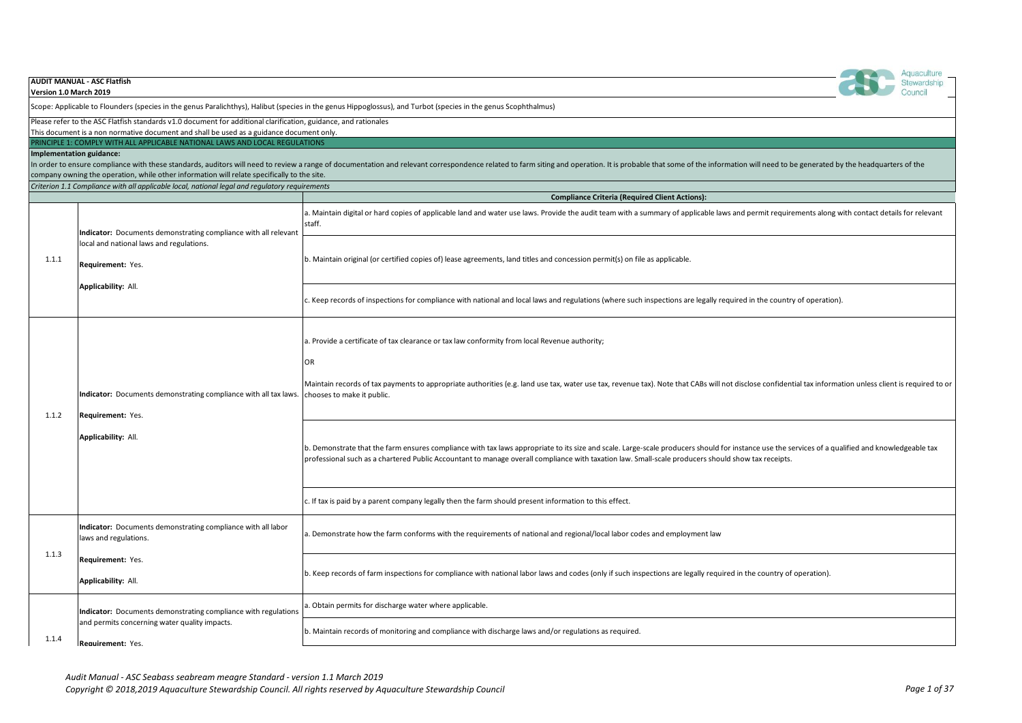| Version 1.0 March 2019   | <b>AUDIT MANUAL - ASC Flatfish</b>                                                                                                                                      | Aquaculture<br>Stewardship                                                                                                                                                                                                                                                                                                                             |
|--------------------------|-------------------------------------------------------------------------------------------------------------------------------------------------------------------------|--------------------------------------------------------------------------------------------------------------------------------------------------------------------------------------------------------------------------------------------------------------------------------------------------------------------------------------------------------|
|                          |                                                                                                                                                                         | Scope: Applicable to Flounders (species in the genus Paralichthys), Halibut (species in the genus Hippoglossus), and Turbot (species in the genus Scophthalmus)                                                                                                                                                                                        |
|                          | Please refer to the ASC Flatfish standards v1.0 document for additional clarification, guidance, and rationales                                                         |                                                                                                                                                                                                                                                                                                                                                        |
|                          | This document is a non normative document and shall be used as a guidance document only.<br>PRINCIPLE 1: COMPLY WITH ALL APPLICABLE NATIONAL LAWS AND LOCAL REGULATIONS |                                                                                                                                                                                                                                                                                                                                                        |
| Implementation guidance: | company owning the operation, while other information will relate specifically to the site.                                                                             | In order to ensure compliance with these standards, auditors will need to review a range of documentation and relevant correspondence related to farm siting and operation. It is probable that some of the information will n                                                                                                                         |
|                          | Criterion 1.1 Compliance with all applicable local, national legal and regulatory requirements                                                                          |                                                                                                                                                                                                                                                                                                                                                        |
|                          |                                                                                                                                                                         | <b>Compliance Criteria (Required Client Actions):</b><br>a. Maintain digital or hard copies of applicable land and water use laws. Provide the audit team with a summary of applicable laws and permit requirements along with contact details for relevant<br>staff.                                                                                  |
| 1.1.1                    | Indicator: Documents demonstrating compliance with all relevant<br>local and national laws and regulations.<br>Requirement: Yes.                                        | b. Maintain original (or certified copies of) lease agreements, land titles and concession permit(s) on file as applicable.                                                                                                                                                                                                                            |
|                          | Applicability: All.                                                                                                                                                     | c. Keep records of inspections for compliance with national and local laws and regulations (where such inspections are legally required in the country of operation).                                                                                                                                                                                  |
|                          | Indicator: Documents demonstrating compliance with all tax laws.<br>Requirement: Yes.<br>Applicability: All.                                                            | a. Provide a certificate of tax clearance or tax law conformity from local Revenue authority;<br>OR<br>Maintain records of tax payments to appropriate authorities (e.g. land use tax, water use tax, revenue tax). Note that CABs will not disclose confidential tax information unless client is required to or<br>chooses to make it public.        |
| 1.1.2                    |                                                                                                                                                                         | b. Demonstrate that the farm ensures compliance with tax laws appropriate to its size and scale. Large-scale producers should for instance use the services of a qualified and knowledgeable tax<br>professional such as a chartered Public Accountant to manage overall compliance with taxation law. Small-scale producers should show tax receipts. |
|                          |                                                                                                                                                                         | c. If tax is paid by a parent company legally then the farm should present information to this effect.                                                                                                                                                                                                                                                 |
|                          | Indicator: Documents demonstrating compliance with all labor<br>laws and regulations.                                                                                   | . Demonstrate how the farm conforms with the requirements of national and regional/local labor codes and employment law                                                                                                                                                                                                                                |
| 1.1.3                    | Requirement: Yes.<br>Applicability: All.                                                                                                                                | b. Keep records of farm inspections for compliance with national labor laws and codes (only if such inspections are legally required in the country of operation).                                                                                                                                                                                     |
|                          | Indicator: Documents demonstrating compliance with regulations<br>and permits concerning water quality impacts.<br>Requirement: Yes.                                    | . Obtain permits for discharge water where applicable.                                                                                                                                                                                                                                                                                                 |
| 1.1.4                    |                                                                                                                                                                         | b. Maintain records of monitoring and compliance with discharge laws and/or regulations as required.                                                                                                                                                                                                                                                   |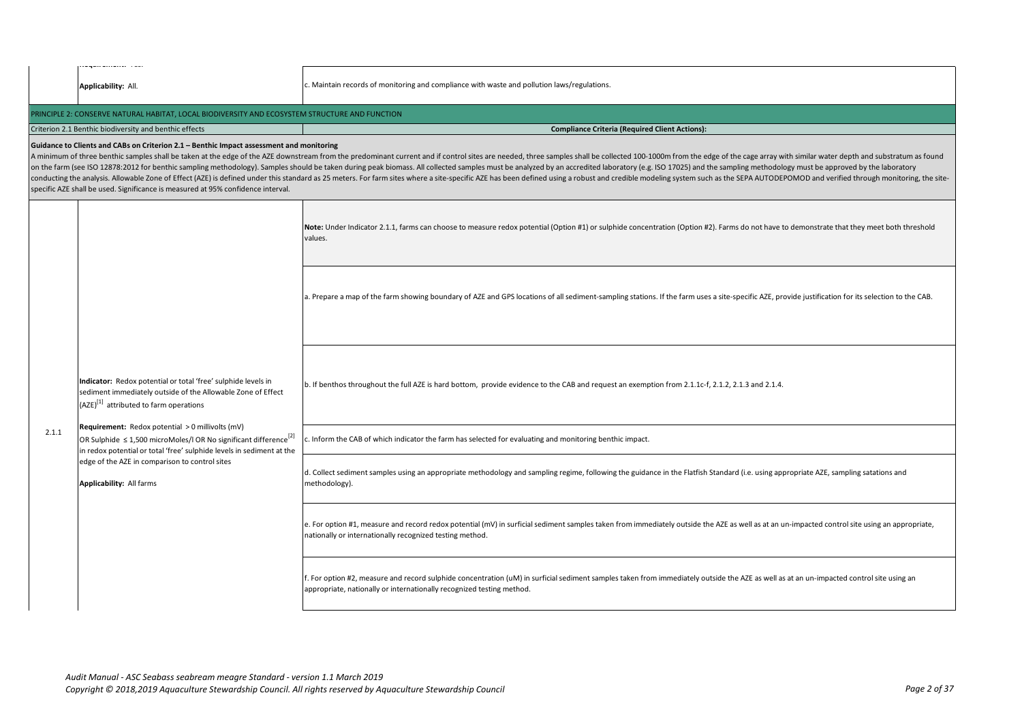|       | wing with service control in the service                                                                                                                                                                                                                                                                                                                                                                                                                                            |                                                                                                                                                                                                                                                                                                                                                                                                                                                                                                                                                                                                                                                                                                    |
|-------|-------------------------------------------------------------------------------------------------------------------------------------------------------------------------------------------------------------------------------------------------------------------------------------------------------------------------------------------------------------------------------------------------------------------------------------------------------------------------------------|----------------------------------------------------------------------------------------------------------------------------------------------------------------------------------------------------------------------------------------------------------------------------------------------------------------------------------------------------------------------------------------------------------------------------------------------------------------------------------------------------------------------------------------------------------------------------------------------------------------------------------------------------------------------------------------------------|
|       | Applicability: All.                                                                                                                                                                                                                                                                                                                                                                                                                                                                 | c. Maintain records of monitoring and compliance with waste and pollution laws/regulations.                                                                                                                                                                                                                                                                                                                                                                                                                                                                                                                                                                                                        |
|       | PRINCIPLE 2: CONSERVE NATURAL HABITAT, LOCAL BIODIVERSITY AND ECOSYSTEM STRUCTURE AND FUNCTION                                                                                                                                                                                                                                                                                                                                                                                      |                                                                                                                                                                                                                                                                                                                                                                                                                                                                                                                                                                                                                                                                                                    |
|       | Criterion 2.1 Benthic biodiversity and benthic effects                                                                                                                                                                                                                                                                                                                                                                                                                              | <b>Compliance Criteria (Required Client Actions):</b>                                                                                                                                                                                                                                                                                                                                                                                                                                                                                                                                                                                                                                              |
|       | Guidance to Clients and CABs on Criterion 2.1 - Benthic Impact assessment and monitoring<br>specific AZE shall be used. Significance is measured at 95% confidence interval.                                                                                                                                                                                                                                                                                                        | A minimum of three benthic samples shall be taken at the edge of the AZE downstream from the predominant current and if control sites are needed, three samples shall be collected 100-1000m from the edge of the cage array w<br>on the farm (see ISO 12878:2012 for benthic sampling methodology). Samples should be taken during peak biomass. All collected samples must be analyzed by an accredited laboratory (e.g. ISO 17025) and the sampling methodolo<br>conducting the analysis. Allowable Zone of Effect (AZE) is defined under this standard as 25 meters. For farm sites where a site-specific AZE has been defined using a robust and credible modeling system such as the SEPA AU |
|       |                                                                                                                                                                                                                                                                                                                                                                                                                                                                                     | Note: Under Indicator 2.1.1, farms can choose to measure redox potential (Option #1) or sulphide concentration (Option #2). Farms do not have to demonstrate that they meet both threshold<br>values.                                                                                                                                                                                                                                                                                                                                                                                                                                                                                              |
|       | Indicator: Redox potential or total 'free' sulphide levels in<br>sediment immediately outside of the Allowable Zone of Effect<br>(AZE) <sup>[1]</sup> attributed to farm operations<br>Requirement: Redox potential > 0 millivolts (mV)<br>OR Sulphide $\leq 1,500$ microMoles/I OR No significant difference <sup>[2]</sup><br>in redox potential or total 'free' sulphide levels in sediment at the<br>edge of the AZE in comparison to control sites<br>Applicability: All farms | a. Prepare a map of the farm showing boundary of AZE and GPS locations of all sediment-sampling stations. If the farm uses a site-specific AZE, provide justification for its selection to the CAB.                                                                                                                                                                                                                                                                                                                                                                                                                                                                                                |
|       |                                                                                                                                                                                                                                                                                                                                                                                                                                                                                     | b. If benthos throughout the full AZE is hard bottom, provide evidence to the CAB and request an exemption from 2.1.1c-f, 2.1.2, 2.1.3 and 2.1.4.                                                                                                                                                                                                                                                                                                                                                                                                                                                                                                                                                  |
| 2.1.1 |                                                                                                                                                                                                                                                                                                                                                                                                                                                                                     | c. Inform the CAB of which indicator the farm has selected for evaluating and monitoring benthic impact.                                                                                                                                                                                                                                                                                                                                                                                                                                                                                                                                                                                           |
|       |                                                                                                                                                                                                                                                                                                                                                                                                                                                                                     | d. Collect sediment samples using an appropriate methodology and sampling regime, following the guidance in the Flatfish Standard (i.e. using appropriate AZE, sampling satations and<br>methodology).                                                                                                                                                                                                                                                                                                                                                                                                                                                                                             |
|       |                                                                                                                                                                                                                                                                                                                                                                                                                                                                                     | e. For option #1, measure and record redox potential (mV) in surficial sediment samples taken from immediately outside the AZE as well as at an un-impacted control site using an appropriate,<br>nationally or internationally recognized testing method.                                                                                                                                                                                                                                                                                                                                                                                                                                         |
|       |                                                                                                                                                                                                                                                                                                                                                                                                                                                                                     | f. For option #2, measure and record sulphide concentration (uM) in surficial sediment samples taken from immediately outside the AZE as well as at an un-impacted control site using an<br>appropriate, nationally or internationally recognized testing method.                                                                                                                                                                                                                                                                                                                                                                                                                                  |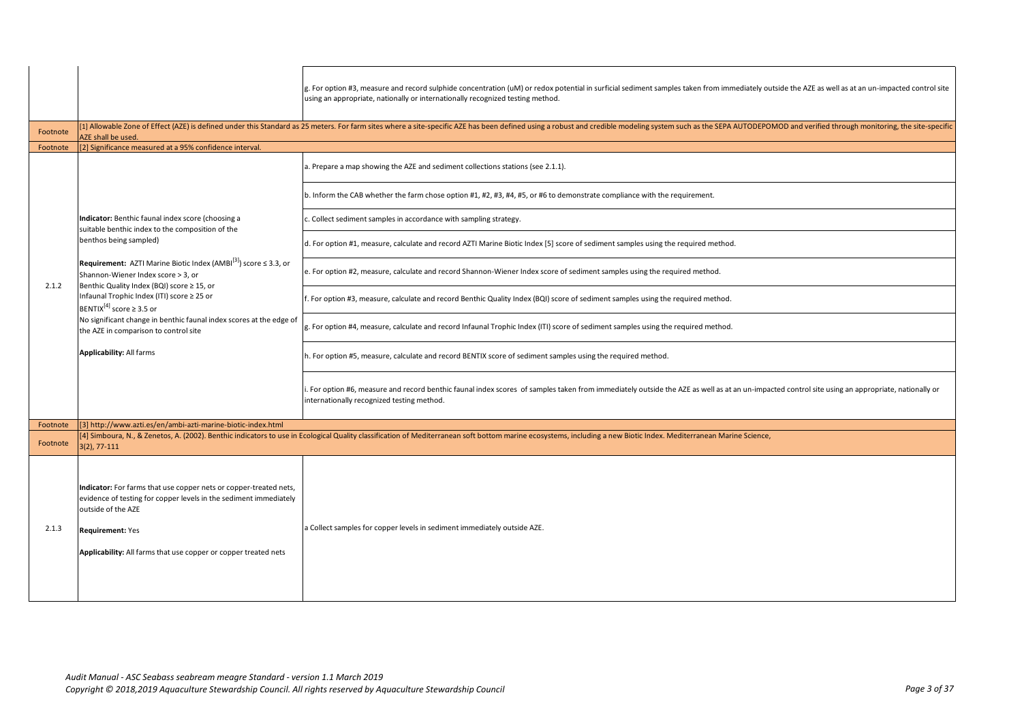|          |                                                                                                                                                                                                                                                            | g. For option #3, measure and record sulphide concentration (uM) or redox potential in surficial sediment samples taken from immediately outside the AZE as well as at an un-impacted control site<br>using an appropriate, nationally or internationally recognized testing method. |
|----------|------------------------------------------------------------------------------------------------------------------------------------------------------------------------------------------------------------------------------------------------------------|--------------------------------------------------------------------------------------------------------------------------------------------------------------------------------------------------------------------------------------------------------------------------------------|
| Footnote | AZE shall be used.                                                                                                                                                                                                                                         | [1] Allowable Zone of Effect (AZE) is defined under this Standard as 25 meters. For farm sites where a site-specific AZE has been defined using a robust and credible modeling system such as the SEPA AUTODEPOMOD and verifie                                                       |
| Footnote | [2] Significance measured at a 95% confidence interval.                                                                                                                                                                                                    |                                                                                                                                                                                                                                                                                      |
|          |                                                                                                                                                                                                                                                            | a. Prepare a map showing the AZE and sediment collections stations (see 2.1.1).                                                                                                                                                                                                      |
|          |                                                                                                                                                                                                                                                            | b. Inform the CAB whether the farm chose option #1, #2, #3, #4, #5, or #6 to demonstrate compliance with the requirement.                                                                                                                                                            |
|          | Indicator: Benthic faunal index score (choosing a<br>suitable benthic index to the composition of the                                                                                                                                                      | c. Collect sediment samples in accordance with sampling strategy.                                                                                                                                                                                                                    |
|          | benthos being sampled)                                                                                                                                                                                                                                     | d. For option #1, measure, calculate and record AZTI Marine Biotic Index [5] score of sediment samples using the required method.                                                                                                                                                    |
| 2.1.2    | Requirement: AZTI Marine Biotic Index (AMBI [3]) score ≤ 3.3, or<br>Shannon-Wiener Index score > 3, or<br>Benthic Quality Index (BQI) score ≥ 15, or                                                                                                       | e. For option #2, measure, calculate and record Shannon-Wiener Index score of sediment samples using the required method.                                                                                                                                                            |
|          | Infaunal Trophic Index (ITI) score ≥ 25 or<br>BENTIX <sup>[4]</sup> score $\geq$ 3.5 or                                                                                                                                                                    | . For option #3, measure, calculate and record Benthic Quality Index (BQI) score of sediment samples using the required method.                                                                                                                                                      |
|          | No significant change in benthic faunal index scores at the edge of<br>the AZE in comparison to control site<br><b>Applicability: All farms</b>                                                                                                            | g. For option #4, measure, calculate and record Infaunal Trophic Index (ITI) score of sediment samples using the required method.                                                                                                                                                    |
|          |                                                                                                                                                                                                                                                            | h. For option #5, measure, calculate and record BENTIX score of sediment samples using the required method.                                                                                                                                                                          |
|          |                                                                                                                                                                                                                                                            | For option #6, measure and record benthic faunal index scores of samples taken from immediately outside the AZE as well as at an un-impacted control site using an appropriate, nationally or<br>internationally recognized testing method.                                          |
| Footnote | [3] http://www.azti.es/en/ambi-azti-marine-biotic-index.html                                                                                                                                                                                               |                                                                                                                                                                                                                                                                                      |
| Footnote | 3(2), 77-111                                                                                                                                                                                                                                               | [4] Simboura, N., & Zenetos, A. (2002). Benthic indicators to use in Ecological Quality classification of Mediterranean soft bottom marine ecosystems, including a new Biotic Index. Mediterranean Marine Science,                                                                   |
| 2.1.3    | Indicator: For farms that use copper nets or copper-treated nets,<br>evidence of testing for copper levels in the sediment immediately<br>outside of the AZE<br><b>Requirement: Yes</b><br>Applicability: All farms that use copper or copper treated nets | a Collect samples for copper levels in sediment immediately outside AZE.                                                                                                                                                                                                             |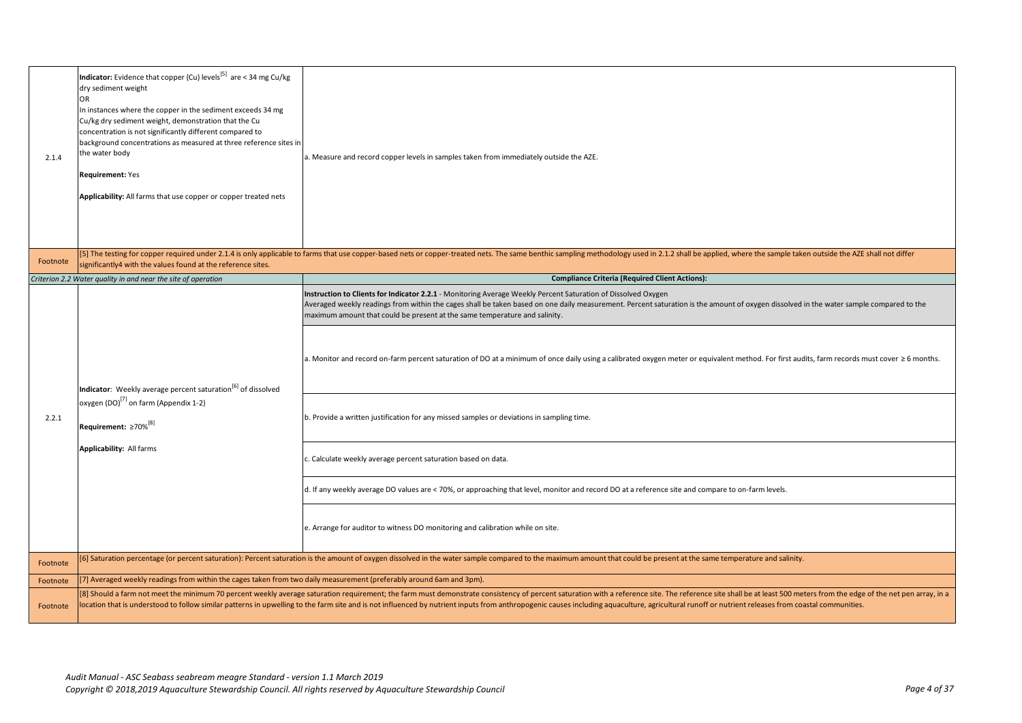| 2.1.4    | Indicator: Evidence that copper (Cu) levels <sup>[5]</sup> are < 34 mg Cu/kg<br>dry sediment weight<br><b>OR</b><br>In instances where the copper in the sediment exceeds 34 mg<br>Cu/kg dry sediment weight, demonstration that the Cu<br>concentration is not significantly different compared to<br>background concentrations as measured at three reference sites in<br>the water body<br><b>Requirement: Yes</b><br>Applicability: All farms that use copper or copper treated nets | a. Measure and record copper levels in samples taken from immediately outside the AZE.                                                                                                                                                                                                                                                                                                                                                                                                                                                                                                                                                                                                                                                                                                                                                                                                                                                                                                      |
|----------|------------------------------------------------------------------------------------------------------------------------------------------------------------------------------------------------------------------------------------------------------------------------------------------------------------------------------------------------------------------------------------------------------------------------------------------------------------------------------------------|---------------------------------------------------------------------------------------------------------------------------------------------------------------------------------------------------------------------------------------------------------------------------------------------------------------------------------------------------------------------------------------------------------------------------------------------------------------------------------------------------------------------------------------------------------------------------------------------------------------------------------------------------------------------------------------------------------------------------------------------------------------------------------------------------------------------------------------------------------------------------------------------------------------------------------------------------------------------------------------------|
| Footnote | significantly4 with the values found at the reference sites.                                                                                                                                                                                                                                                                                                                                                                                                                             | [5] The testing for copper required under 2.1.4 is only applicable to farms that use copper-based nets or copper-treated nets. The same benthic sampling methodology used in 2.1.2 shall be applied, where the sample taken ou                                                                                                                                                                                                                                                                                                                                                                                                                                                                                                                                                                                                                                                                                                                                                              |
|          | Criterion 2.2 Water quality in and near the site of operation                                                                                                                                                                                                                                                                                                                                                                                                                            | <b>Compliance Criteria (Required Client Actions):</b>                                                                                                                                                                                                                                                                                                                                                                                                                                                                                                                                                                                                                                                                                                                                                                                                                                                                                                                                       |
| 2.2.1    | Indicator: Weekly average percent saturation <sup>[6]</sup> of dissolved<br>oxygen (DO) <sup>[7]</sup> on farm (Appendix 1-2)<br>Requirement: ≥70% <sup>[8]</sup><br>Applicability: All farms                                                                                                                                                                                                                                                                                            | Instruction to Clients for Indicator 2.2.1 - Monitoring Average Weekly Percent Saturation of Dissolved Oxygen<br>Averaged weekly readings from within the cages shall be taken based on one daily measurement. Percent saturation is the amount of oxygen dissolved in the water sample compared to the<br>maximum amount that could be present at the same temperature and salinity.<br>a. Monitor and record on-farm percent saturation of DO at a minimum of once daily using a calibrated oxygen meter or equivalent method. For first audits, farm records must cover ≥ 6 months.<br>b. Provide a written justification for any missed samples or deviations in sampling time.<br>c. Calculate weekly average percent saturation based on data.<br>d. If any weekly average DO values are < 70%, or approaching that level, monitor and record DO at a reference site and compare to on-farm levels.<br>e. Arrange for auditor to witness DO monitoring and calibration while on site. |
| Footnote |                                                                                                                                                                                                                                                                                                                                                                                                                                                                                          | [6] Saturation percentage (or percent saturation): Percent saturation is the amount of oxygen dissolved in the water sample compared to the maximum amount that could be present at the same temperature and salinity.                                                                                                                                                                                                                                                                                                                                                                                                                                                                                                                                                                                                                                                                                                                                                                      |
| Footnote | [7] Averaged weekly readings from within the cages taken from two daily measurement (preferably around 6am and 3pm).                                                                                                                                                                                                                                                                                                                                                                     |                                                                                                                                                                                                                                                                                                                                                                                                                                                                                                                                                                                                                                                                                                                                                                                                                                                                                                                                                                                             |
| Footnote |                                                                                                                                                                                                                                                                                                                                                                                                                                                                                          | [8] Should a farm not meet the minimum 70 percent weekly average saturation requirement; the farm must demonstrate consistency of percent saturation with a reference site. The reference site shall be at least 500 meters fr<br>location that is understood to follow similar patterns in upwelling to the farm site and is not influenced by nutrient inputs from anthropogenic causes including aquaculture, agricultural runoff or nutrient releases from c                                                                                                                                                                                                                                                                                                                                                                                                                                                                                                                            |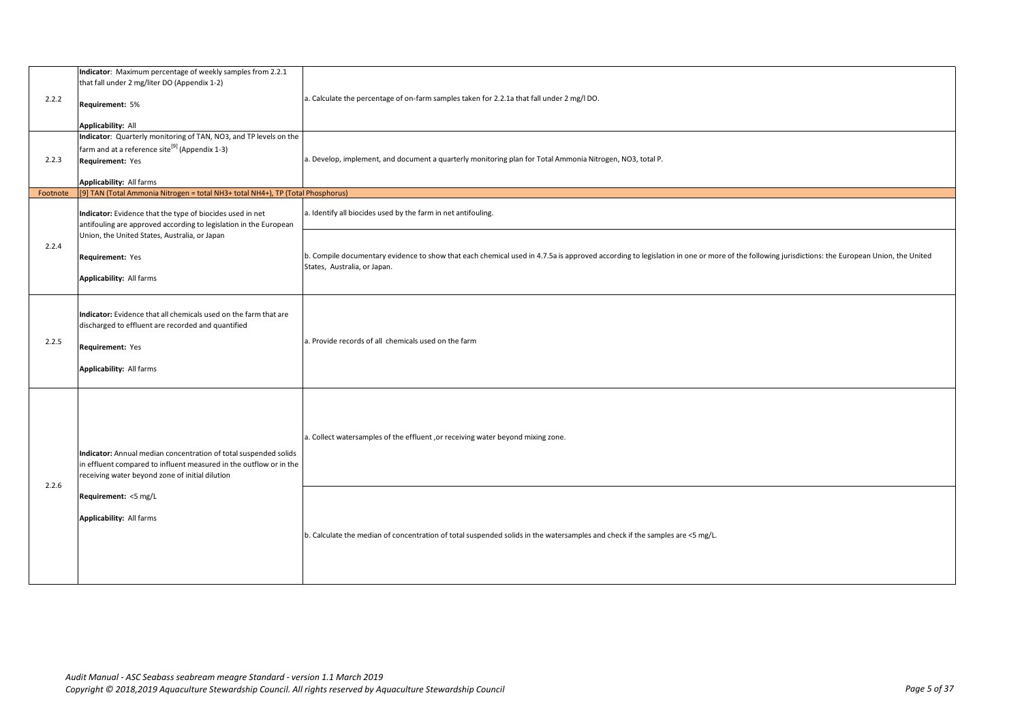| 2.2.2    | Indicator: Maximum percentage of weekly samples from 2.2.1<br>that fall under 2 mg/liter DO (Appendix 1-2)<br>Requirement: 5%<br><b>Applicability: All</b>                                                                                    | a. Calculate the percentage of on-farm samples taken for 2.2.1a that fall under 2 mg/l DO.                                                                                                                                   |
|----------|-----------------------------------------------------------------------------------------------------------------------------------------------------------------------------------------------------------------------------------------------|------------------------------------------------------------------------------------------------------------------------------------------------------------------------------------------------------------------------------|
| 2.2.3    | Indicator: Quarterly monitoring of TAN, NO3, and TP levels on the<br>farm and at a reference site <sup>[9]</sup> (Appendix 1-3)<br>Requirement: Yes<br>Applicability: All farms                                                               | a. Develop, implement, and document a quarterly monitoring plan for Total Ammonia Nitrogen, NO3, total P.                                                                                                                    |
| Footnote | [9] TAN (Total Ammonia Nitrogen = total NH3+ total NH4+), TP (Total Phosphorus)                                                                                                                                                               |                                                                                                                                                                                                                              |
|          | Indicator: Evidence that the type of biocides used in net<br>antifouling are approved according to legislation in the European                                                                                                                | a. Identify all biocides used by the farm in net antifouling.                                                                                                                                                                |
| 2.2.4    | Union, the United States, Australia, or Japan<br>Requirement: Yes<br>Applicability: All farms                                                                                                                                                 | b. Compile documentary evidence to show that each chemical used in 4.7.5a is approved according to legislation in one or more of the following jurisdictions: the European Union, the United<br>States, Australia, or Japan. |
| 2.2.5    | Indicator: Evidence that all chemicals used on the farm that are<br>discharged to effluent are recorded and quantified<br>Requirement: Yes<br>Applicability: All farms                                                                        | a. Provide records of all chemicals used on the farm                                                                                                                                                                         |
| 2.2.6    | Indicator: Annual median concentration of total suspended solids<br>in effluent compared to influent measured in the outflow or in the<br>receiving water beyond zone of initial dilution<br>Requirement: <5 mg/L<br>Applicability: All farms | a. Collect watersamples of the effluent , or receiving water beyond mixing zone.                                                                                                                                             |
|          |                                                                                                                                                                                                                                               | b. Calculate the median of concentration of total suspended solids in the watersamples and check if the samples are <5 mg/L.                                                                                                 |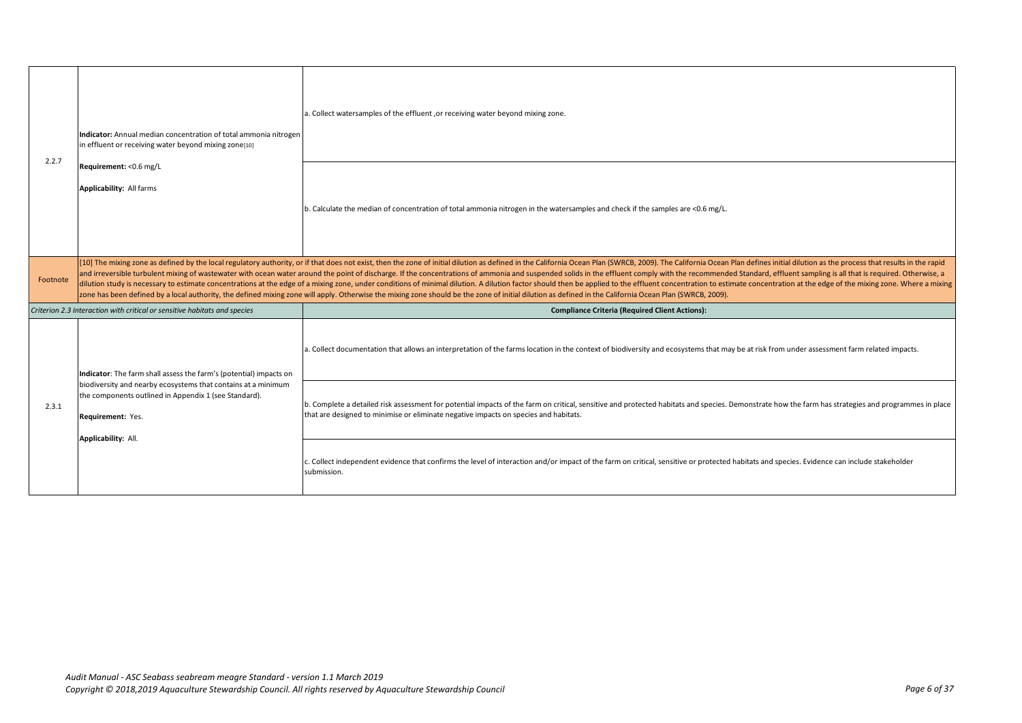| 2.2.7    | Indicator: Annual median concentration of total ammonia nitrogen<br>in effluent or receiving water beyond mixing zone[10]<br>Requirement: < 0.6 mg/L<br>Applicability: All farms                                                         | a. Collect watersamples of the effluent , or receiving water beyond mixing zone.                                                                                                                                                                                                                                                                                                                                                                                                                                                                                                                                                                                                                                                                                                                                                                                                                             |
|----------|------------------------------------------------------------------------------------------------------------------------------------------------------------------------------------------------------------------------------------------|--------------------------------------------------------------------------------------------------------------------------------------------------------------------------------------------------------------------------------------------------------------------------------------------------------------------------------------------------------------------------------------------------------------------------------------------------------------------------------------------------------------------------------------------------------------------------------------------------------------------------------------------------------------------------------------------------------------------------------------------------------------------------------------------------------------------------------------------------------------------------------------------------------------|
|          |                                                                                                                                                                                                                                          | b. Calculate the median of concentration of total ammonia nitrogen in the watersamples and check if the samples are <0.6 mg/L.                                                                                                                                                                                                                                                                                                                                                                                                                                                                                                                                                                                                                                                                                                                                                                               |
| Footnote |                                                                                                                                                                                                                                          | [10] The mixing zone as defined by the local regulatory authority, or if that does not exist, then the zone of initial dilution as defined in the California Ocean Plan (SWRCB, 2009). The California Ocean Plan defines initi<br>and irreversible turbulent mixing of wastewater with ocean water around the point of discharge. If the concentrations of ammonia and suspended solids in the effluent comply with the recommended Standard, effluent sampling<br>dilution study is necessary to estimate concentrations at the edge of a mixing zone, under conditions of minimal dilution. A dilution factor should then be applied to the effluent concentration to estimate concentration at<br>zone has been defined by a local authority, the defined mixing zone will apply. Otherwise the mixing zone should be the zone of initial dilution as defined in the California Ocean Plan (SWRCB, 2009). |
|          | Criterion 2.3 Interaction with critical or sensitive habitats and species                                                                                                                                                                | <b>Compliance Criteria (Required Client Actions):</b>                                                                                                                                                                                                                                                                                                                                                                                                                                                                                                                                                                                                                                                                                                                                                                                                                                                        |
| 2.3.1    | Indicator: The farm shall assess the farm's (potential) impacts on<br>biodiversity and nearby ecosystems that contains at a minimum<br>the components outlined in Appendix 1 (see Standard).<br>Requirement: Yes.<br>Applicability: All. | a. Collect documentation that allows an interpretation of the farms location in the context of biodiversity and ecosystems that may be at risk from under assessment farm related impacts.                                                                                                                                                                                                                                                                                                                                                                                                                                                                                                                                                                                                                                                                                                                   |
|          |                                                                                                                                                                                                                                          | b. Complete a detailed risk assessment for potential impacts of the farm on critical, sensitive and protected habitats and species. Demonstrate how the farm has strategies and programmes in place<br>that are designed to minimise or eliminate negative impacts on species and habitats.                                                                                                                                                                                                                                                                                                                                                                                                                                                                                                                                                                                                                  |
|          |                                                                                                                                                                                                                                          | c. Collect independent evidence that confirms the level of interaction and/or impact of the farm on critical, sensitive or protected habitats and species. Evidence can include stakeholder<br>submission.                                                                                                                                                                                                                                                                                                                                                                                                                                                                                                                                                                                                                                                                                                   |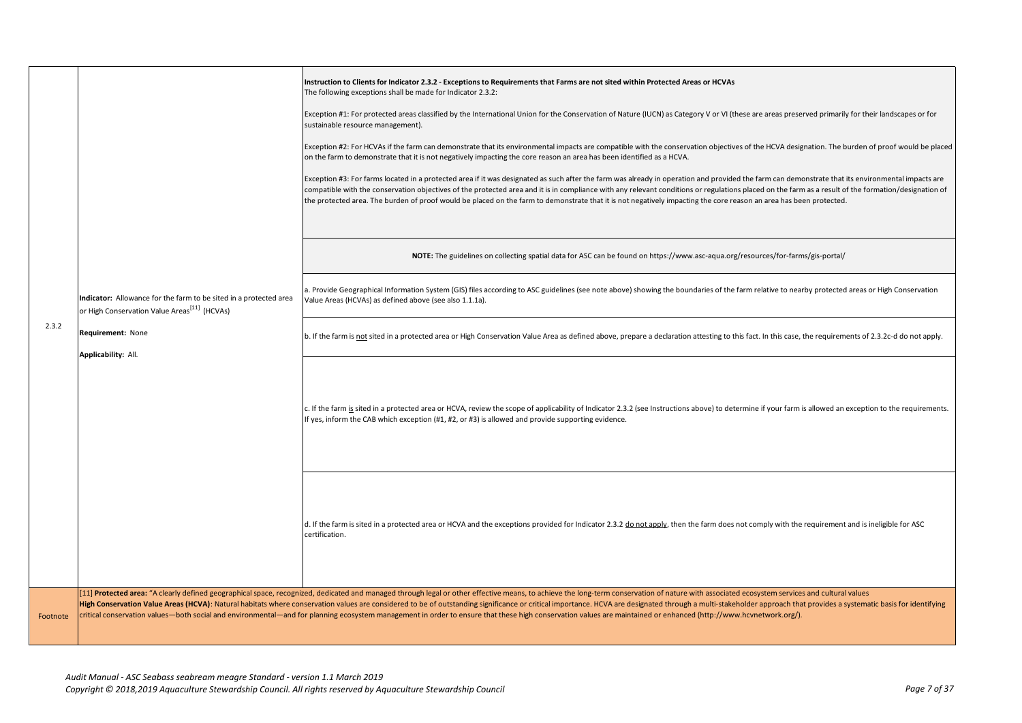|          |                                                                                                                                                                           | Instruction to Clients for Indicator 2.3.2 - Exceptions to Requirements that Farms are not sited within Protected Areas or HCVAs<br>The following exceptions shall be made for Indicator 2.3.2:<br>Exception #1: For protected areas classified by the International Union for the Conservation of Nature (IUCN) as Category V or VI (these are areas preserved primarily for their landscapes or for<br>sustainable resource management).<br>Exception #2: For HCVAs if the farm can demonstrate that its environmental impacts are compatible with the conservation objectives of the HCVA designation. The burden of proof would be placed<br>on the farm to demonstrate that it is not negatively impacting the core reason an area has been identified as a HCVA.<br>Exception #3: For farms located in a protected area if it was designated as such after the farm was already in operation and provided the farm can demonstrate that its environmental impacts are<br>compatible with the conservation objectives of the protected area and it is in compliance with any relevant conditions or regulations placed on the farm as a result of the formation/designation of<br>the protected area. The burden of proof would be placed on the farm to demonstrate that it is not negatively impacting the core reason an area has been protected. |
|----------|---------------------------------------------------------------------------------------------------------------------------------------------------------------------------|-----------------------------------------------------------------------------------------------------------------------------------------------------------------------------------------------------------------------------------------------------------------------------------------------------------------------------------------------------------------------------------------------------------------------------------------------------------------------------------------------------------------------------------------------------------------------------------------------------------------------------------------------------------------------------------------------------------------------------------------------------------------------------------------------------------------------------------------------------------------------------------------------------------------------------------------------------------------------------------------------------------------------------------------------------------------------------------------------------------------------------------------------------------------------------------------------------------------------------------------------------------------------------------------------------------------------------------------------------------|
|          |                                                                                                                                                                           |                                                                                                                                                                                                                                                                                                                                                                                                                                                                                                                                                                                                                                                                                                                                                                                                                                                                                                                                                                                                                                                                                                                                                                                                                                                                                                                                                           |
|          |                                                                                                                                                                           | NOTE: The guidelines on collecting spatial data for ASC can be found on https://www.asc-aqua.org/resources/for-farms/gis-portal/                                                                                                                                                                                                                                                                                                                                                                                                                                                                                                                                                                                                                                                                                                                                                                                                                                                                                                                                                                                                                                                                                                                                                                                                                          |
|          | Indicator: Allowance for the farm to be sited in a protected area<br>or High Conservation Value Areas <sup>[11]</sup> (HCVAs)<br>Requirement: None<br>Applicability: All. | a. Provide Geographical Information System (GIS) files according to ASC guidelines (see note above) showing the boundaries of the farm relative to nearby protected areas or High Conservation<br>Value Areas (HCVAs) as defined above (see also 1.1.1a).                                                                                                                                                                                                                                                                                                                                                                                                                                                                                                                                                                                                                                                                                                                                                                                                                                                                                                                                                                                                                                                                                                 |
| 2.3.2    |                                                                                                                                                                           | b. If the farm is not sited in a protected area or High Conservation Value Area as defined above, prepare a declaration attesting to this fact. In this case, the requirements of 2.3.2c-d do not apply.                                                                                                                                                                                                                                                                                                                                                                                                                                                                                                                                                                                                                                                                                                                                                                                                                                                                                                                                                                                                                                                                                                                                                  |
|          |                                                                                                                                                                           | c. If the farm is sited in a protected area or HCVA, review the scope of applicability of Indicator 2.3.2 (see Instructions above) to determine if your farm is allowed an exception to the requirements.<br>If yes, inform the CAB which exception (#1, #2, or #3) is allowed and provide supporting evidence.                                                                                                                                                                                                                                                                                                                                                                                                                                                                                                                                                                                                                                                                                                                                                                                                                                                                                                                                                                                                                                           |
|          |                                                                                                                                                                           | d. If the farm is sited in a protected area or HCVA and the exceptions provided for Indicator 2.3.2 do not apply, then the farm does not comply with the requirement and is ineligible for ASC<br>certification.                                                                                                                                                                                                                                                                                                                                                                                                                                                                                                                                                                                                                                                                                                                                                                                                                                                                                                                                                                                                                                                                                                                                          |
| Footnote |                                                                                                                                                                           | [11] Protected area: "A clearly defined geographical space, recognized, dedicated and managed through legal or other effective means, to achieve the long-term conservation of nature with associated ecosystem services and c<br>High Conservation Value Areas (HCVA): Natural habitats where conservation values are considered to be of outstanding significance or critical importance. HCVA are designated through a multi-stakeholder approach that provid<br>critical conservation values-both social and environmental-and for planning ecosystem management in order to ensure that these high conservation values are maintained or enhanced (http://www.hcvnetwork.org/).                                                                                                                                                                                                                                                                                                                                                                                                                                                                                                                                                                                                                                                                      |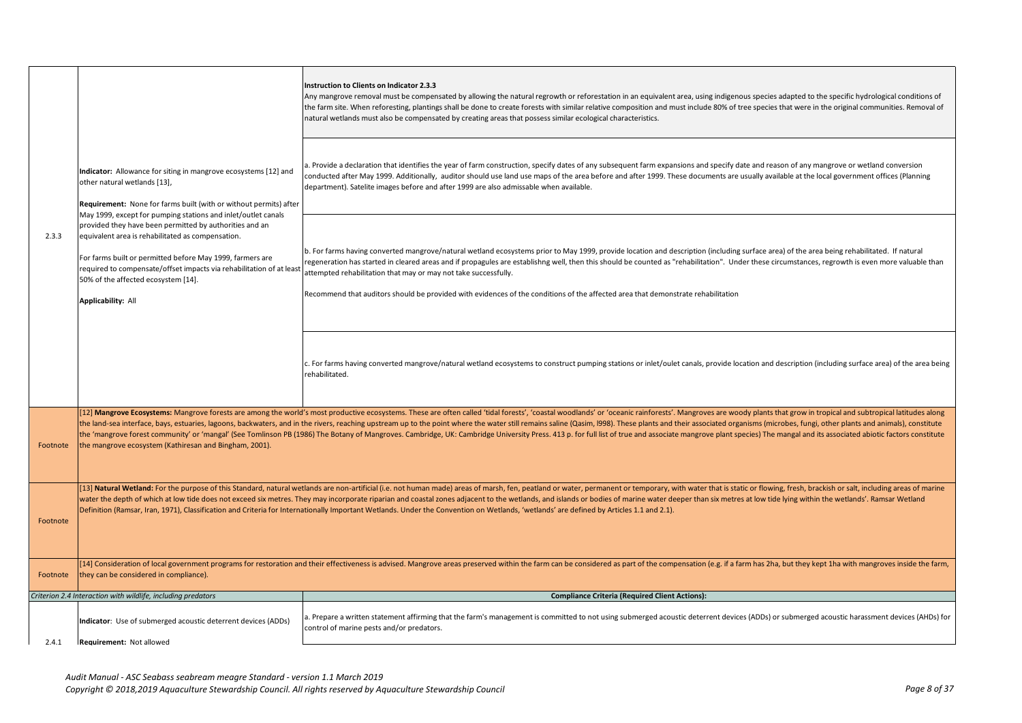|          |                                                                                                                                                                                                                                                                                                                                                                                                                                                                                                                                                         | Instruction to Clients on Indicator 2.3.3<br>Any mangrove removal must be compensated by allowing the natural regrowth or reforestation in an equivalent area, using indigenous species adapted to the specific hydrological conditions of<br>the farm site. When reforesting, plantings shall be done to create forests with similar relative composition and must include 80% of tree species that were in the original communities. Removal of<br>natural wetlands must also be compensated by creating areas that possess similar ecological characteristics.                                                                                                                                 |
|----------|---------------------------------------------------------------------------------------------------------------------------------------------------------------------------------------------------------------------------------------------------------------------------------------------------------------------------------------------------------------------------------------------------------------------------------------------------------------------------------------------------------------------------------------------------------|---------------------------------------------------------------------------------------------------------------------------------------------------------------------------------------------------------------------------------------------------------------------------------------------------------------------------------------------------------------------------------------------------------------------------------------------------------------------------------------------------------------------------------------------------------------------------------------------------------------------------------------------------------------------------------------------------|
| 2.3.3    | Indicator: Allowance for siting in mangrove ecosystems [12] and<br>other natural wetlands [13],<br>Requirement: None for farms built (with or without permits) after<br>May 1999, except for pumping stations and inlet/outlet canals<br>provided they have been permitted by authorities and an<br>equivalent area is rehabilitated as compensation.<br>For farms built or permitted before May 1999, farmers are<br>required to compensate/offset impacts via rehabilitation of at least<br>50% of the affected ecosystem [14].<br>Applicability: All | a. Provide a declaration that identifies the year of farm construction, specify dates of any subsequent farm expansions and specify date and reason of any mangrove or wetland conversion<br>conducted after May 1999. Additionally, auditor should use land use maps of the area before and after 1999. These documents are usually available at the local government offices (Planning<br>department). Satelite images before and after 1999 are also admissable when available.                                                                                                                                                                                                                |
|          |                                                                                                                                                                                                                                                                                                                                                                                                                                                                                                                                                         | b. For farms having converted mangrove/natural wetland ecosystems prior to May 1999, provide location and description (including surface area) of the area being rehabilitated. If natural<br>regeneration has started in cleared areas and if propagules are establishng well, then this should be counted as "rehabilitation". Under these circumstances, regrowth is even more valuable than<br>attempted rehabilitation that may or may not take successfully.<br>Recommend that auditors should be provided with evidences of the conditions of the affected area that demonstrate rehabilitation                                                                                            |
|          |                                                                                                                                                                                                                                                                                                                                                                                                                                                                                                                                                         | c. For farms having converted mangrove/natural wetland ecosystems to construct pumping stations or inlet/oulet canals, provide location and description (including surface area) of the area being<br>rehabilitated.                                                                                                                                                                                                                                                                                                                                                                                                                                                                              |
| Footnote | the mangrove ecosystem (Kathiresan and Bingham, 2001).                                                                                                                                                                                                                                                                                                                                                                                                                                                                                                  | [12] Mangrove Ecosystems: Mangrove forests are among the world's most productive ecosystems. These are often called 'tidal forests', 'coastal woodlands' or 'oceanic rainforests'. Mangroves are woody plants that grow in tro<br>the land-sea interface, bays, estuaries, lagoons, backwaters, and in the rivers, reaching upstream up to the point where the water still remains saline (Qasim, l998). These plants and their associated organisms (microbes,<br>the 'mangrove forest community' or 'mangal' (See Tomlinson PB (1986) The Botany of Mangroves. Cambridge, UK: Cambridge University Press. 413 p. for full list of true and associate mangrove plant species) The mangal and its |
| Footnote |                                                                                                                                                                                                                                                                                                                                                                                                                                                                                                                                                         | [13] Natural Wetland: For the purpose of this Standard, natural wetlands are non-artificial (i.e. not human made) areas of marsh, fen, peatland or water, permanent or temporary, with water that is static or flowing, fresh,<br>water the depth of which at low tide does not exceed six metres. They may incorporate riparian and coastal zones adjacent to the wetlands, and islands or bodies of marine water deeper than six metres at low tide lying with<br>Definition (Ramsar, Iran, 1971), Classification and Criteria for Internationally Important Wetlands. Under the Convention on Wetlands, 'wetlands' are defined by Articles 1.1 and 2.1).                                       |
| Footnote | they can be considered in compliance).                                                                                                                                                                                                                                                                                                                                                                                                                                                                                                                  | [14] Consideration of local government programs for restoration and their effectiveness is advised. Mangrove areas preserved within the farm can be considered as part of the compensation (e.g. if a farm has 2ha, but they k                                                                                                                                                                                                                                                                                                                                                                                                                                                                    |
|          | Criterion 2.4 Interaction with wildlife, including predators                                                                                                                                                                                                                                                                                                                                                                                                                                                                                            | <b>Compliance Criteria (Required Client Actions):</b>                                                                                                                                                                                                                                                                                                                                                                                                                                                                                                                                                                                                                                             |
|          | Indicator: Use of submerged acoustic deterrent devices (ADDs)                                                                                                                                                                                                                                                                                                                                                                                                                                                                                           | a. Prepare a written statement affirming that the farm's management is committed to not using submerged acoustic deterrent devices (ADDs) or submerged acoustic harassment devices (AHDs) for<br>control of marine pests and/or predators.                                                                                                                                                                                                                                                                                                                                                                                                                                                        |
| 2.4.1    | <b>Requirement: Not allowed</b>                                                                                                                                                                                                                                                                                                                                                                                                                                                                                                                         |                                                                                                                                                                                                                                                                                                                                                                                                                                                                                                                                                                                                                                                                                                   |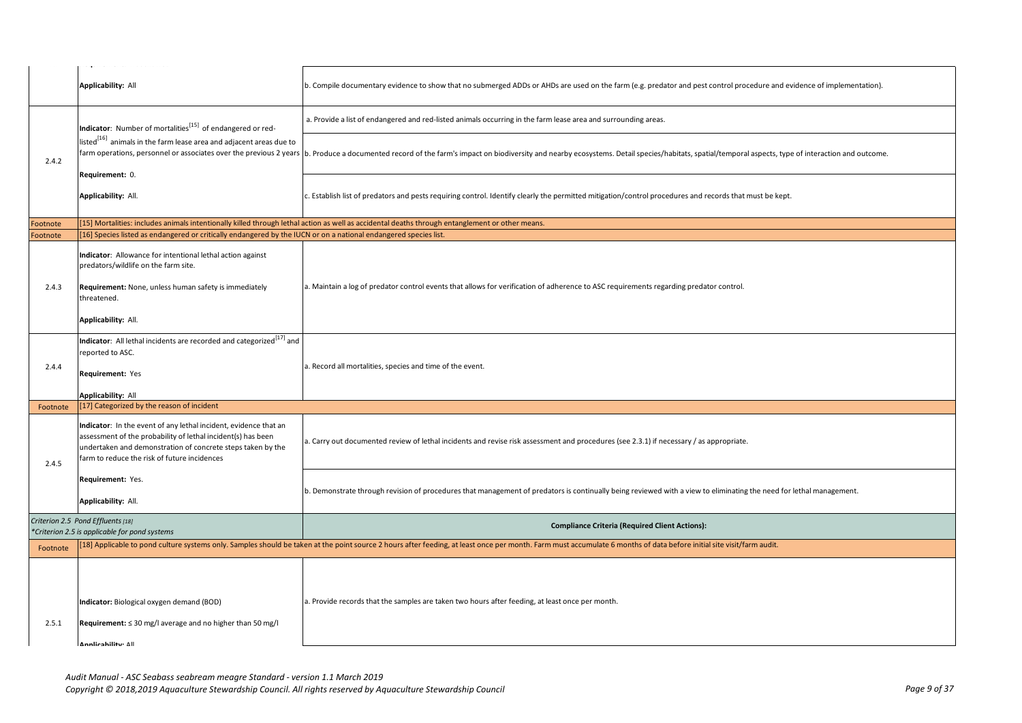|          | again anns anns 1972 a anns 1982                                                                                                                                                                                                                |                                                                                                                                                                                                                       |
|----------|-------------------------------------------------------------------------------------------------------------------------------------------------------------------------------------------------------------------------------------------------|-----------------------------------------------------------------------------------------------------------------------------------------------------------------------------------------------------------------------|
|          | <b>Applicability: All</b>                                                                                                                                                                                                                       | b. Compile documentary evidence to show that no submerged ADDs or AHDs are used on the farm (e.g. predator and pest control procedure and evidence of implementation).                                                |
|          | Indicator: Number of mortalities <sup>[15]</sup> of endangered or red-                                                                                                                                                                          | a. Provide a list of endangered and red-listed animals occurring in the farm lease area and surrounding areas.                                                                                                        |
| 2.4.2    | listed <sup>[16]</sup> animals in the farm lease area and adjacent areas due to<br>farm operations, personnel or associates over the previous 2 years                                                                                           | b. Produce a documented record of the farm's impact on biodiversity and nearby ecosystems. Detail species/habitats, spatial/temporal aspects, type of interaction and outcome.                                        |
|          | Requirement: 0.<br>Applicability: All.                                                                                                                                                                                                          | c. Establish list of predators and pests requiring control. Identify clearly the permitted mitigation/control procedures and records that must be kept.                                                               |
| Footnote |                                                                                                                                                                                                                                                 | [15] Mortalities: includes animals intentionally killed through lethal action as well as accidental deaths through entanglement or other means.                                                                       |
| Footnote | [16] Species listed as endangered or critically endangered by the IUCN or on a national endangered species list.                                                                                                                                |                                                                                                                                                                                                                       |
| 2.4.3    | Indicator: Allowance for intentional lethal action against<br>predators/wildlife on the farm site.<br>Requirement: None, unless human safety is immediately<br>threatened.<br>Applicability: All.                                               | a. Maintain a log of predator control events that allows for verification of adherence to ASC requirements regarding predator control.                                                                                |
| 2.4.4    | Indicator: All lethal incidents are recorded and categorized <sup>[17]</sup> and<br>reported to ASC.<br>Requirement: Yes<br>Applicability: All                                                                                                  | a. Record all mortalities, species and time of the event.                                                                                                                                                             |
| Footnote | [17] Categorized by the reason of incident                                                                                                                                                                                                      |                                                                                                                                                                                                                       |
| 2.4.5    | Indicator: In the event of any lethal incident, evidence that an<br>assessment of the probability of lethal incident(s) has been<br>undertaken and demonstration of concrete steps taken by the<br>farm to reduce the risk of future incidences | a. Carry out documented review of lethal incidents and revise risk assessment and procedures (see 2.3.1) if necessary / as appropriate.                                                                               |
|          | Requirement: Yes.<br>Applicability: All.                                                                                                                                                                                                        | b. Demonstrate through revision of procedures that management of predators is continually being reviewed with a view to eliminating the need for lethal management.                                                   |
|          | Criterion 2.5 Pond Effluents [18]<br>*Criterion 2.5 is applicable for pond systems                                                                                                                                                              | <b>Compliance Criteria (Required Client Actions):</b>                                                                                                                                                                 |
|          |                                                                                                                                                                                                                                                 | [18] Applicable to pond culture systems only. Samples should be taken at the point source 2 hours after feeding, at least once per month. Farm must accumulate 6 months of data before initial site visit/farm audit. |
| Footnote |                                                                                                                                                                                                                                                 |                                                                                                                                                                                                                       |
| 2.5.1    | Indicator: Biological oxygen demand (BOD)<br>Requirement: $\leq$ 30 mg/l average and no higher than 50 mg/l<br>Annlicahility: All                                                                                                               | a. Provide records that the samples are taken two hours after feeding, at least once per month.                                                                                                                       |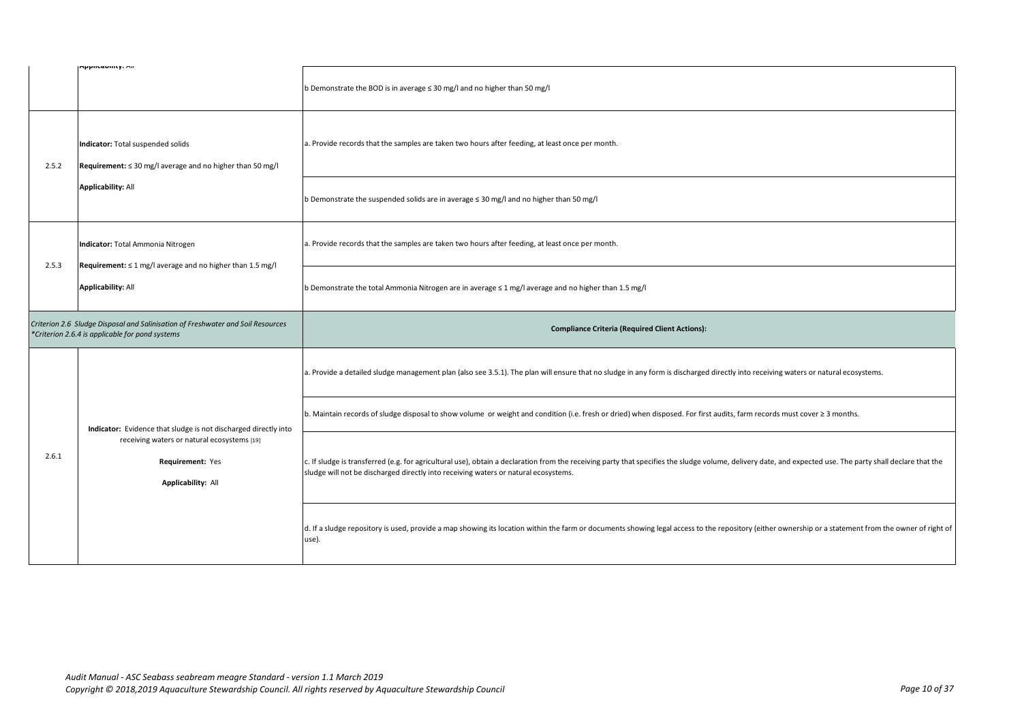|       | mpplicability. mil                                                                                                                                       | b Demonstrate the BOD is in average ≤ 30 mg/l and no higher than 50 mg/l                                                                                                                                                                                                                          |
|-------|----------------------------------------------------------------------------------------------------------------------------------------------------------|---------------------------------------------------------------------------------------------------------------------------------------------------------------------------------------------------------------------------------------------------------------------------------------------------|
| 2.5.2 | Indicator: Total suspended solids<br>Requirement: $\leq$ 30 mg/l average and no higher than 50 mg/l<br><b>Applicability: All</b>                         | a. Provide records that the samples are taken two hours after feeding, at least once per month.                                                                                                                                                                                                   |
|       |                                                                                                                                                          | b Demonstrate the suspended solids are in average ≤ 30 mg/l and no higher than 50 mg/l                                                                                                                                                                                                            |
| 2.5.3 | Indicator: Total Ammonia Nitrogen<br>Requirement: $\leq 1$ mg/l average and no higher than 1.5 mg/l<br><b>Applicability: All</b>                         | a. Provide records that the samples are taken two hours after feeding, at least once per month.                                                                                                                                                                                                   |
|       |                                                                                                                                                          | b Demonstrate the total Ammonia Nitrogen are in average $\leq 1$ mg/l average and no higher than 1.5 mg/l                                                                                                                                                                                         |
|       | Criterion 2.6 Sludge Disposal and Salinisation of Freshwater and Soil Resources<br>*Criterion 2.6.4 is applicable for pond systems                       | <b>Compliance Criteria (Required Client Actions):</b>                                                                                                                                                                                                                                             |
|       | Indicator: Evidence that sludge is not discharged directly into<br>receiving waters or natural ecosystems [19]<br>Requirement: Yes<br>Applicability: All | a. Provide a detailed sludge management plan (also see 3.5.1). The plan will ensure that no sludge in any form is discharged directly into receiving waters or natural ecosystems.                                                                                                                |
|       |                                                                                                                                                          | b. Maintain records of sludge disposal to show volume or weight and condition (i.e. fresh or dried) when disposed. For first audits, farm records must cover ≥ 3 months.                                                                                                                          |
| 2.6.1 |                                                                                                                                                          | c. If sludge is transferred (e.g. for agricultural use), obtain a declaration from the receiving party that specifies the sludge volume, delivery date, and expected use. The party shall declare that the<br>sludge will not be discharged directly into receiving waters or natural ecosystems. |
|       |                                                                                                                                                          |                                                                                                                                                                                                                                                                                                   |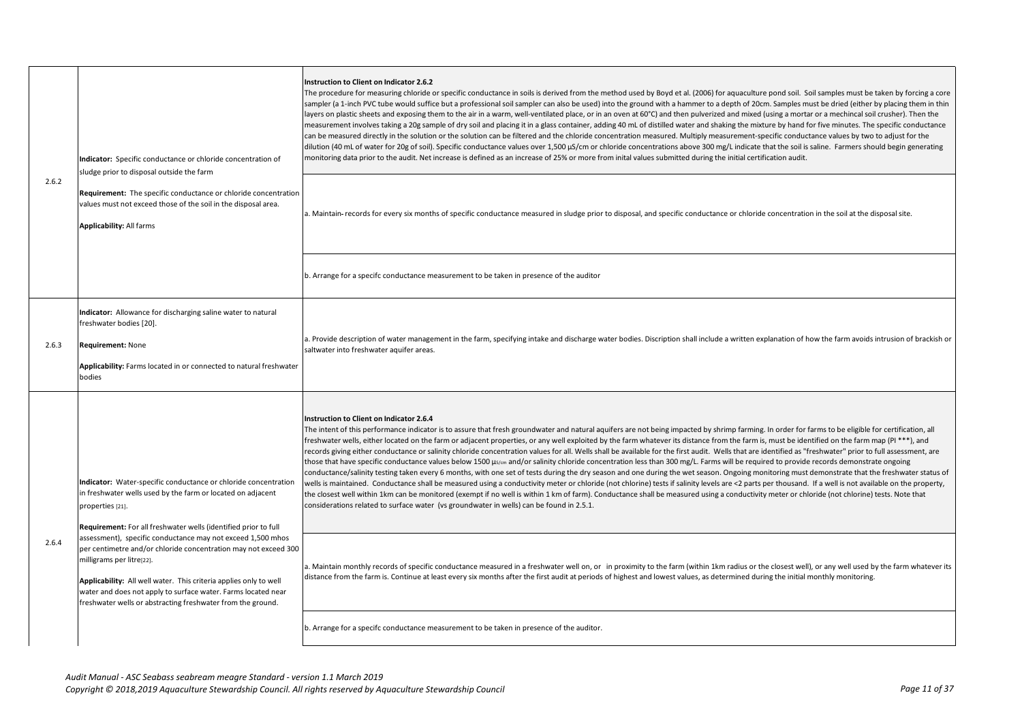| 2.6.2 | Indicator: Specific conductance or chloride concentration of<br>sludge prior to disposal outside the farm<br>Requirement: The specific conductance or chloride concentration<br>values must not exceed those of the soil in the disposal area.<br><b>Applicability: All farms</b>                                                                                                                                                                                                                                                                                                         | Instruction to Client on Indicator 2.6.2<br>The procedure for measuring chloride or specific conductance in soils is derived from the method used by Boyd et al. (2006) for aquaculture pond soil. Soil samples must be taken by forcing a core<br>sampler (a 1-inch PVC tube would suffice but a professional soil sampler can also be used) into the ground with a hammer to a depth of 20cm. Samples must be dried (either by placing them in thin<br>layers on plastic sheets and exposing them to the air in a warm, well-ventilated place, or in an oven at 60°C) and then pulverized and mixed (using a mortar or a mechincal soil crusher). Then the<br>measurement involves taking a 20g sample of dry soil and placing it in a glass container, adding 40 mL of distilled water and shaking the mixture by hand for five minutes. The specific conductance<br>can be measured directly in the solution or the solution can be filtered and the chloride concentration measured. Multiply measurement-specific conductance values by two to adjust for the<br>dilution (40 mL of water for 20g of soil). Specific conductance values over 1,500 µS/cm or chloride concentrations above 300 mg/L indicate that the soil is saline. Farmers should begin generating<br>monitoring data prior to the audit. Net increase is defined as an increase of 25% or more from inital values submitted during the initial certification audit.<br>a. Maintain-records for every six months of specific conductance measured in sludge prior to disposal, and specific conductance or chloride concentration in the soil at the disposal site.                                                                                                                                                                                                                                                                                                                         |
|-------|-------------------------------------------------------------------------------------------------------------------------------------------------------------------------------------------------------------------------------------------------------------------------------------------------------------------------------------------------------------------------------------------------------------------------------------------------------------------------------------------------------------------------------------------------------------------------------------------|---------------------------------------------------------------------------------------------------------------------------------------------------------------------------------------------------------------------------------------------------------------------------------------------------------------------------------------------------------------------------------------------------------------------------------------------------------------------------------------------------------------------------------------------------------------------------------------------------------------------------------------------------------------------------------------------------------------------------------------------------------------------------------------------------------------------------------------------------------------------------------------------------------------------------------------------------------------------------------------------------------------------------------------------------------------------------------------------------------------------------------------------------------------------------------------------------------------------------------------------------------------------------------------------------------------------------------------------------------------------------------------------------------------------------------------------------------------------------------------------------------------------------------------------------------------------------------------------------------------------------------------------------------------------------------------------------------------------------------------------------------------------------------------------------------------------------------------------------------------------------------------------------------------------------------------------------------------------|
|       |                                                                                                                                                                                                                                                                                                                                                                                                                                                                                                                                                                                           | b. Arrange for a specifc conductance measurement to be taken in presence of the auditor                                                                                                                                                                                                                                                                                                                                                                                                                                                                                                                                                                                                                                                                                                                                                                                                                                                                                                                                                                                                                                                                                                                                                                                                                                                                                                                                                                                                                                                                                                                                                                                                                                                                                                                                                                                                                                                                             |
| 2.6.3 | Indicator: Allowance for discharging saline water to natural<br>freshwater bodies [20].<br>Requirement: None<br>Applicability: Farms located in or connected to natural freshwater<br>bodies                                                                                                                                                                                                                                                                                                                                                                                              | a. Provide description of water management in the farm, specifying intake and discharge water bodies. Discription shall include a written explanation of how the farm avoids intrusion of brackish or<br>saltwater into freshwater aquifer areas.                                                                                                                                                                                                                                                                                                                                                                                                                                                                                                                                                                                                                                                                                                                                                                                                                                                                                                                                                                                                                                                                                                                                                                                                                                                                                                                                                                                                                                                                                                                                                                                                                                                                                                                   |
| 2.6.4 | Indicator: Water-specific conductance or chloride concentration<br>in freshwater wells used by the farm or located on adjacent<br>properties [21].<br>Requirement: For all freshwater wells (identified prior to full<br>assessment), specific conductance may not exceed 1,500 mhos<br>per centimetre and/or chloride concentration may not exceed 300<br>milligrams per litre[22].<br>Applicability: All well water. This criteria applies only to well<br>water and does not apply to surface water. Farms located near<br>freshwater wells or abstracting freshwater from the ground. | Instruction to Client on Indicator 2.6.4<br>The intent of this performance indicator is to assure that fresh groundwater and natural aquifers are not being impacted by shrimp farming. In order for farms to be eligible for certification, all<br>freshwater wells, either located on the farm or adjacent properties, or any well exploited by the farm whatever its distance from the farm is, must be identified on the farm map (PI ***), and<br>records giving either conductance or salinity chloride concentration values for all. Wells shall be available for the first audit. Wells that are identified as "freshwater" prior to full assessment, are<br>those that have specific conductance values below 1500 µs/cm and/or salinity chloride concentration less than 300 mg/L. Farms will be required to provide records demonstrate ongoing<br>conductance/salinity testing taken every 6 months, with one set of tests during the dry season and one during the wet season. Ongoing monitoring must demonstrate that the freshwater status of<br>wells is maintained. Conductance shall be measured using a conductivity meter or chloride (not chlorine) tests if salinity levels are <2 parts per thousand. If a well is not available on the property,<br>the closest well within 1km can be monitored (exempt if no well is within 1 km of farm). Conductance shall be measured using a conductivity meter or chloride (not chlorine) tests. Note that<br>considerations related to surface water (vs groundwater in wells) can be found in 2.5.1.<br>a. Maintain monthly records of specific conductance measured in a freshwater well on, or in proximity to the farm (within 1km radius or the closest well), or any well used by the farm whatever its<br>distance from the farm is. Continue at least every six months after the first audit at periods of highest and lowest values, as determined during the initial monthly monitoring. |
|       |                                                                                                                                                                                                                                                                                                                                                                                                                                                                                                                                                                                           | b. Arrange for a specifc conductance measurement to be taken in presence of the auditor.                                                                                                                                                                                                                                                                                                                                                                                                                                                                                                                                                                                                                                                                                                                                                                                                                                                                                                                                                                                                                                                                                                                                                                                                                                                                                                                                                                                                                                                                                                                                                                                                                                                                                                                                                                                                                                                                            |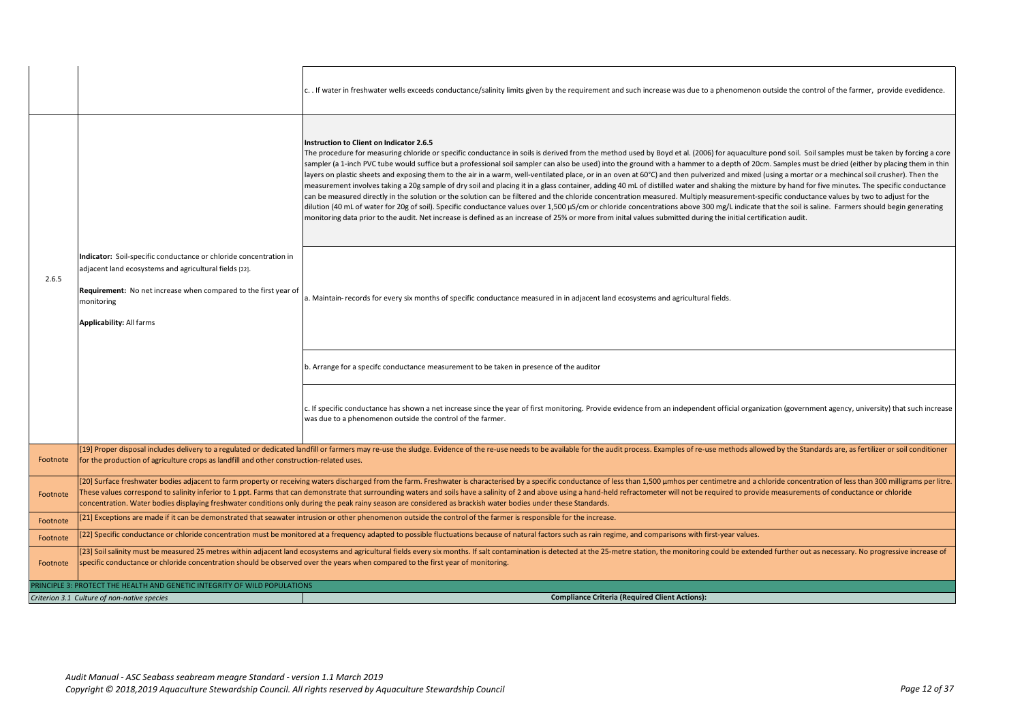|          |                                                                                                                                                                                                                                                                                                                                                                   | c. If water in freshwater wells exceeds conductance/salinity limits given by the requirement and such increase was due to a phenomenon outside the control of the farmer, provide evedidence.                                                                                                                                                                                                                                                                                                                                                                                                                                                                                                                                                                                                                                                                                                                                                                                                                                                                                                                                                                                                                                                                                                                                                                                                                                                |
|----------|-------------------------------------------------------------------------------------------------------------------------------------------------------------------------------------------------------------------------------------------------------------------------------------------------------------------------------------------------------------------|----------------------------------------------------------------------------------------------------------------------------------------------------------------------------------------------------------------------------------------------------------------------------------------------------------------------------------------------------------------------------------------------------------------------------------------------------------------------------------------------------------------------------------------------------------------------------------------------------------------------------------------------------------------------------------------------------------------------------------------------------------------------------------------------------------------------------------------------------------------------------------------------------------------------------------------------------------------------------------------------------------------------------------------------------------------------------------------------------------------------------------------------------------------------------------------------------------------------------------------------------------------------------------------------------------------------------------------------------------------------------------------------------------------------------------------------|
|          |                                                                                                                                                                                                                                                                                                                                                                   | Instruction to Client on Indicator 2.6.5<br>The procedure for measuring chloride or specific conductance in soils is derived from the method used by Boyd et al. (2006) for aquaculture pond soil. Soil samples must be taken by forcing a core<br>sampler (a 1-inch PVC tube would suffice but a professional soil sampler can also be used) into the ground with a hammer to a depth of 20cm. Samples must be dried (either by placing them in thin<br>layers on plastic sheets and exposing them to the air in a warm, well-ventilated place, or in an oven at 60°C) and then pulverized and mixed (using a mortar or a mechincal soil crusher). Then the<br>measurement involves taking a 20g sample of dry soil and placing it in a glass container, adding 40 mL of distilled water and shaking the mixture by hand for five minutes. The specific conductance<br>can be measured directly in the solution or the solution can be filtered and the chloride concentration measured. Multiply measurement-specific conductance values by two to adjust for the<br>dilution (40 mL of water for 20g of soil). Specific conductance values over 1,500 µS/cm or chloride concentrations above 300 mg/L indicate that the soil is saline. Farmers should begin generating<br>monitoring data prior to the audit. Net increase is defined as an increase of 25% or more from inital values submitted during the initial certification audit. |
| 2.6.5    | Indicator: Soil-specific conductance or chloride concentration in<br>adjacent land ecosystems and agricultural fields [22].<br>Requirement: No net increase when compared to the first year of<br>monitoring<br><b>Applicability: All farms</b>                                                                                                                   | a. Maintain- records for every six months of specific conductance measured in in adjacent land ecosystems and agricultural fields.                                                                                                                                                                                                                                                                                                                                                                                                                                                                                                                                                                                                                                                                                                                                                                                                                                                                                                                                                                                                                                                                                                                                                                                                                                                                                                           |
|          |                                                                                                                                                                                                                                                                                                                                                                   | b. Arrange for a specifc conductance measurement to be taken in presence of the auditor                                                                                                                                                                                                                                                                                                                                                                                                                                                                                                                                                                                                                                                                                                                                                                                                                                                                                                                                                                                                                                                                                                                                                                                                                                                                                                                                                      |
|          |                                                                                                                                                                                                                                                                                                                                                                   | c. If specific conductance has shown a net increase since the year of first monitoring. Provide evidence from an independent official organization (government agency, university) that such increase<br>was due to a phenomenon outside the control of the farmer.                                                                                                                                                                                                                                                                                                                                                                                                                                                                                                                                                                                                                                                                                                                                                                                                                                                                                                                                                                                                                                                                                                                                                                          |
| Footnote | for the production of agriculture crops as landfill and other construction-related uses.                                                                                                                                                                                                                                                                          | [19] Proper disposal includes delivery to a regulated or dedicated landfill or farmers may re-use the sludge. Evidence of the re-use needs to be available for the audit process. Examples of re-use methods allowed by the St                                                                                                                                                                                                                                                                                                                                                                                                                                                                                                                                                                                                                                                                                                                                                                                                                                                                                                                                                                                                                                                                                                                                                                                                               |
| Footnote |                                                                                                                                                                                                                                                                                                                                                                   | [20] Surface freshwater bodies adjacent to farm property or receiving waters discharged from the farm. Freshwater is characterised by a specific conductance of less than 1,500 µmhos per centimetre and a chloride concentrat<br>These values correspond to salinity inferior to 1 ppt. Farms that can demonstrate that surrounding waters and soils have a salinity of 2 and above using a hand-held refractometer will not be required to provide measurement<br>concentration. Water bodies displaying freshwater conditions only during the peak rainy season are considered as brackish water bodies under these Standards.                                                                                                                                                                                                                                                                                                                                                                                                                                                                                                                                                                                                                                                                                                                                                                                                            |
| Footnote |                                                                                                                                                                                                                                                                                                                                                                   | [21] Exceptions are made if it can be demonstrated that seawater intrusion or other phenomenon outside the control of the farmer is responsible for the increase.                                                                                                                                                                                                                                                                                                                                                                                                                                                                                                                                                                                                                                                                                                                                                                                                                                                                                                                                                                                                                                                                                                                                                                                                                                                                            |
| Footnote |                                                                                                                                                                                                                                                                                                                                                                   | [22] Specific conductance or chloride concentration must be monitored at a frequency adapted to possible fluctuations because of natural factors such as rain regime, and comparisons with first-year values.                                                                                                                                                                                                                                                                                                                                                                                                                                                                                                                                                                                                                                                                                                                                                                                                                                                                                                                                                                                                                                                                                                                                                                                                                                |
| Footnote | [23] Soil salinity must be measured 25 metres within adjacent land ecosystems and agricultural fields every six months. If salt contamination is detected at the 25-metre station, the monitoring could be extended further ou<br>specific conductance or chloride concentration should be observed over the years when compared to the first year of monitoring. |                                                                                                                                                                                                                                                                                                                                                                                                                                                                                                                                                                                                                                                                                                                                                                                                                                                                                                                                                                                                                                                                                                                                                                                                                                                                                                                                                                                                                                              |
|          | RINCIPLE 3: PROTECT THE HEALTH AND GENETIC INTEGRITY OF WILD POPULATIONS                                                                                                                                                                                                                                                                                          |                                                                                                                                                                                                                                                                                                                                                                                                                                                                                                                                                                                                                                                                                                                                                                                                                                                                                                                                                                                                                                                                                                                                                                                                                                                                                                                                                                                                                                              |
|          | Criterion 3.1 Culture of non-native species                                                                                                                                                                                                                                                                                                                       | <b>Compliance Criteria (Required Client Actions):</b>                                                                                                                                                                                                                                                                                                                                                                                                                                                                                                                                                                                                                                                                                                                                                                                                                                                                                                                                                                                                                                                                                                                                                                                                                                                                                                                                                                                        |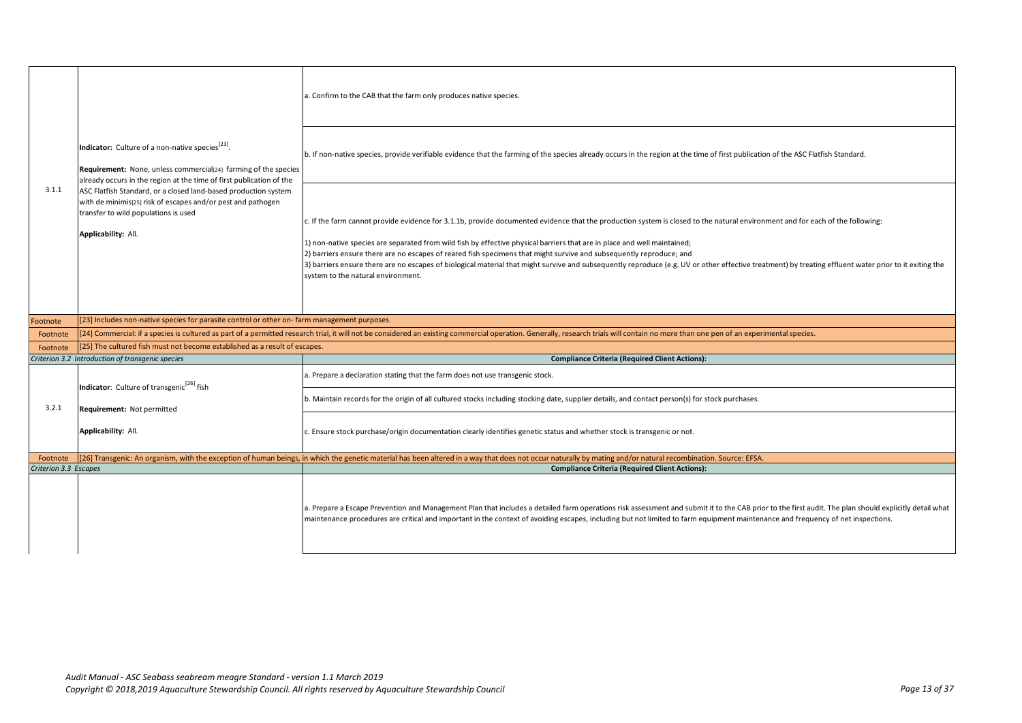| 3.1.1                 | Indicator: Culture of a non-native species <sup>[23]</sup> .<br><b>Requirement:</b> None, unless commercial <sup>[24]</sup> farming of the species<br>already occurs in the region at the time of first publication of the<br>ASC Flatfish Standard, or a closed land-based production system<br>with de minimis[25] risk of escapes and/or pest and pathogen<br>transfer to wild populations is used<br>Applicability: All. | a. Confirm to the CAB that the farm only produces native species.                                                                                                                                                                                                                                                                                                                                                                                                                                                                                                                                                                                                                |
|-----------------------|------------------------------------------------------------------------------------------------------------------------------------------------------------------------------------------------------------------------------------------------------------------------------------------------------------------------------------------------------------------------------------------------------------------------------|----------------------------------------------------------------------------------------------------------------------------------------------------------------------------------------------------------------------------------------------------------------------------------------------------------------------------------------------------------------------------------------------------------------------------------------------------------------------------------------------------------------------------------------------------------------------------------------------------------------------------------------------------------------------------------|
|                       |                                                                                                                                                                                                                                                                                                                                                                                                                              | b. If non-native species, provide verifiable evidence that the farming of the species already occurs in the region at the time of first publication of the ASC Flatfish Standard.                                                                                                                                                                                                                                                                                                                                                                                                                                                                                                |
|                       |                                                                                                                                                                                                                                                                                                                                                                                                                              | c. If the farm cannot provide evidence for 3.1.1b, provide documented evidence that the production system is closed to the natural environment and for each of the following:<br>1) non-native species are separated from wild fish by effective physical barriers that are in place and well maintained;<br>2) barriers ensure there are no escapes of reared fish specimens that might survive and subsequently reproduce; and<br>3) barriers ensure there are no escapes of biological material that might survive and subsequently reproduce (e.g. UV or other effective treatment) by treating effluent water prior to it exiting the<br>system to the natural environment. |
| ootnote               | [23] Includes non-native species for parasite control or other on-farm management purposes.                                                                                                                                                                                                                                                                                                                                  |                                                                                                                                                                                                                                                                                                                                                                                                                                                                                                                                                                                                                                                                                  |
| Footnote              |                                                                                                                                                                                                                                                                                                                                                                                                                              | [24] Commercial: if a species is cultured as part of a permitted research trial, it will not be considered an existing commercial operation. Generally, research trials will contain no more than one pen of an experimental s                                                                                                                                                                                                                                                                                                                                                                                                                                                   |
| Footnote              | [25] The cultured fish must not become established as a result of escapes.                                                                                                                                                                                                                                                                                                                                                   |                                                                                                                                                                                                                                                                                                                                                                                                                                                                                                                                                                                                                                                                                  |
|                       | Criterion 3.2 Introduction of transgenic species                                                                                                                                                                                                                                                                                                                                                                             | <b>Compliance Criteria (Required Client Actions):</b>                                                                                                                                                                                                                                                                                                                                                                                                                                                                                                                                                                                                                            |
|                       | Indicator: Culture of transgenic <sup>[26]</sup> fish                                                                                                                                                                                                                                                                                                                                                                        | a. Prepare a declaration stating that the farm does not use transgenic stock.                                                                                                                                                                                                                                                                                                                                                                                                                                                                                                                                                                                                    |
| 3.2.1                 | Requirement: Not permitted                                                                                                                                                                                                                                                                                                                                                                                                   | b. Maintain records for the origin of all cultured stocks including stocking date, supplier details, and contact person(s) for stock purchases.                                                                                                                                                                                                                                                                                                                                                                                                                                                                                                                                  |
|                       | Applicability: All.                                                                                                                                                                                                                                                                                                                                                                                                          | c. Ensure stock purchase/origin documentation clearly identifies genetic status and whether stock is transgenic or not.                                                                                                                                                                                                                                                                                                                                                                                                                                                                                                                                                          |
| Footnote              |                                                                                                                                                                                                                                                                                                                                                                                                                              | [26] Transgenic: An organism, with the exception of human beings, in which the genetic material has been altered in a way that does not occur naturally by mating and/or natural recombination. Source: EFSA.                                                                                                                                                                                                                                                                                                                                                                                                                                                                    |
| Criterion 3.3 Escapes |                                                                                                                                                                                                                                                                                                                                                                                                                              | <b>Compliance Criteria (Required Client Actions):</b>                                                                                                                                                                                                                                                                                                                                                                                                                                                                                                                                                                                                                            |
|                       |                                                                                                                                                                                                                                                                                                                                                                                                                              | a. Prepare a Escape Prevention and Management Plan that includes a detailed farm operations risk assessment and submit it to the CAB prior to the first audit. The plan should explicitly detail what<br>maintenance procedures are critical and important in the context of avoiding escapes, including but not limited to farm equipment maintenance and frequency of net inspections.                                                                                                                                                                                                                                                                                         |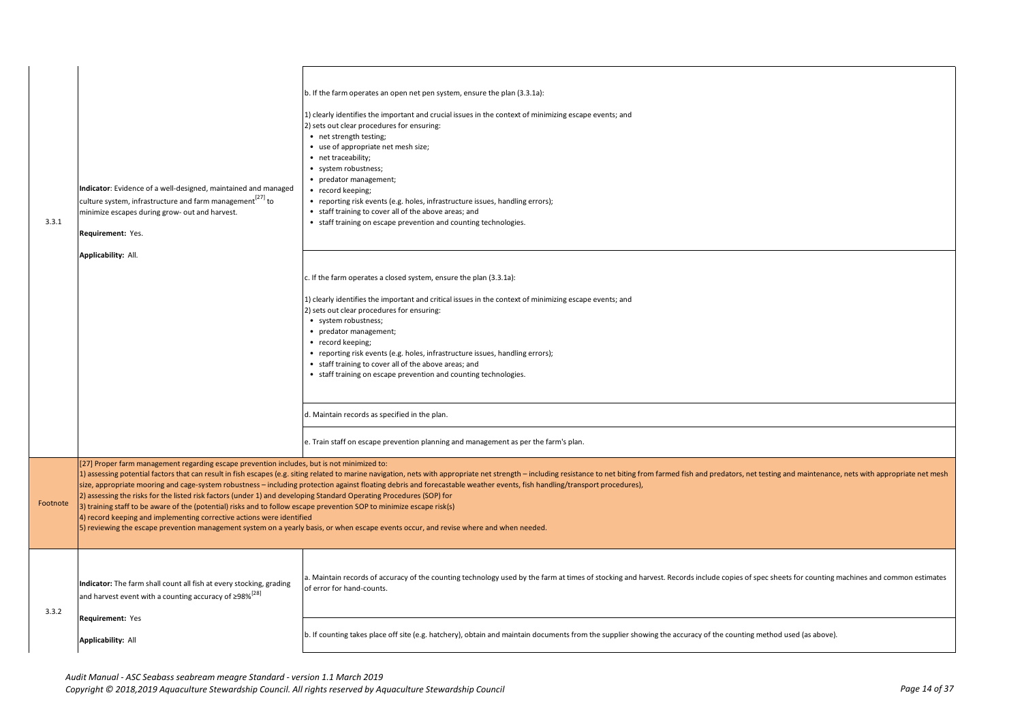| 3.3.1    | Indicator: Evidence of a well-designed, maintained and managed<br>culture system, infrastructure and farm management <sup>[27]</sup> to<br>minimize escapes during grow- out and harvest.<br>Requirement: Yes.<br>Applicability: All.                                                                                                                                                                               | b. If the farm operates an open net pen system, ensure the plan (3.3.1a):<br>1) clearly identifies the important and crucial issues in the context of minimizing escape events; and<br>2) sets out clear procedures for ensuring:<br>• net strength testing;<br>• use of appropriate net mesh size;<br>• net traceability;<br>• system robustness;<br>• predator management;<br>• record keeping;<br>• reporting risk events (e.g. holes, infrastructure issues, handling errors);<br>• staff training to cover all of the above areas; and<br>• staff training on escape prevention and counting technologies. |
|----------|---------------------------------------------------------------------------------------------------------------------------------------------------------------------------------------------------------------------------------------------------------------------------------------------------------------------------------------------------------------------------------------------------------------------|-----------------------------------------------------------------------------------------------------------------------------------------------------------------------------------------------------------------------------------------------------------------------------------------------------------------------------------------------------------------------------------------------------------------------------------------------------------------------------------------------------------------------------------------------------------------------------------------------------------------|
|          |                                                                                                                                                                                                                                                                                                                                                                                                                     | c. If the farm operates a closed system, ensure the plan (3.3.1a):<br>1) clearly identifies the important and critical issues in the context of minimizing escape events; and<br>2) sets out clear procedures for ensuring:<br>• system robustness;<br>• predator management;<br>• record keeping;<br>• reporting risk events (e.g. holes, infrastructure issues, handling errors);<br>• staff training to cover all of the above areas; and<br>• staff training on escape prevention and counting technologies.                                                                                                |
|          |                                                                                                                                                                                                                                                                                                                                                                                                                     | d. Maintain records as specified in the plan.<br>e. Train staff on escape prevention planning and management as per the farm's plan.                                                                                                                                                                                                                                                                                                                                                                                                                                                                            |
| Footnote | [27] Proper farm management regarding escape prevention includes, but is not minimized to:<br>2) assessing the risks for the listed risk factors (under 1) and developing Standard Operating Procedures (SOP) for<br>3) training staff to be aware of the (potential) risks and to follow escape prevention SOP to minimize escape risk(s)<br>4) record keeping and implementing corrective actions were identified | 1) assessing potential factors that can result in fish escapes (e.g. siting related to marine navigation, nets with appropriate net strength - including resistance to net biting from farmed fish and predators, net testing<br>size, appropriate mooring and cage-system robustness - including protection against floating debris and forecastable weather events, fish handling/transport procedures),<br>5) reviewing the escape prevention management system on a yearly basis, or when escape events occur, and revise where and when needed.                                                            |
| 3.3.2    | Indicator: The farm shall count all fish at every stocking, grading<br>and harvest event with a counting accuracy of $\geq$ 98% <sup>[28]</sup>                                                                                                                                                                                                                                                                     | a. Maintain records of accuracy of the counting technology used by the farm at times of stocking and harvest. Records include copies of spec sheets for counting machines and common estimates<br>of error for hand-counts.                                                                                                                                                                                                                                                                                                                                                                                     |
|          | Requirement: Yes<br>Applicability: All                                                                                                                                                                                                                                                                                                                                                                              | b. If counting takes place off site (e.g. hatchery), obtain and maintain documents from the supplier showing the accuracy of the counting method used (as above).                                                                                                                                                                                                                                                                                                                                                                                                                                               |
|          |                                                                                                                                                                                                                                                                                                                                                                                                                     |                                                                                                                                                                                                                                                                                                                                                                                                                                                                                                                                                                                                                 |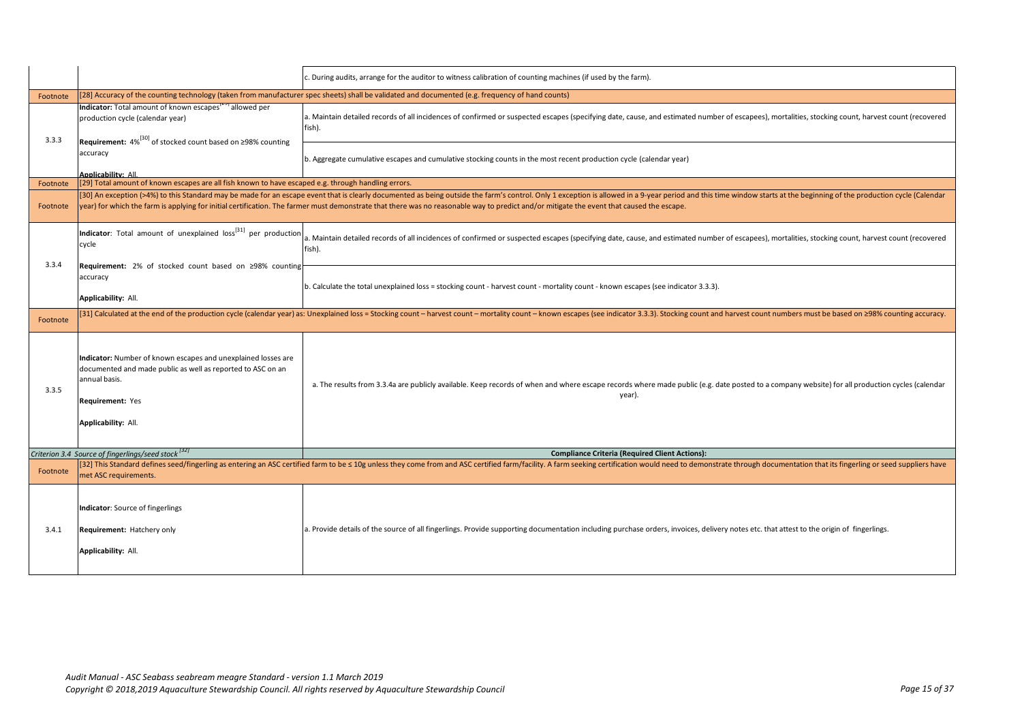|                                                                                                                                                                                          | c. During audits, arrange for the auditor to witness calibration of counting machines (if used by the farm).                                                                                                                                                                                                                                                                                                                |
|------------------------------------------------------------------------------------------------------------------------------------------------------------------------------------------|-----------------------------------------------------------------------------------------------------------------------------------------------------------------------------------------------------------------------------------------------------------------------------------------------------------------------------------------------------------------------------------------------------------------------------|
|                                                                                                                                                                                          | [28] Accuracy of the counting technology (taken from manufacturer spec sheets) shall be validated and documented (e.g. frequency of hand counts)                                                                                                                                                                                                                                                                            |
| Indicator: Total amount of known escapes <sup>[29]</sup> allowed per<br>production cycle (calendar year)                                                                                 | a. Maintain detailed records of all incidences of confirmed or suspected escapes (specifying date, cause, and estimated number of escapees), mortalities, stocking count, harvest count (recovered<br>fish).                                                                                                                                                                                                                |
| accuracy<br>Applicability: All                                                                                                                                                           | b. Aggregate cumulative escapes and cumulative stocking counts in the most recent production cycle (calendar year)                                                                                                                                                                                                                                                                                                          |
|                                                                                                                                                                                          |                                                                                                                                                                                                                                                                                                                                                                                                                             |
|                                                                                                                                                                                          | [30] An exception (>4%) to this Standard may be made for an escape event that is clearly documented as being outside the farm's control. Only 1 exception is allowed in a 9-year period and this time window starts at the beg<br>year) for which the farm is applying for initial certification. The farmer must demonstrate that there was no reasonable way to predict and/or mitigate the event that caused the escape. |
| cycle                                                                                                                                                                                    | a. Maintain detailed records of all incidences of confirmed or suspected escapes (specifying date, cause, and estimated number of escapees), mortalities, stocking count, harvest count (recovered<br>fish).                                                                                                                                                                                                                |
| accuracy<br>Applicability: All.                                                                                                                                                          | b. Calculate the total unexplained loss = stocking count - harvest count - mortality count - known escapes (see indicator 3.3.3).                                                                                                                                                                                                                                                                                           |
|                                                                                                                                                                                          | [31] Calculated at the end of the production cycle (calendar year) as: Unexplained loss = Stocking count - harvest count - mortality count - known escapes (see indicator 3.3.3). Stocking count and harvest count numbers mu                                                                                                                                                                                               |
| Indicator: Number of known escapes and unexplained losses are<br>documented and made public as well as reported to ASC on an<br>annual basis.<br>Requirement: Yes<br>Applicability: All. | a. The results from 3.3.4a are publicly available. Keep records of when and where escape records where made public (e.g. date posted to a company website) for all production cycles (calendar<br>year).                                                                                                                                                                                                                    |
| Criterion 3.4 Source of fingerlings/seed stock [32]                                                                                                                                      | <b>Compliance Criteria (Required Client Actions):</b>                                                                                                                                                                                                                                                                                                                                                                       |
| met ASC requirements.                                                                                                                                                                    | [32] This Standard defines seed/fingerling as entering an ASC certified farm to be ≤ 10g unless they come from and ASC certified farm/facility. A farm seeking certification would need to demonstrate through documentation t                                                                                                                                                                                              |
| Indicator: Source of fingerlings<br>Requirement: Hatchery only<br>Applicability: All.                                                                                                    | a. Provide details of the source of all fingerlings. Provide supporting documentation including purchase orders, invoices, delivery notes etc. that attest to the origin of fingerlings.                                                                                                                                                                                                                                    |
|                                                                                                                                                                                          | Requirement: 4% <sup>[30]</sup> of stocked count based on ≥98% counting<br>[29] Total amount of known escapes are all fish known to have escaped e.g. through handling errors.<br><b>Indicator</b> : Total amount of unexplained loss <sup>[31]</sup> per production<br>Requirement: 2% of stocked count based on ≥98% counting                                                                                             |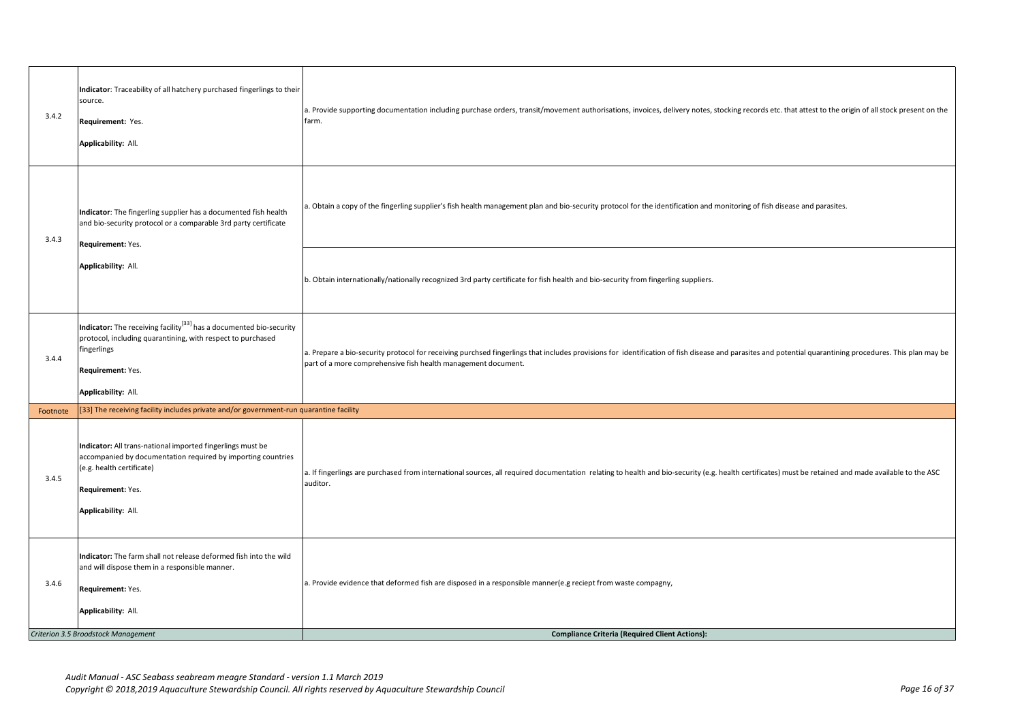| 3.4.2    | Indicator: Traceability of all hatchery purchased fingerlings to their<br>source.<br>Requirement: Yes.<br>Applicability: All.                                                                             | a. Provide supporting documentation including purchase orders, transit/movement authorisations, invoices, delivery notes, stocking records etc. that attest to the origin of all stock present on the<br>farm.                                                           |
|----------|-----------------------------------------------------------------------------------------------------------------------------------------------------------------------------------------------------------|--------------------------------------------------------------------------------------------------------------------------------------------------------------------------------------------------------------------------------------------------------------------------|
| 3.4.3    | Indicator: The fingerling supplier has a documented fish health<br>and bio-security protocol or a comparable 3rd party certificate<br>Requirement: Yes.<br>Applicability: All.                            | a. Obtain a copy of the fingerling supplier's fish health management plan and bio-security protocol for the identification and monitoring of fish disease and parasites.                                                                                                 |
|          |                                                                                                                                                                                                           | b. Obtain internationally/nationally recognized 3rd party certificate for fish health and bio-security from fingerling suppliers.                                                                                                                                        |
| 3.4.4    | Indicator: The receiving facility <sup>[33]</sup> has a documented bio-security<br>protocol, including quarantining, with respect to purchased<br>fingerlings<br>Requirement: Yes.<br>Applicability: All. | a. Prepare a bio-security protocol for receiving purchsed fingerlings that includes provisions for identification of fish disease and parasites and potential quarantining procedures. This plan may be<br>part of a more comprehensive fish health management document. |
| Footnote | [33] The receiving facility includes private and/or government-run quarantine facility                                                                                                                    |                                                                                                                                                                                                                                                                          |
| 3.4.5    | Indicator: All trans-national imported fingerlings must be<br>accompanied by documentation required by importing countries<br>(e.g. health certificate)<br>Requirement: Yes.<br>Applicability: All.       | a. If fingerlings are purchased from international sources, all required documentation relating to health and bio-security (e.g. health certificates) must be retained and made available to the ASC<br>auditor.                                                         |
| 3.4.6    | Indicator: The farm shall not release deformed fish into the wild<br>and will dispose them in a responsible manner.<br>Requirement: Yes.<br>Applicability: All.<br>Criterion 3.5 Broodstock Management    | a. Provide evidence that deformed fish are disposed in a responsible manner(e.g reciept from waste compagny,<br><b>Compliance Criteria (Required Client Actions):</b>                                                                                                    |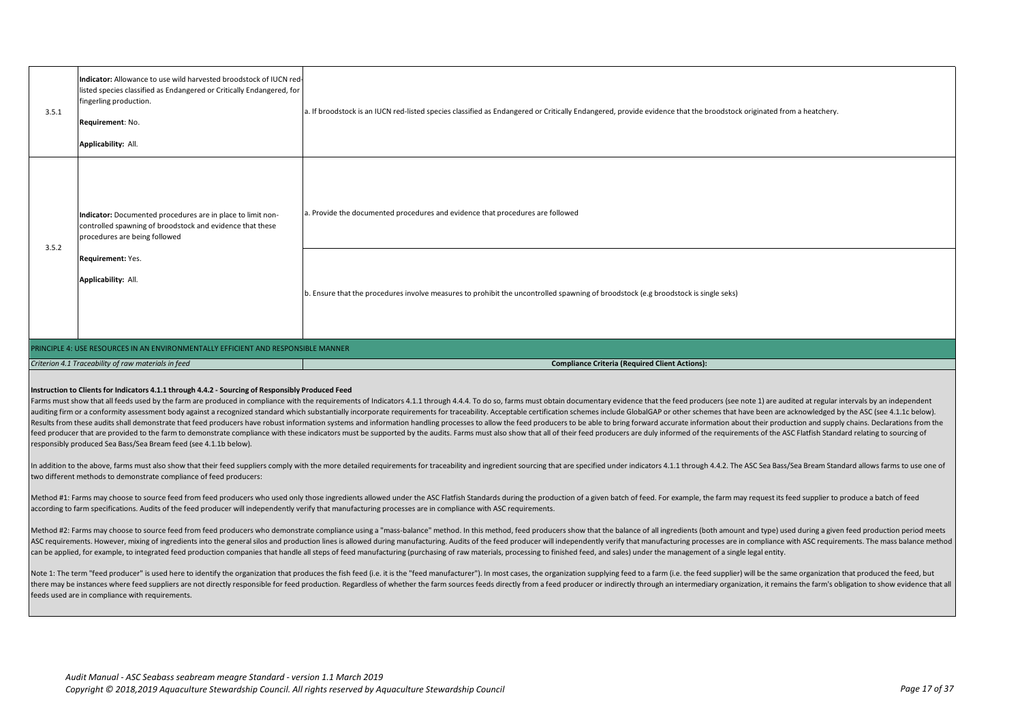|       | Indicator: Allowance to use wild harvested broodstock of IUCN red-<br>listed species classified as Endangered or Critically Endangered, for               |                                                                                                                                                                     |
|-------|-----------------------------------------------------------------------------------------------------------------------------------------------------------|---------------------------------------------------------------------------------------------------------------------------------------------------------------------|
| 3.5.1 | fingerling production.                                                                                                                                    | a. If broodstock is an IUCN red-listed species classified as Endangered or Critically Endangered, provide evidence that the broodstock originated from a heatchery. |
|       | Requirement: No.                                                                                                                                          |                                                                                                                                                                     |
|       | Applicability: All.                                                                                                                                       |                                                                                                                                                                     |
|       | Indicator: Documented procedures are in place to limit non-<br>controlled spawning of broodstock and evidence that these<br>procedures are being followed | a. Provide the documented procedures and evidence that procedures are followed                                                                                      |
| 3.5.2 | Requirement: Yes.<br>Applicability: All.                                                                                                                  | b. Ensure that the procedures involve measures to prohibit the uncontrolled spawning of broodstock (e.g broodstock is single seks)                                  |
|       | PRINCIPLE 4: USE RESOURCES IN AN ENVIRONMENTALLY EFFICIENT AND RESPONSIBLE MANNER                                                                         |                                                                                                                                                                     |
|       | Criterion 4.1 Traceability of raw materials in feed                                                                                                       | <b>Compliance Criteria (Required Client Actions):</b>                                                                                                               |

## **Instruction to Clients for Indicators 4.1.1 through 4.4.2 - Sourcing of Responsibly Produced Feed**

Farms must show that all feeds used by the farm are produced in compliance with the requirements of Indicators 4.1.1 through 4.4.4. To do so, farms must obtain documentary evidence that the feed producers (see note 1) are auditing firm or a conformity assessment body against a recognized standard which substantially incorporate requirements for traceability. Acceptable certification schemes include GlobalGAP or other schemes that have been Results from these audits shall demonstrate that feed producers have robust information systems and information handling processes to allow the feed producers to be able to bring forward accurate information about their pr feed producer that are provided to the farm to demonstrate compliance with these indicators must be supported by the audits. Farms must also show that all of their feed producers are duly informed of the requirements of th responsibly produced Sea Bass/Sea Bream feed (see 4.1.1b below).

In addition to the above, farms must also show that their feed suppliers comply with the more detailed requirements for traceability and ingredient sourcing that are specified under indicators 4.1.1 through 4.4.2. The ASC two different methods to demonstrate compliance of feed producers:

Method #1: Farms may choose to source feed from feed producers who used only those ingredients allowed under the ASC Flatfish Standards during the production of a given batch of feed. For example, the farm may request its according to farm specifications. Audits of the feed producer will independently verify that manufacturing processes are in compliance with ASC requirements.

Method #2: Farms may choose to source feed from feed producers who demonstrate compliance using a "mass-balance" method. In this method, feed producers show that the balance of all ingredients (both amount and type) used d ASC requirements. However, mixing of ingredients into the general silos and production lines is allowed during manufacturing. Audits of the feed producer will independently verify that manufacturing processes are in compli can be applied, for example, to integrated feed production companies that handle all steps of feed manufacturing (purchasing of raw materials, processing to finished feed, and sales) under the management of a single legal

Note 1: The term "feed producer" is used here to identify the organization that produces the fish feed (i.e. it is the "feed manufacturer"). In most cases, the organization supplying feed to a farm (i.e. the feed supplier) there may be instances where feed suppliers are not directly responsible for feed production. Regardless of whether the farm sources feeds directly from a feed producer or indirectly through an intermediary organization, i feeds used are in compliance with requirements.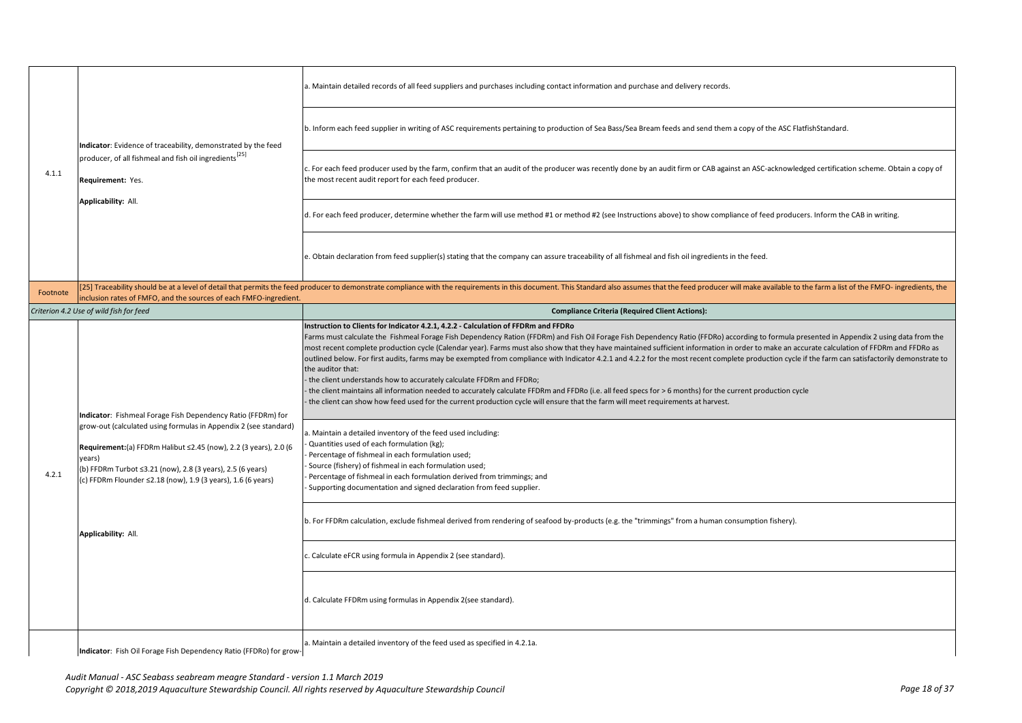|          | Indicator: Evidence of traceability, demonstrated by the feed<br>producer, of all fishmeal and fish oil ingredients <sup>[25]</sup><br>Requirement: Yes.<br>Applicability: All.                                                                                                                                                                                     | a. Maintain detailed records of all feed suppliers and purchases including contact information and purchase and delivery records.                                                                                                                                                                                                                                                                                                                                                                                                                                                                                                                                                                                                                                                                                                                                                                                                                                                                                                                                                 |
|----------|---------------------------------------------------------------------------------------------------------------------------------------------------------------------------------------------------------------------------------------------------------------------------------------------------------------------------------------------------------------------|-----------------------------------------------------------------------------------------------------------------------------------------------------------------------------------------------------------------------------------------------------------------------------------------------------------------------------------------------------------------------------------------------------------------------------------------------------------------------------------------------------------------------------------------------------------------------------------------------------------------------------------------------------------------------------------------------------------------------------------------------------------------------------------------------------------------------------------------------------------------------------------------------------------------------------------------------------------------------------------------------------------------------------------------------------------------------------------|
|          |                                                                                                                                                                                                                                                                                                                                                                     | b. Inform each feed supplier in writing of ASC requirements pertaining to production of Sea Bass/Sea Bream feeds and send them a copy of the ASC FlatfishStandard.                                                                                                                                                                                                                                                                                                                                                                                                                                                                                                                                                                                                                                                                                                                                                                                                                                                                                                                |
| 4.1.1    |                                                                                                                                                                                                                                                                                                                                                                     | c. For each feed producer used by the farm, confirm that an audit of the producer was recently done by an audit firm or CAB against an ASC-acknowledged certification scheme. Obtain a copy of<br>the most recent audit report for each feed producer.                                                                                                                                                                                                                                                                                                                                                                                                                                                                                                                                                                                                                                                                                                                                                                                                                            |
|          |                                                                                                                                                                                                                                                                                                                                                                     | d. For each feed producer, determine whether the farm will use method #1 or method #2 (see Instructions above) to show compliance of feed producers. Inform the CAB in writing.                                                                                                                                                                                                                                                                                                                                                                                                                                                                                                                                                                                                                                                                                                                                                                                                                                                                                                   |
|          |                                                                                                                                                                                                                                                                                                                                                                     | e. Obtain declaration from feed supplier(s) stating that the company can assure traceability of all fishmeal and fish oil ingredients in the feed.                                                                                                                                                                                                                                                                                                                                                                                                                                                                                                                                                                                                                                                                                                                                                                                                                                                                                                                                |
| Footnote | inclusion rates of FMFO, and the sources of each FMFO-ingredient.                                                                                                                                                                                                                                                                                                   | [25] Traceability should be at a level of detail that permits the feed producer to demonstrate compliance with the requirements in this document. This Standard also assumes that the feed producer will make available to the                                                                                                                                                                                                                                                                                                                                                                                                                                                                                                                                                                                                                                                                                                                                                                                                                                                    |
|          | Criterion 4.2 Use of wild fish for feed                                                                                                                                                                                                                                                                                                                             | <b>Compliance Criteria (Required Client Actions):</b>                                                                                                                                                                                                                                                                                                                                                                                                                                                                                                                                                                                                                                                                                                                                                                                                                                                                                                                                                                                                                             |
|          | Indicator: Fishmeal Forage Fish Dependency Ratio (FFDRm) for<br>grow-out (calculated using formulas in Appendix 2 (see standard)<br>Requirement:(a) FFDRm Halibut ≤2.45 (now), 2.2 (3 years), 2.0 (6<br>years)<br>(b) FFDRm Turbot ≤3.21 (now), 2.8 (3 years), 2.5 (6 years)<br>(c) FFDRm Flounder ≤2.18 (now), 1.9 (3 years), 1.6 (6 years)<br>Applicability: All. | Instruction to Clients for Indicator 4.2.1, 4.2.2 - Calculation of FFDRm and FFDRo<br>Farms must calculate the Fishmeal Forage Fish Dependency Ration (FFDRm) and Fish Oil Forage Fish Dependency Ratio (FFDRo) according to formula presented in Appendix 2 using data from the<br>most recent complete production cycle (Calendar year). Farms must also show that they have maintained sufficient information in order to make an accurate calculation of FFDRm and FFDRo as<br>outlined below. For first audits, farms may be exempted from compliance with Indicator 4.2.1 and 4.2.2 for the most recent complete production cycle if the farm can satisfactorily demonstrate to<br>the auditor that:<br>the client understands how to accurately calculate FFDRm and FFDRo;<br>the client maintains all information needed to accurately calculate FFDRm and FFDRo (i.e. all feed specs for > 6 months) for the current production cycle<br>the client can show how feed used for the current production cycle will ensure that the farm will meet requirements at harvest. |
| 4.2.1    |                                                                                                                                                                                                                                                                                                                                                                     | a. Maintain a detailed inventory of the feed used including:<br>Quantities used of each formulation (kg);<br>Percentage of fishmeal in each formulation used;<br>Source (fishery) of fishmeal in each formulation used;<br>Percentage of fishmeal in each formulation derived from trimmings; and<br>Supporting documentation and signed declaration from feed supplier.                                                                                                                                                                                                                                                                                                                                                                                                                                                                                                                                                                                                                                                                                                          |
|          |                                                                                                                                                                                                                                                                                                                                                                     | b. For FFDRm calculation, exclude fishmeal derived from rendering of seafood by-products (e.g. the "trimmings" from a human consumption fishery).                                                                                                                                                                                                                                                                                                                                                                                                                                                                                                                                                                                                                                                                                                                                                                                                                                                                                                                                 |
|          |                                                                                                                                                                                                                                                                                                                                                                     | c. Calculate eFCR using formula in Appendix 2 (see standard).                                                                                                                                                                                                                                                                                                                                                                                                                                                                                                                                                                                                                                                                                                                                                                                                                                                                                                                                                                                                                     |
|          |                                                                                                                                                                                                                                                                                                                                                                     | d. Calculate FFDRm using formulas in Appendix 2(see standard).                                                                                                                                                                                                                                                                                                                                                                                                                                                                                                                                                                                                                                                                                                                                                                                                                                                                                                                                                                                                                    |
|          | Indicator: Fish Oil Forage Fish Dependency Ratio (FFDRo) for grow-                                                                                                                                                                                                                                                                                                  | a. Maintain a detailed inventory of the feed used as specified in 4.2.1a.                                                                                                                                                                                                                                                                                                                                                                                                                                                                                                                                                                                                                                                                                                                                                                                                                                                                                                                                                                                                         |

**Indicator**: Fish Oil Forage Fish Dependency Ratio (FFDRo) for grow-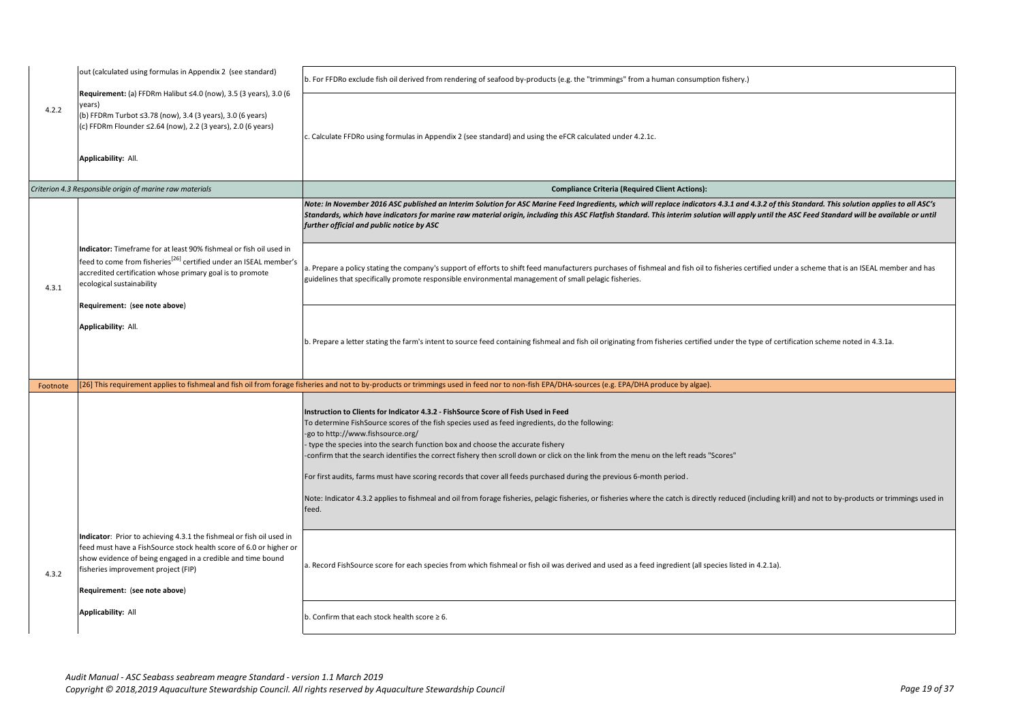|          | out (calculated using formulas in Appendix 2 (see standard)                                                                                                                                                                                                                       | b. For FFDRo exclude fish oil derived from rendering of seafood by-products (e.g. the "trimmings" from a human consumption fishery.)                                                                                                                                                                                                                                                                                                                                                                                                                                                                                                                                                                                                                                                                |
|----------|-----------------------------------------------------------------------------------------------------------------------------------------------------------------------------------------------------------------------------------------------------------------------------------|-----------------------------------------------------------------------------------------------------------------------------------------------------------------------------------------------------------------------------------------------------------------------------------------------------------------------------------------------------------------------------------------------------------------------------------------------------------------------------------------------------------------------------------------------------------------------------------------------------------------------------------------------------------------------------------------------------------------------------------------------------------------------------------------------------|
| 4.2.2    | Requirement: (a) FFDRm Halibut ≤4.0 (now), 3.5 (3 years), 3.0 (6<br>years)<br>(b) FFDRm Turbot ≤3.78 (now), 3.4 (3 years), 3.0 (6 years)<br>(c) FFDRm Flounder ≤2.64 (now), 2.2 (3 years), 2.0 (6 years)<br>Applicability: All.                                                   | c. Calculate FFDRo using formulas in Appendix 2 (see standard) and using the eFCR calculated under 4.2.1c.                                                                                                                                                                                                                                                                                                                                                                                                                                                                                                                                                                                                                                                                                          |
|          | Criterion 4.3 Responsible origin of marine raw materials                                                                                                                                                                                                                          | <b>Compliance Criteria (Required Client Actions):</b>                                                                                                                                                                                                                                                                                                                                                                                                                                                                                                                                                                                                                                                                                                                                               |
|          |                                                                                                                                                                                                                                                                                   | Note: In November 2016 ASC published an Interim Solution for ASC Marine Feed Ingredients, which will replace indicators 4.3.1 and 4.3.2 of this Standard. This solution applies to all ASC's<br>Standards, which have indicators for marine raw material origin, including this ASC Flatfish Standard. This interim solution will apply until the ASC Feed Standard will be available or until<br>further official and public notice by ASC                                                                                                                                                                                                                                                                                                                                                         |
| 4.3.1    | Indicator: Timeframe for at least 90% fishmeal or fish oil used in<br>feed to come from fisheries <sup>[26]</sup> certified under an ISEAL member's<br>accredited certification whose primary goal is to promote<br>ecological sustainability<br>Requirement: (see note above)    | a. Prepare a policy stating the company's support of efforts to shift feed manufacturers purchases of fishmeal and fish oil to fisheries certified under a scheme that is an ISEAL member and has<br>guidelines that specifically promote responsible environmental management of small pelagic fisheries.                                                                                                                                                                                                                                                                                                                                                                                                                                                                                          |
|          | Applicability: All.                                                                                                                                                                                                                                                               | b. Prepare a letter stating the farm's intent to source feed containing fishmeal and fish oil originating from fisheries certified under the type of certification scheme noted in 4.3.1a.                                                                                                                                                                                                                                                                                                                                                                                                                                                                                                                                                                                                          |
| Footnote |                                                                                                                                                                                                                                                                                   | (26) This requirement applies to fishmeal and fish oil from forage fisheries and not to by-products or trimmings used in feed nor to non-fish EPA/DHA-sources (e.g. EPA/DHA produce by algae).                                                                                                                                                                                                                                                                                                                                                                                                                                                                                                                                                                                                      |
|          |                                                                                                                                                                                                                                                                                   | Instruction to Clients for Indicator 4.3.2 - FishSource Score of Fish Used in Feed<br>To determine FishSource scores of the fish species used as feed ingredients, do the following:<br>-go to http://www.fishsource.org/<br>type the species into the search function box and choose the accurate fishery<br>-confirm that the search identifies the correct fishery then scroll down or click on the link from the menu on the left reads "Scores"<br>For first audits, farms must have scoring records that cover all feeds purchased during the previous 6-month period.<br>Note: Indicator 4.3.2 applies to fishmeal and oil from forage fisheries, pelagic fisheries, or fisheries where the catch is directly reduced (including krill) and not to by-products or trimmings used in<br>feed. |
| 4.3.2    | Indicator: Prior to achieving 4.3.1 the fishmeal or fish oil used in<br>feed must have a FishSource stock health score of 6.0 or higher or<br>show evidence of being engaged in a credible and time bound<br>fisheries improvement project (FIP)<br>Requirement: (see note above) | a. Record FishSource score for each species from which fishmeal or fish oil was derived and used as a feed ingredient (all species listed in 4.2.1a).                                                                                                                                                                                                                                                                                                                                                                                                                                                                                                                                                                                                                                               |
|          | Applicability: All                                                                                                                                                                                                                                                                | b. Confirm that each stock health score $\geq 6$ .                                                                                                                                                                                                                                                                                                                                                                                                                                                                                                                                                                                                                                                                                                                                                  |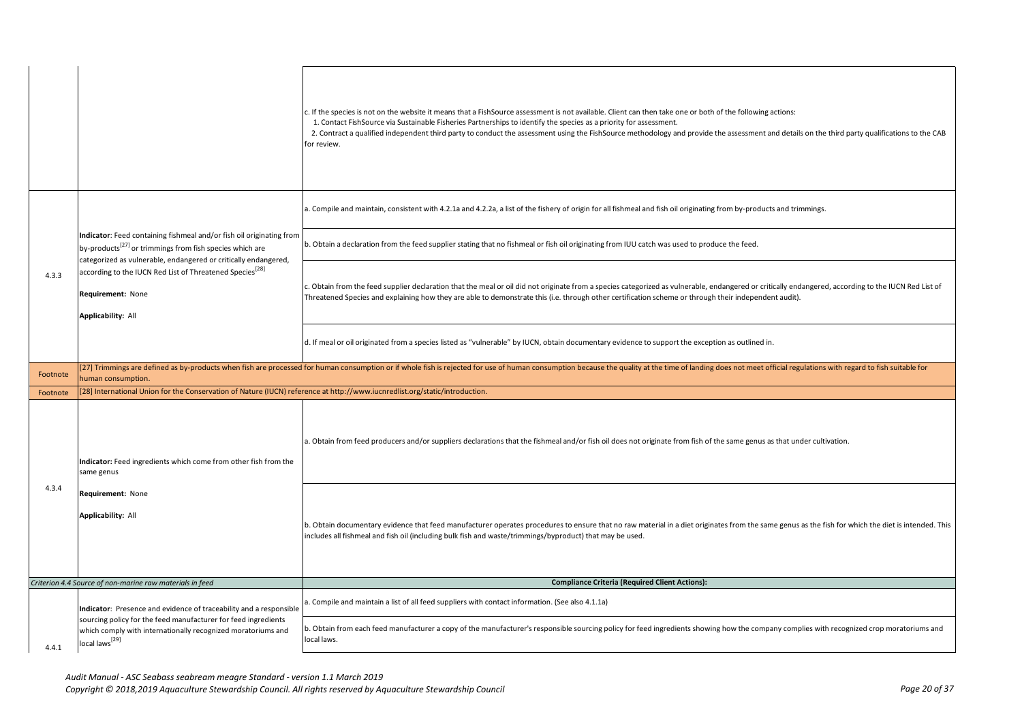|          |                                                                                                                                                                                                                 | . If the species is not on the website it means that a FishSource assessment is not available. Client can then take one or both of the following actions:<br>1. Contact FishSource via Sustainable Fisheries Partnerships to identify the species as a priority for assessment.<br>2. Contract a qualified independent third party to conduct the assessment using the FishSource methodology and provide the assessment and details on the third party qualifications to the CAB<br>for review. |
|----------|-----------------------------------------------------------------------------------------------------------------------------------------------------------------------------------------------------------------|--------------------------------------------------------------------------------------------------------------------------------------------------------------------------------------------------------------------------------------------------------------------------------------------------------------------------------------------------------------------------------------------------------------------------------------------------------------------------------------------------|
|          |                                                                                                                                                                                                                 | a. Compile and maintain, consistent with 4.2.1a and 4.2.2a, a list of the fishery of origin for all fishmeal and fish oil originating from by-products and trimmings.                                                                                                                                                                                                                                                                                                                            |
|          | Indicator: Feed containing fishmeal and/or fish oil originating from<br>by-products <sup>[27]</sup> or trimmings from fish species which are<br>categorized as vulnerable, endangered or critically endangered, | ). Obtain a declaration from the feed supplier stating that no fishmeal or fish oil originating from IUU catch was used to produce the feed.                                                                                                                                                                                                                                                                                                                                                     |
| 4.3.3    | according to the IUCN Red List of Threatened Species <sup>[28]</sup><br>Requirement: None<br>Applicability: All                                                                                                 | . Obtain from the feed supplier declaration that the meal or oil did not originate from a species categorized as vulnerable, endangered or critically endangered, according to the IUCN Red List of<br>Threatened Species and explaining how they are able to demonstrate this (i.e. through other certification scheme or through their independent audit).                                                                                                                                     |
|          |                                                                                                                                                                                                                 | d. If meal or oil originated from a species listed as "vulnerable" by IUCN, obtain documentary evidence to support the exception as outlined in.                                                                                                                                                                                                                                                                                                                                                 |
| Footnote | numan consumption.                                                                                                                                                                                              | [27] Trimmings are defined as by-products when fish are processed for human consumption or if whole fish is rejected for use of human consumption because the quality at the time of landing does not meet official regulation                                                                                                                                                                                                                                                                   |
| Footnote | [28] International Union for the Conservation of Nature (IUCN) reference at http://www.iucnredlist.org/static/introduction.                                                                                     |                                                                                                                                                                                                                                                                                                                                                                                                                                                                                                  |
|          | Indicator: Feed ingredients which come from other fish from the<br>same genus                                                                                                                                   | a. Obtain from feed producers and/or suppliers declarations that the fishmeal and/or fish oil does not originate from fish of the same genus as that under cultivation.                                                                                                                                                                                                                                                                                                                          |
| 4.3.4    | Requirement: None<br>Applicability: All                                                                                                                                                                         | o. Obtain documentary evidence that feed manufacturer operates procedures to ensure that no raw material in a diet originates from the same genus as the fish for which the diet is intended. This<br>ncludes all fishmeal and fish oil (including bulk fish and waste/trimmings/byproduct) that may be used.                                                                                                                                                                                    |
|          | Criterion 4.4 Source of non-marine raw materials in feed                                                                                                                                                        | <b>Compliance Criteria (Required Client Actions):</b>                                                                                                                                                                                                                                                                                                                                                                                                                                            |
|          | Indicator: Presence and evidence of traceability and a responsible                                                                                                                                              | a. Compile and maintain a list of all feed suppliers with contact information. (See also 4.1.1a)                                                                                                                                                                                                                                                                                                                                                                                                 |
|          | sourcing policy for the feed manufacturer for feed ingredients<br>which comply with internationally recognized moratoriums and                                                                                  | . Obtain from each feed manufacturer a copy of the manufacturer's responsible sourcing policy for feed ingredients showing how the company complies with recognized crop moratoriums and                                                                                                                                                                                                                                                                                                         |
| 4.4.1    | local laws <sup>[29]</sup>                                                                                                                                                                                      | local laws.                                                                                                                                                                                                                                                                                                                                                                                                                                                                                      |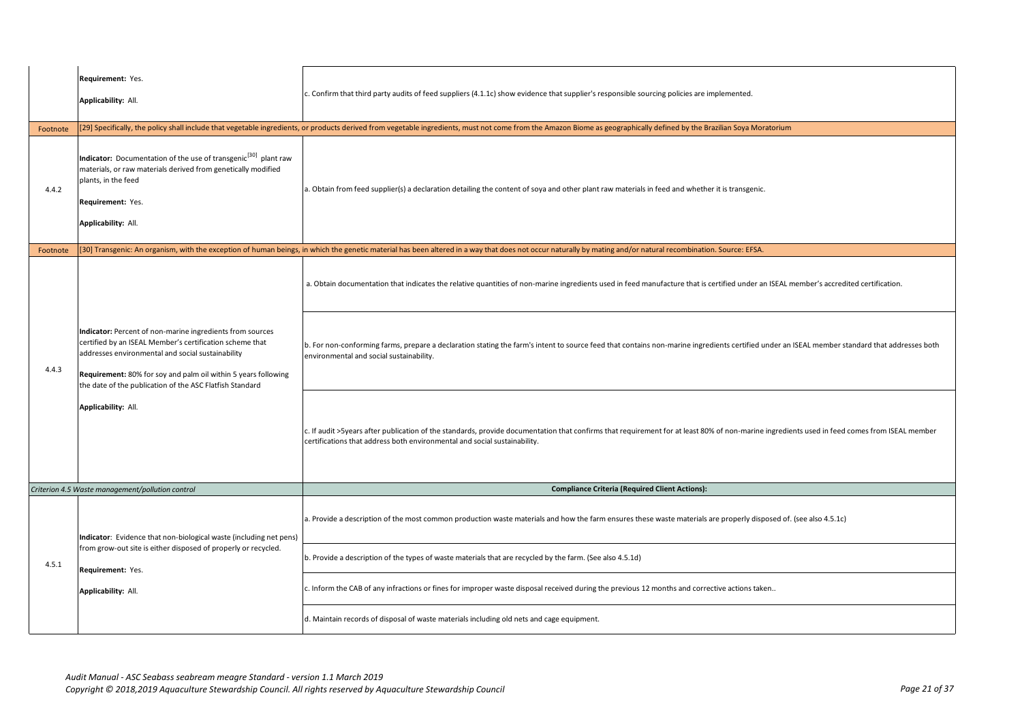|          | Requirement: Yes.<br>Applicability: All.                                                                                                                                                                                                                                                                                        | c. Confirm that third party audits of feed suppliers (4.1.1c) show evidence that supplier's responsible sourcing policies are implemented.                                                                                                                                                                                                                                                                                         |
|----------|---------------------------------------------------------------------------------------------------------------------------------------------------------------------------------------------------------------------------------------------------------------------------------------------------------------------------------|------------------------------------------------------------------------------------------------------------------------------------------------------------------------------------------------------------------------------------------------------------------------------------------------------------------------------------------------------------------------------------------------------------------------------------|
| Footnote |                                                                                                                                                                                                                                                                                                                                 | [29] Specifically, the policy shall include that vegetable ingredients, or products derived from vegetable ingredients, must not come from the Amazon Biome as geographically defined by the Brazilian Soya Moratorium                                                                                                                                                                                                             |
| 4.4.2    | Indicator: Documentation of the use of transgenic <sup>[30]</sup> plant raw<br>materials, or raw materials derived from genetically modified<br>plants, in the feed<br>Requirement: Yes.<br>Applicability: All.                                                                                                                 | a. Obtain from feed supplier(s) a declaration detailing the content of soya and other plant raw materials in feed and whether it is transgenic.                                                                                                                                                                                                                                                                                    |
| Footnote |                                                                                                                                                                                                                                                                                                                                 | [30] Transgenic: An organism, with the exception of human beings, in which the genetic material has been altered in a way that does not occur naturally by mating and/or natural recombination. Source: EFSA.                                                                                                                                                                                                                      |
| 4.4.3    | Indicator: Percent of non-marine ingredients from sources<br>certified by an ISEAL Member's certification scheme that<br>addresses environmental and social sustainability<br>Requirement: 80% for soy and palm oil within 5 years following<br>the date of the publication of the ASC Flatfish Standard<br>Applicability: All. | a. Obtain documentation that indicates the relative quantities of non-marine ingredients used in feed manufacture that is certified under an ISEAL member's accredited certification.<br>b. For non-conforming farms, prepare a declaration stating the farm's intent to source feed that contains non-marine ingredients certified under an ISEAL member standard that addresses both<br>environmental and social sustainability. |
|          |                                                                                                                                                                                                                                                                                                                                 | c. If audit >5years after publication of the standards, provide documentation that confirms that requirement for at least 80% of non-marine ingredients used in feed comes from ISEAL member<br>certifications that address both environmental and social sustainability.                                                                                                                                                          |
|          | Criterion 4.5 Waste management/pollution control                                                                                                                                                                                                                                                                                | <b>Compliance Criteria (Required Client Actions):</b>                                                                                                                                                                                                                                                                                                                                                                              |
|          | Indicator: Evidence that non-biological waste (including net pens)<br>from grow-out site is either disposed of properly or recycled.<br>Requirement: Yes.<br>Applicability: All.                                                                                                                                                | a. Provide a description of the most common production waste materials and how the farm ensures these waste materials are properly disposed of. (see also 4.5.1c)                                                                                                                                                                                                                                                                  |
| 4.5.1    |                                                                                                                                                                                                                                                                                                                                 | b. Provide a description of the types of waste materials that are recycled by the farm. (See also 4.5.1d)                                                                                                                                                                                                                                                                                                                          |
|          |                                                                                                                                                                                                                                                                                                                                 | c. Inform the CAB of any infractions or fines for improper waste disposal received during the previous 12 months and corrective actions taken                                                                                                                                                                                                                                                                                      |
|          |                                                                                                                                                                                                                                                                                                                                 | d. Maintain records of disposal of waste materials including old nets and cage equipment.                                                                                                                                                                                                                                                                                                                                          |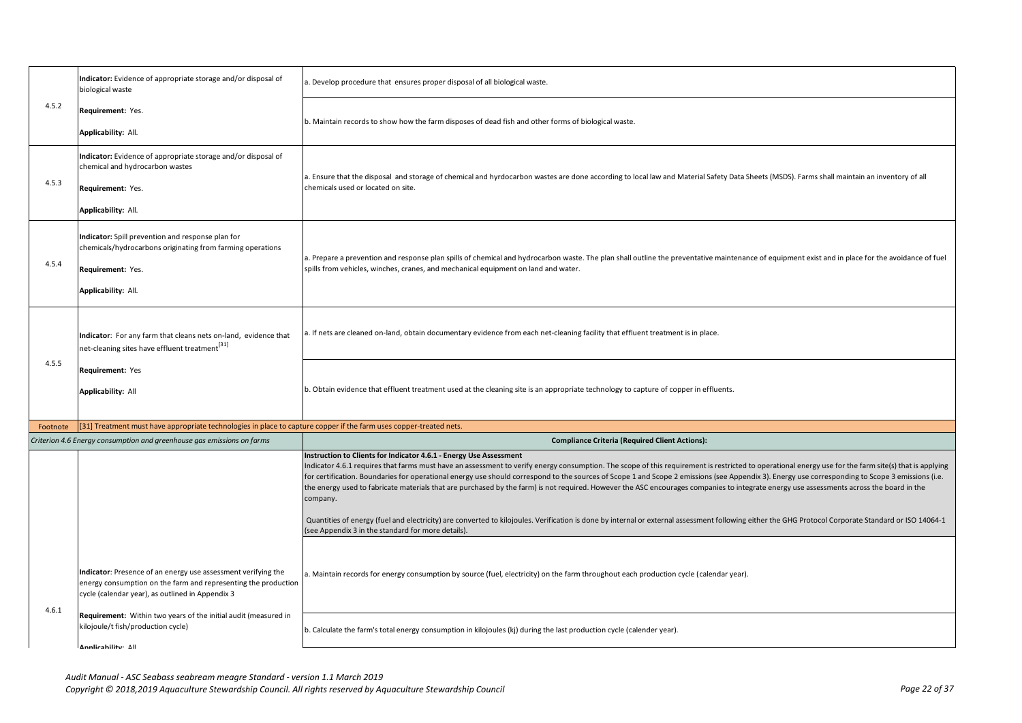|          | Indicator: Evidence of appropriate storage and/or disposal of<br>biological waste                                                                                                   | . Develop procedure that ensures proper disposal of all biological waste.                                                                                                                                                                                                                                                                                                                                                                                                                                                                                                                                                                                                                                                                                                                                                                                                                       |
|----------|-------------------------------------------------------------------------------------------------------------------------------------------------------------------------------------|-------------------------------------------------------------------------------------------------------------------------------------------------------------------------------------------------------------------------------------------------------------------------------------------------------------------------------------------------------------------------------------------------------------------------------------------------------------------------------------------------------------------------------------------------------------------------------------------------------------------------------------------------------------------------------------------------------------------------------------------------------------------------------------------------------------------------------------------------------------------------------------------------|
| 4.5.2    | Requirement: Yes.<br>Applicability: All.                                                                                                                                            | b. Maintain records to show how the farm disposes of dead fish and other forms of biological waste.                                                                                                                                                                                                                                                                                                                                                                                                                                                                                                                                                                                                                                                                                                                                                                                             |
| 4.5.3    | Indicator: Evidence of appropriate storage and/or disposal of<br>chemical and hydrocarbon wastes<br>Requirement: Yes.<br>Applicability: All.                                        | a. Ensure that the disposal and storage of chemical and hyrdocarbon wastes are done according to local law and Material Safety Data Sheets (MSDS). Farms shall maintain an inventory of all<br>chemicals used or located on site.                                                                                                                                                                                                                                                                                                                                                                                                                                                                                                                                                                                                                                                               |
| 4.5.4    | Indicator: Spill prevention and response plan for<br>chemicals/hydrocarbons originating from farming operations<br>Requirement: Yes.<br>Applicability: All.                         | a. Prepare a prevention and response plan spills of chemical and hydrocarbon waste. The plan shall outline the preventative maintenance of equipment exist and in place for the avoidance of fuel<br>spills from vehicles, winches, cranes, and mechanical equipment on land and water.                                                                                                                                                                                                                                                                                                                                                                                                                                                                                                                                                                                                         |
|          | Indicator: For any farm that cleans nets on-land, evidence that<br>net-cleaning sites have effluent treatment[31]                                                                   | a. If nets are cleaned on-land, obtain documentary evidence from each net-cleaning facility that effluent treatment is in place.                                                                                                                                                                                                                                                                                                                                                                                                                                                                                                                                                                                                                                                                                                                                                                |
| 4.5.5    | Requirement: Yes<br><b>Applicability: All</b>                                                                                                                                       | b. Obtain evidence that effluent treatment used at the cleaning site is an appropriate technology to capture of copper in effluents.                                                                                                                                                                                                                                                                                                                                                                                                                                                                                                                                                                                                                                                                                                                                                            |
| Footnote | [31] Treatment must have appropriate technologies in place to capture copper if the farm uses copper-treated nets.                                                                  |                                                                                                                                                                                                                                                                                                                                                                                                                                                                                                                                                                                                                                                                                                                                                                                                                                                                                                 |
|          | Criterion 4.6 Energy consumption and greenhouse gas emissions on farms                                                                                                              | <b>Compliance Criteria (Required Client Actions):</b>                                                                                                                                                                                                                                                                                                                                                                                                                                                                                                                                                                                                                                                                                                                                                                                                                                           |
|          |                                                                                                                                                                                     | Instruction to Clients for Indicator 4.6.1 - Energy Use Assessment<br>Indicator 4.6.1 requires that farms must have an assessment to verify energy consumption. The scope of this requirement is restricted to operational energy use for the farm site(s) that is applying<br>for certification. Boundaries for operational energy use should correspond to the sources of Scope 1 and Scope 2 emissions (see Appendix 3). Energy use corresponding to Scope 3 emissions (i.e.<br>the energy used to fabricate materials that are purchased by the farm) is not required. However the ASC encourages companies to integrate energy use assessments across the board in the<br>company.<br>Quantities of energy (fuel and electricity) are converted to kilojoules. Verification is done by internal or external assessment following either the GHG Protocol Corporate Standard or ISO 14064-1 |
|          |                                                                                                                                                                                     | (see Appendix 3 in the standard for more details).                                                                                                                                                                                                                                                                                                                                                                                                                                                                                                                                                                                                                                                                                                                                                                                                                                              |
| 4.6.1    | Indicator: Presence of an energy use assessment verifying the<br>energy consumption on the farm and representing the production<br>cycle (calendar year), as outlined in Appendix 3 | i. Maintain records for energy consumption by source (fuel, electricity) on the farm throughout each production cycle (calendar year).                                                                                                                                                                                                                                                                                                                                                                                                                                                                                                                                                                                                                                                                                                                                                          |
|          | Requirement: Within two years of the initial audit (measured in<br>kilojoule/t fish/production cycle)<br>Annlicability: All                                                         | b. Calculate the farm's total energy consumption in kilojoules (kj) during the last production cycle (calender year).                                                                                                                                                                                                                                                                                                                                                                                                                                                                                                                                                                                                                                                                                                                                                                           |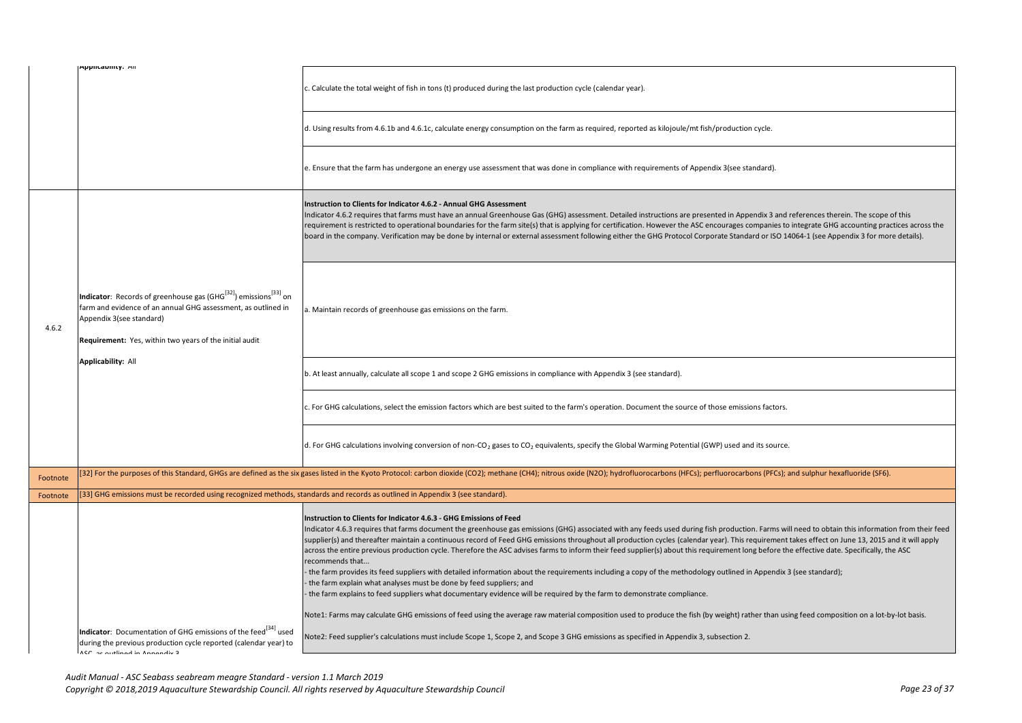|          | Applicability. All                                                                                                                                                                                                                               | c. Calculate the total weight of fish in tons (t) produced during the last production cycle (calendar year).                                                                                                                                                                                                                                                                                                                                                                                                                                                                                                                                                                                                                                                                                                                                                                                                                                                                                                                                                                                                                                                                                                                                                  |
|----------|--------------------------------------------------------------------------------------------------------------------------------------------------------------------------------------------------------------------------------------------------|---------------------------------------------------------------------------------------------------------------------------------------------------------------------------------------------------------------------------------------------------------------------------------------------------------------------------------------------------------------------------------------------------------------------------------------------------------------------------------------------------------------------------------------------------------------------------------------------------------------------------------------------------------------------------------------------------------------------------------------------------------------------------------------------------------------------------------------------------------------------------------------------------------------------------------------------------------------------------------------------------------------------------------------------------------------------------------------------------------------------------------------------------------------------------------------------------------------------------------------------------------------|
|          |                                                                                                                                                                                                                                                  | d. Using results from 4.6.1b and 4.6.1c, calculate energy consumption on the farm as required, reported as kilojoule/mt fish/production cycle.                                                                                                                                                                                                                                                                                                                                                                                                                                                                                                                                                                                                                                                                                                                                                                                                                                                                                                                                                                                                                                                                                                                |
|          |                                                                                                                                                                                                                                                  | e. Ensure that the farm has undergone an energy use assessment that was done in compliance with requirements of Appendix 3(see standard).                                                                                                                                                                                                                                                                                                                                                                                                                                                                                                                                                                                                                                                                                                                                                                                                                                                                                                                                                                                                                                                                                                                     |
|          |                                                                                                                                                                                                                                                  | Instruction to Clients for Indicator 4.6.2 - Annual GHG Assessment<br>Indicator 4.6.2 requires that farms must have an annual Greenhouse Gas (GHG) assessment. Detailed instructions are presented in Appendix 3 and references therein. The scope of this<br>requirement is restricted to operational boundaries for the farm site(s) that is applying for certification. However the ASC encourages companies to integrate GHG accounting practices across the<br>board in the company. Verification may be done by internal or external assessment following either the GHG Protocol Corporate Standard or ISO 14064-1 (see Appendix 3 for more details).                                                                                                                                                                                                                                                                                                                                                                                                                                                                                                                                                                                                  |
| 4.6.2    | Indicator: Records of greenhouse gas (GHG <sup>[32]</sup> ) emissions <sup>[33]</sup> on<br>farm and evidence of an annual GHG assessment, as outlined in<br>Appendix 3(see standard)<br>Requirement: Yes, within two years of the initial audit | a. Maintain records of greenhouse gas emissions on the farm.                                                                                                                                                                                                                                                                                                                                                                                                                                                                                                                                                                                                                                                                                                                                                                                                                                                                                                                                                                                                                                                                                                                                                                                                  |
|          | Applicability: All                                                                                                                                                                                                                               | b. At least annually, calculate all scope 1 and scope 2 GHG emissions in compliance with Appendix 3 (see standard).                                                                                                                                                                                                                                                                                                                                                                                                                                                                                                                                                                                                                                                                                                                                                                                                                                                                                                                                                                                                                                                                                                                                           |
|          |                                                                                                                                                                                                                                                  | c. For GHG calculations, select the emission factors which are best suited to the farm's operation. Document the source of those emissions factors.                                                                                                                                                                                                                                                                                                                                                                                                                                                                                                                                                                                                                                                                                                                                                                                                                                                                                                                                                                                                                                                                                                           |
|          |                                                                                                                                                                                                                                                  | d. For GHG calculations involving conversion of non-CO <sub>2</sub> gases to CO <sub>2</sub> equivalents, specify the Global Warming Potential (GWP) used and its source.                                                                                                                                                                                                                                                                                                                                                                                                                                                                                                                                                                                                                                                                                                                                                                                                                                                                                                                                                                                                                                                                                     |
| Footnote |                                                                                                                                                                                                                                                  | 32] For the purposes of this Standard, GHGs are defined as the six gases listed in the Kyoto Protocol: carbon dioxide (CO2); methane (CH4); nitrous oxide (N2O); hydrofluorocarbons (HFCs); perfluorocarbons (PFCs); and sulph                                                                                                                                                                                                                                                                                                                                                                                                                                                                                                                                                                                                                                                                                                                                                                                                                                                                                                                                                                                                                                |
| Footnote | [33] GHG emissions must be recorded using recognized methods, standards and records as outlined in Appendix 3 (see standard).                                                                                                                    |                                                                                                                                                                                                                                                                                                                                                                                                                                                                                                                                                                                                                                                                                                                                                                                                                                                                                                                                                                                                                                                                                                                                                                                                                                                               |
|          |                                                                                                                                                                                                                                                  | Instruction to Clients for Indicator 4.6.3 - GHG Emissions of Feed<br>Indicator 4.6.3 requires that farms document the greenhouse gas emissions (GHG) associated with any feeds used during fish production. Farms will need to obtain this information from their feed<br>supplier(s) and thereafter maintain a continuous record of Feed GHG emissions throughout all production cycles (calendar year). This requirement takes effect on June 13, 2015 and it will apply<br>across the entire previous production cycle. Therefore the ASC advises farms to inform their feed supplier(s) about this requirement long before the effective date. Specifically, the ASC<br>recommends that<br>the farm provides its feed suppliers with detailed information about the requirements including a copy of the methodology outlined in Appendix 3 (see standard);<br>the farm explain what analyses must be done by feed suppliers; and<br>the farm explains to feed suppliers what documentary evidence will be required by the farm to demonstrate compliance.<br>Note1: Farms may calculate GHG emissions of feed using the average raw material composition used to produce the fish (by weight) rather than using feed composition on a lot-by-lot basis. |
|          | Indicator: Documentation of GHG emissions of the feed <sup>[34]</sup> used<br>during the previous production cycle reported (calendar year) to<br>ACC or outlined in Annoualiu 3                                                                 | Note2: Feed supplier's calculations must include Scope 1, Scope 2, and Scope 3 GHG emissions as specified in Appendix 3, subsection 2.                                                                                                                                                                                                                                                                                                                                                                                                                                                                                                                                                                                                                                                                                                                                                                                                                                                                                                                                                                                                                                                                                                                        |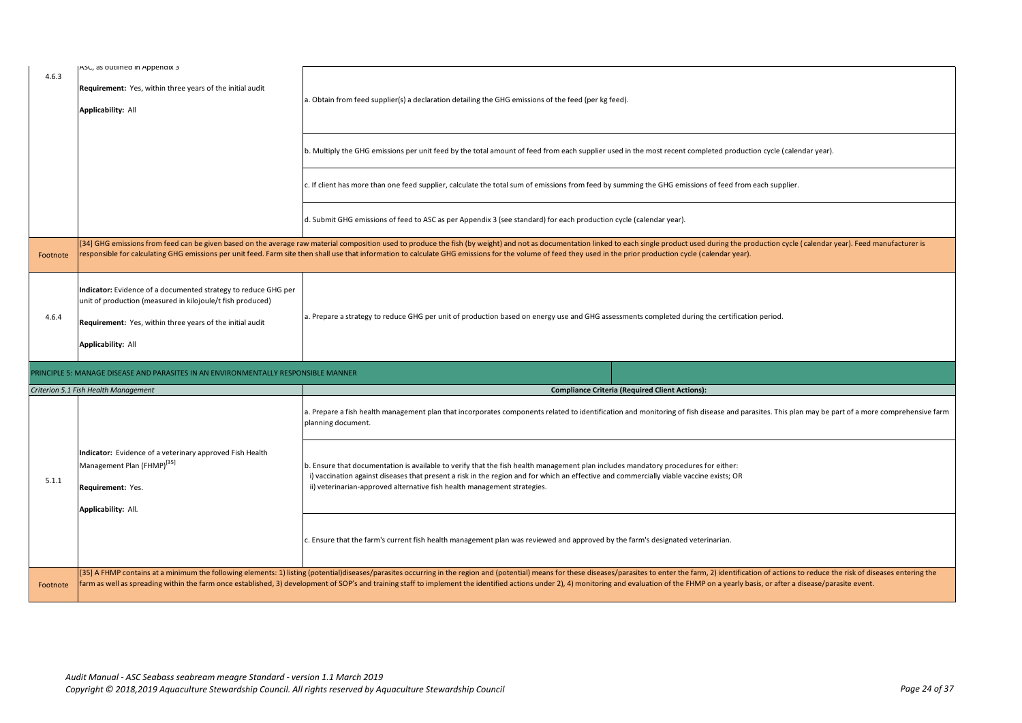| 4.6.3    | ASC, as outlined in Appendix 3<br>Requirement: Yes, within three years of the initial audit<br>Applicability: All                                                                                               | a. Obtain from feed supplier(s) a declaration detailing the GHG emissions of the feed (per kg feed).                                                                                                                                                                                                                                                                                                                                           |
|----------|-----------------------------------------------------------------------------------------------------------------------------------------------------------------------------------------------------------------|------------------------------------------------------------------------------------------------------------------------------------------------------------------------------------------------------------------------------------------------------------------------------------------------------------------------------------------------------------------------------------------------------------------------------------------------|
|          |                                                                                                                                                                                                                 | b. Multiply the GHG emissions per unit feed by the total amount of feed from each supplier used in the most recent completed production cycle (calendar year).                                                                                                                                                                                                                                                                                 |
|          |                                                                                                                                                                                                                 | c. If client has more than one feed supplier, calculate the total sum of emissions from feed by summing the GHG emissions of feed from each supplier.                                                                                                                                                                                                                                                                                          |
|          |                                                                                                                                                                                                                 | d. Submit GHG emissions of feed to ASC as per Appendix 3 (see standard) for each production cycle (calendar year).                                                                                                                                                                                                                                                                                                                             |
| Footnote |                                                                                                                                                                                                                 | [34] GHG emissions from feed can be given based on the average raw material composition used to produce the fish (by weight) and not as documentation linked to each single product used during the production cycle (calendar<br>esponsible for calculating GHG emissions per unit feed. Farm site then shall use that information to calculate GHG emissions for the volume of feed they used in the prior production cycle (calendar year). |
| 4.6.4    | Indicator: Evidence of a documented strategy to reduce GHG per<br>unit of production (measured in kilojoule/t fish produced)<br>Requirement: Yes, within three years of the initial audit<br>Applicability: All | a. Prepare a strategy to reduce GHG per unit of production based on energy use and GHG assessments completed during the certification period.                                                                                                                                                                                                                                                                                                  |
|          | RINCIPLE 5: MANAGE DISEASE AND PARASITES IN AN ENVIRONMENTALLY RESPONSIBLE MANNER                                                                                                                               |                                                                                                                                                                                                                                                                                                                                                                                                                                                |
|          | Criterion 5.1 Fish Health Management                                                                                                                                                                            | <b>Compliance Criteria (Required Client Actions):</b>                                                                                                                                                                                                                                                                                                                                                                                          |
|          |                                                                                                                                                                                                                 | a. Prepare a fish health management plan that incorporates components related to identification and monitoring of fish disease and parasites. This plan may be part of a more comprehensive farm<br>planning document.                                                                                                                                                                                                                         |
|          | Indicator: Evidence of a veterinary approved Fish Health                                                                                                                                                        |                                                                                                                                                                                                                                                                                                                                                                                                                                                |
| 5.1.1    | Management Plan (FHMP) <sup>[35]</sup><br>Requirement: Yes.<br>Applicability: All.                                                                                                                              | b. Ensure that documentation is available to verify that the fish health management plan includes mandatory procedures for either:<br>i) vaccination against diseases that present a risk in the region and for which an effective and commercially viable vaccine exists; OR<br>ii) veterinarian-approved alternative fish health management strategies.                                                                                      |
|          |                                                                                                                                                                                                                 | c. Ensure that the farm's current fish health management plan was reviewed and approved by the farm's designated veterinarian.                                                                                                                                                                                                                                                                                                                 |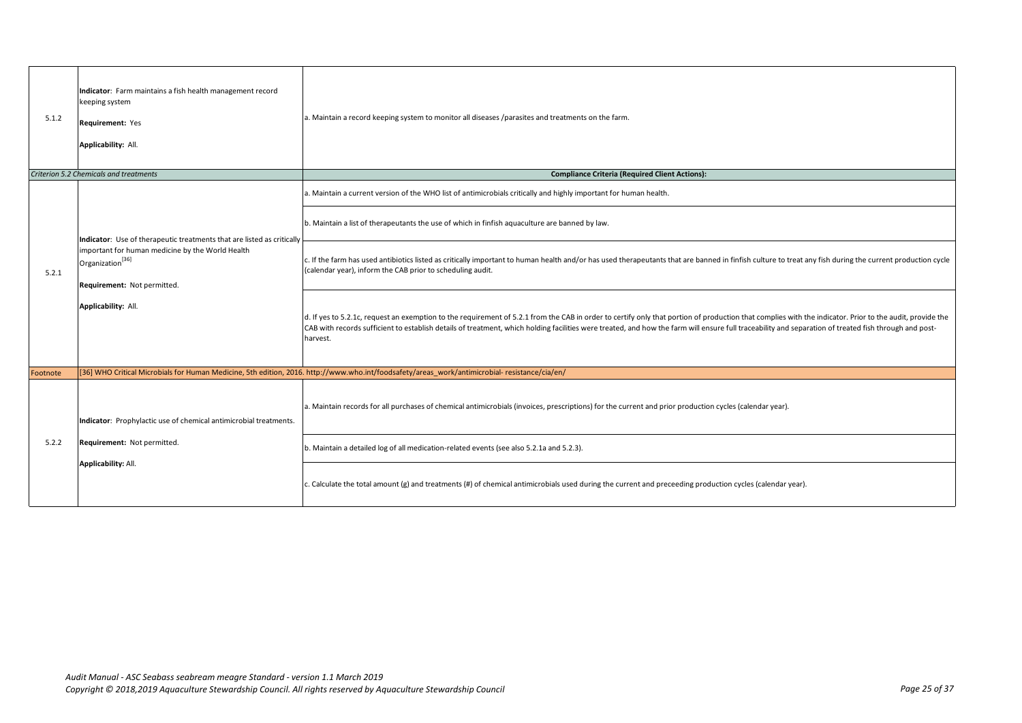| 5.1.2    | Indicator: Farm maintains a fish health management record<br>keeping system<br>Requirement: Yes<br>Applicability: All.                                                                                           | a. Maintain a record keeping system to monitor all diseases /parasites and treatments on the farm.                                                                                                                                                                                                                                                                                                                            |
|----------|------------------------------------------------------------------------------------------------------------------------------------------------------------------------------------------------------------------|-------------------------------------------------------------------------------------------------------------------------------------------------------------------------------------------------------------------------------------------------------------------------------------------------------------------------------------------------------------------------------------------------------------------------------|
|          | Criterion 5.2 Chemicals and treatments                                                                                                                                                                           | <b>Compliance Criteria (Required Client Actions):</b>                                                                                                                                                                                                                                                                                                                                                                         |
|          |                                                                                                                                                                                                                  | a. Maintain a current version of the WHO list of antimicrobials critically and highly important for human health.                                                                                                                                                                                                                                                                                                             |
|          | Indicator: Use of therapeutic treatments that are listed as critically<br>important for human medicine by the World Health<br>Organization <sup>[36]</sup><br>Requirement: Not permitted.<br>Applicability: All. | b. Maintain a list of therapeutants the use of which in finfish aquaculture are banned by law.                                                                                                                                                                                                                                                                                                                                |
| 5.2.1    |                                                                                                                                                                                                                  | c. If the farm has used antibiotics listed as critically important to human health and/or has used therapeutants that are banned in finfish culture to treat any fish during the current production cycle<br>(calendar year), inform the CAB prior to scheduling audit.                                                                                                                                                       |
|          |                                                                                                                                                                                                                  | d. If yes to 5.2.1c, request an exemption to the requirement of 5.2.1 from the CAB in order to certify only that portion of production that complies with the indicator. Prior to the audit, provide the<br>CAB with records sufficient to establish details of treatment, which holding facilities were treated, and how the farm will ensure full traceability and separation of treated fish through and post-<br>harvest. |
| Footnote |                                                                                                                                                                                                                  | [36] WHO Critical Microbials for Human Medicine, 5th edition, 2016. http://www.who.int/foodsafety/areas work/antimicrobial-resistance/cia/en/                                                                                                                                                                                                                                                                                 |
| 5.2.2    | Indicator: Prophylactic use of chemical antimicrobial treatments.<br>Requirement: Not permitted.<br>Applicability: All.                                                                                          | a. Maintain records for all purchases of chemical antimicrobials (invoices, prescriptions) for the current and prior production cycles (calendar year).                                                                                                                                                                                                                                                                       |
|          |                                                                                                                                                                                                                  | b. Maintain a detailed log of all medication-related events (see also 5.2.1a and 5.2.3).                                                                                                                                                                                                                                                                                                                                      |
|          |                                                                                                                                                                                                                  | c. Calculate the total amount (g) and treatments (#) of chemical antimicrobials used during the current and preceeding production cycles (calendar year).                                                                                                                                                                                                                                                                     |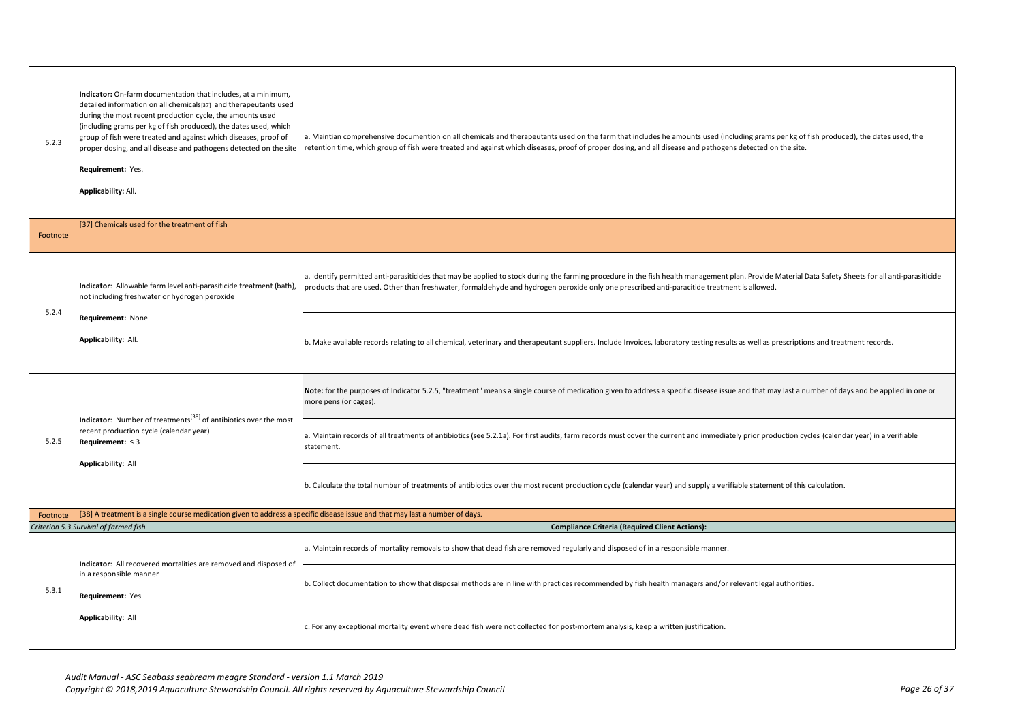| 5.2.3    | Indicator: On-farm documentation that includes, at a minimum,<br>detailed information on all chemicals[37] and therapeutants used<br>during the most recent production cycle, the amounts used<br>(including grams per kg of fish produced), the dates used, which<br>group of fish were treated and against which diseases, proof of<br>proper dosing, and all disease and pathogens detected on the site<br>Requirement: Yes.<br>Applicability: All. | a. Maintian comprehensive documention on all chemicals and therapeutants used on the farm that includes he amounts used (including grams per kg of fish produced), the dates used, the<br>retention time, which group of fish were treated and against which diseases, proof of proper dosing, and all disease and pathogens detected on the site.  |
|----------|--------------------------------------------------------------------------------------------------------------------------------------------------------------------------------------------------------------------------------------------------------------------------------------------------------------------------------------------------------------------------------------------------------------------------------------------------------|-----------------------------------------------------------------------------------------------------------------------------------------------------------------------------------------------------------------------------------------------------------------------------------------------------------------------------------------------------|
| Footnote | [37] Chemicals used for the treatment of fish                                                                                                                                                                                                                                                                                                                                                                                                          |                                                                                                                                                                                                                                                                                                                                                     |
|          | Indicator: Allowable farm level anti-parasiticide treatment (bath),<br>not including freshwater or hydrogen peroxide                                                                                                                                                                                                                                                                                                                                   | a. Identify permitted anti-parasiticides that may be applied to stock during the farming procedure in the fish health management plan. Provide Material Data Safety Sheets for all anti-parasiticide<br>products that are used. Other than freshwater, formaldehyde and hydrogen peroxide only one prescribed anti-paracitide treatment is allowed. |
| 5.2.4    | Requirement: None<br>Applicability: All.                                                                                                                                                                                                                                                                                                                                                                                                               | b. Make available records relating to all chemical, veterinary and therapeutant suppliers. Include Invoices, laboratory testing results as well as prescriptions and treatment records.                                                                                                                                                             |
|          | <b>Indicator:</b> Number of treatments <sup>[38]</sup> of antibiotics over the most<br>recent production cycle (calendar year)<br>Requirement: $\leq$ 3<br><b>Applicability: All</b>                                                                                                                                                                                                                                                                   | Note: for the purposes of Indicator 5.2.5, "treatment" means a single course of medication given to address a specific disease issue and that may last a number of days and be applied in one or<br>more pens (or cages).                                                                                                                           |
| 5.2.5    |                                                                                                                                                                                                                                                                                                                                                                                                                                                        | a. Maintain records of all treatments of antibiotics (see 5.2.1a). For first audits, farm records must cover the current and immediately prior production cycles (calendar year) in a verifiable<br>statement.                                                                                                                                      |
|          |                                                                                                                                                                                                                                                                                                                                                                                                                                                        | b. Calculate the total number of treatments of antibiotics over the most recent production cycle (calendar year) and supply a verifiable statement of this calculation.                                                                                                                                                                             |
| Footnote | [38] A treatment is a single course medication given to address a specific disease issue and that may last a number of days.                                                                                                                                                                                                                                                                                                                           |                                                                                                                                                                                                                                                                                                                                                     |
|          | Criterion 5.3 Survival of farmed fish                                                                                                                                                                                                                                                                                                                                                                                                                  | <b>Compliance Criteria (Required Client Actions):</b>                                                                                                                                                                                                                                                                                               |
|          | Indicator: All recovered mortalities are removed and disposed of                                                                                                                                                                                                                                                                                                                                                                                       | a. Maintain records of mortality removals to show that dead fish are removed regularly and disposed of in a responsible manner.                                                                                                                                                                                                                     |
| 5.3.1    | in a responsible manner<br>Requirement: Yes                                                                                                                                                                                                                                                                                                                                                                                                            | b. Collect documentation to show that disposal methods are in line with practices recommended by fish health managers and/or relevant legal authorities.                                                                                                                                                                                            |
|          | Applicability: All                                                                                                                                                                                                                                                                                                                                                                                                                                     | c. For any exceptional mortality event where dead fish were not collected for post-mortem analysis, keep a written justification.                                                                                                                                                                                                                   |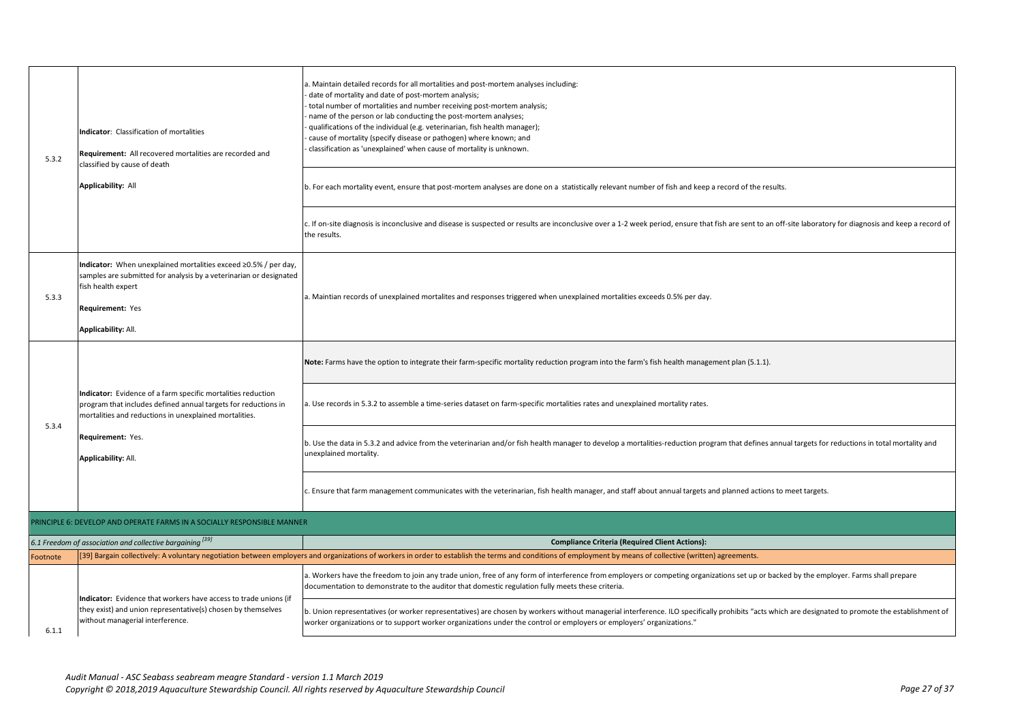| 5.3.2    | Indicator: Classification of mortalities<br><b>Requirement:</b> All recovered mortalities are recorded and<br>classified by cause of death<br>Applicability: All                                       | a. Maintain detailed records for all mortalities and post-mortem analyses including:<br>date of mortality and date of post-mortem analysis;<br>total number of mortalities and number receiving post-mortem analysis;<br>name of the person or lab conducting the post-mortem analyses;<br>qualifications of the individual (e.g. veterinarian, fish health manager);<br>cause of mortality (specify disease or pathogen) where known; and<br>classification as 'unexplained' when cause of mortality is unknown. |  |
|----------|--------------------------------------------------------------------------------------------------------------------------------------------------------------------------------------------------------|-------------------------------------------------------------------------------------------------------------------------------------------------------------------------------------------------------------------------------------------------------------------------------------------------------------------------------------------------------------------------------------------------------------------------------------------------------------------------------------------------------------------|--|
|          |                                                                                                                                                                                                        | b. For each mortality event, ensure that post-mortem analyses are done on a statistically relevant number of fish and keep a record of the results.                                                                                                                                                                                                                                                                                                                                                               |  |
|          |                                                                                                                                                                                                        | c. If on-site diagnosis is inconclusive and disease is suspected or results are inconclusive over a 1-2 week period, ensure that fish are sent to an off-site laboratory for diagnosis and keep a record of<br>the results.                                                                                                                                                                                                                                                                                       |  |
| 5.3.3    | Indicator: When unexplained mortalities exceed ≥0.5% / per day,<br>samples are submitted for analysis by a veterinarian or designated<br>fish health expert<br>Requirement: Yes<br>Applicability: All. | a. Maintian records of unexplained mortalites and responses triggered when unexplained mortalities exceeds 0.5% per day.                                                                                                                                                                                                                                                                                                                                                                                          |  |
|          |                                                                                                                                                                                                        | Note: Farms have the option to integrate their farm-specific mortality reduction program into the farm's fish health management plan (5.1.1).                                                                                                                                                                                                                                                                                                                                                                     |  |
|          | Indicator: Evidence of a farm specific mortalities reduction<br>program that includes defined annual targets for reductions in<br>mortalities and reductions in unexplained mortalities.               | a. Use records in 5.3.2 to assemble a time-series dataset on farm-specific mortalities rates and unexplained mortality rates.                                                                                                                                                                                                                                                                                                                                                                                     |  |
| 5.3.4    | Requirement: Yes.<br>Applicability: All.                                                                                                                                                               | b. Use the data in 5.3.2 and advice from the veterinarian and/or fish health manager to develop a mortalities-reduction program that defines annual targets for reductions in total mortality and<br>unexplained mortality.                                                                                                                                                                                                                                                                                       |  |
|          |                                                                                                                                                                                                        | c. Ensure that farm management communicates with the veterinarian, fish health manager, and staff about annual targets and planned actions to meet targets.                                                                                                                                                                                                                                                                                                                                                       |  |
|          | PRINCIPLE 6: DEVELOP AND OPERATE FARMS IN A SOCIALLY RESPONSIBLE MANNER                                                                                                                                |                                                                                                                                                                                                                                                                                                                                                                                                                                                                                                                   |  |
|          | 6.1 Freedom of association and collective bargaining [39]                                                                                                                                              | <b>Compliance Criteria (Required Client Actions):</b>                                                                                                                                                                                                                                                                                                                                                                                                                                                             |  |
| Footnote |                                                                                                                                                                                                        | [39] Bargain collectively: A voluntary negotiation between employers and organizations of workers in order to establish the terms and conditions of employment by means of collective (written) agreements.                                                                                                                                                                                                                                                                                                       |  |
|          | Indicator: Evidence that workers have access to trade unions (if                                                                                                                                       | a. Workers have the freedom to join any trade union, free of any form of interference from employers or competing organizations set up or backed by the employer. Farms shall prepare<br>documentation to demonstrate to the auditor that domestic regulation fully meets these criteria.                                                                                                                                                                                                                         |  |
| 6.1.1    | they exist) and union representative(s) chosen by themselves<br>without managerial interference.                                                                                                       | b. Union representatives (or worker representatives) are chosen by workers without managerial interference. ILO specifically prohibits "acts which are designated to promote the establishment of<br>worker organizations or to support worker organizations under the control or employers or employers' organizations."                                                                                                                                                                                         |  |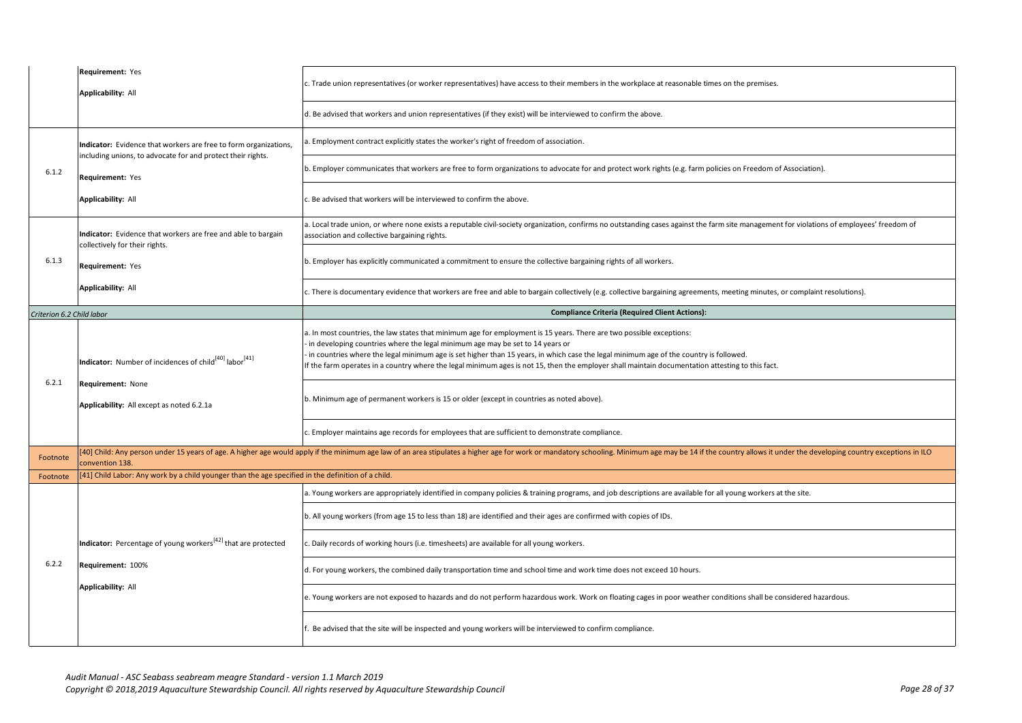|                           | Requirement: Yes<br>Applicability: All                                                             | c. Trade union representatives (or worker representatives) have access to their members in the workplace at reasonable times on the premises.                                                                                                                                                                                                                                                                                                                                                      |
|---------------------------|----------------------------------------------------------------------------------------------------|----------------------------------------------------------------------------------------------------------------------------------------------------------------------------------------------------------------------------------------------------------------------------------------------------------------------------------------------------------------------------------------------------------------------------------------------------------------------------------------------------|
|                           |                                                                                                    | d. Be advised that workers and union representatives (if they exist) will be interviewed to confirm the above.                                                                                                                                                                                                                                                                                                                                                                                     |
|                           | Indicator: Evidence that workers are free to form organizations,                                   | a. Employment contract explicitly states the worker's right of freedom of association.                                                                                                                                                                                                                                                                                                                                                                                                             |
| 6.1.2                     | including unions, to advocate for and protect their rights.<br>Requirement: Yes                    | b. Employer communicates that workers are free to form organizations to advocate for and protect work rights (e.g. farm policies on Freedom of Association).                                                                                                                                                                                                                                                                                                                                       |
|                           | <b>Applicability: All</b>                                                                          | c. Be advised that workers will be interviewed to confirm the above.                                                                                                                                                                                                                                                                                                                                                                                                                               |
|                           | Indicator: Evidence that workers are free and able to bargain<br>collectively for their rights.    | a. Local trade union, or where none exists a reputable civil-society organization, confirms no outstanding cases against the farm site management for violations of employees' freedom of<br>association and collective bargaining rights.                                                                                                                                                                                                                                                         |
| 6.1.3                     | Requirement: Yes                                                                                   | b. Employer has explicitly communicated a commitment to ensure the collective bargaining rights of all workers.                                                                                                                                                                                                                                                                                                                                                                                    |
|                           | Applicability: All                                                                                 | c. There is documentary evidence that workers are free and able to bargain collectively (e.g. collective bargaining agreements, meeting minutes, or complaint resolutions).                                                                                                                                                                                                                                                                                                                        |
| Criterion 6.2 Child labor |                                                                                                    | <b>Compliance Criteria (Required Client Actions):</b>                                                                                                                                                                                                                                                                                                                                                                                                                                              |
|                           | <b>Indicator:</b> Number of incidences of child <sup>[40]</sup> labor <sup>[41]</sup>              | a. In most countries, the law states that minimum age for employment is 15 years. There are two possible exceptions:<br>in developing countries where the legal minimum age may be set to 14 years or<br>in countries where the legal minimum age is set higher than 15 years, in which case the legal minimum age of the country is followed.<br>If the farm operates in a country where the legal minimum ages is not 15, then the employer shall maintain documentation attesting to this fact. |
| 6.2.1                     | Requirement: None<br>Applicability: All except as noted 6.2.1a                                     | b. Minimum age of permanent workers is 15 or older (except in countries as noted above).                                                                                                                                                                                                                                                                                                                                                                                                           |
|                           |                                                                                                    | c. Employer maintains age records for employees that are sufficient to demonstrate compliance.                                                                                                                                                                                                                                                                                                                                                                                                     |
| Footnote                  | convention 138.                                                                                    | [40] Child: Any person under 15 years of age. A higher age would apply if the minimum age law of an area stipulates a higher age for work or mandatory schooling. Minimum age may be 14 if the country allows it under the dev                                                                                                                                                                                                                                                                     |
| Footnote                  | [41] Child Labor: Any work by a child younger than the age specified in the definition of a child. |                                                                                                                                                                                                                                                                                                                                                                                                                                                                                                    |
|                           |                                                                                                    | a. Young workers are appropriately identified in company policies & training programs, and job descriptions are available for all young workers at the site.                                                                                                                                                                                                                                                                                                                                       |
|                           |                                                                                                    | b. All young workers (from age 15 to less than 18) are identified and their ages are confirmed with copies of IDs.                                                                                                                                                                                                                                                                                                                                                                                 |
|                           | Indicator: Percentage of young workers <sup>[42]</sup> that are protected                          | . Daily records of working hours (i.e. timesheets) are available for all young workers.                                                                                                                                                                                                                                                                                                                                                                                                            |
| 6.2.2                     | Requirement: 100%                                                                                  | d. For young workers, the combined daily transportation time and school time and work time does not exceed 10 hours.                                                                                                                                                                                                                                                                                                                                                                               |
|                           | <b>Applicability: All</b>                                                                          | e. Young workers are not exposed to hazards and do not perform hazardous work. Work on floating cages in poor weather conditions shall be considered hazardous.                                                                                                                                                                                                                                                                                                                                    |
|                           |                                                                                                    | Be advised that the site will be inspected and young workers will be interviewed to confirm compliance.                                                                                                                                                                                                                                                                                                                                                                                            |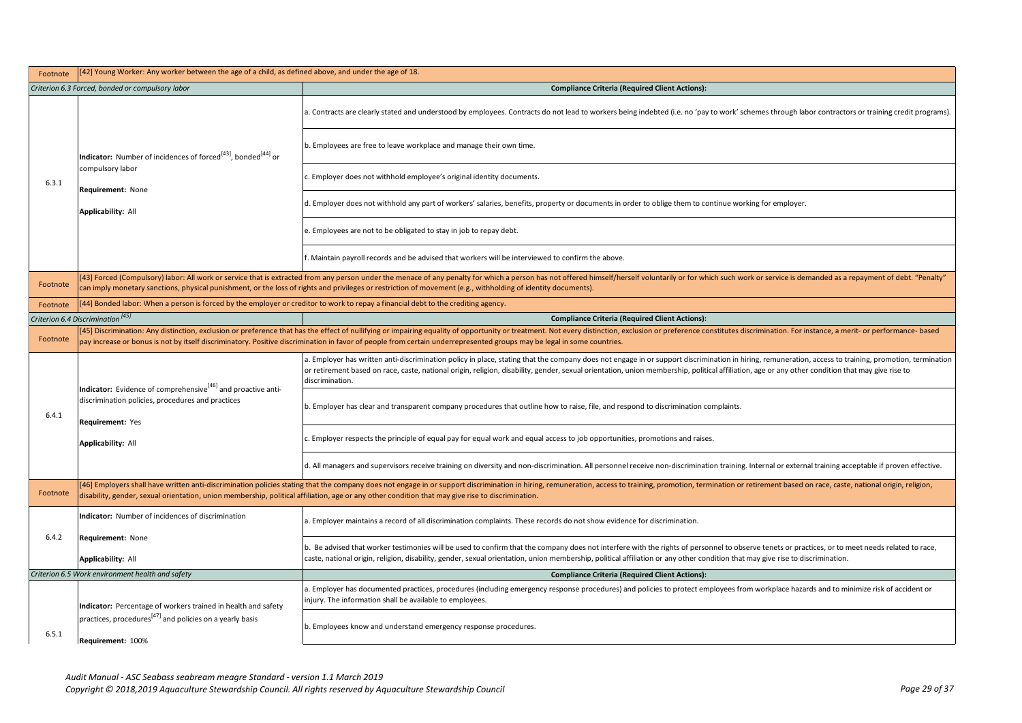| Footnote | [42] Young Worker: Any worker between the age of a child, as defined above, and under the age of 18.                                                                                                                                                                                                                                                                                                    |                                                                                                                                                                                                                                                                                                                                                                                                                               |
|----------|---------------------------------------------------------------------------------------------------------------------------------------------------------------------------------------------------------------------------------------------------------------------------------------------------------------------------------------------------------------------------------------------------------|-------------------------------------------------------------------------------------------------------------------------------------------------------------------------------------------------------------------------------------------------------------------------------------------------------------------------------------------------------------------------------------------------------------------------------|
|          | Criterion 6.3 Forced, bonded or compulsory labor                                                                                                                                                                                                                                                                                                                                                        | <b>Compliance Criteria (Required Client Actions):</b>                                                                                                                                                                                                                                                                                                                                                                         |
|          | <b>Indicator:</b> Number of incidences of forced <sup>[43]</sup> , bonded <sup>[44]</sup> or<br>compulsory labor<br>Requirement: None<br><b>Applicability: All</b>                                                                                                                                                                                                                                      | . Contracts are clearly stated and understood by employees. Contracts do not lead to workers being indebted (i.e. no 'pay to work' schemes through labor contractors or training credit programs).                                                                                                                                                                                                                            |
|          |                                                                                                                                                                                                                                                                                                                                                                                                         | b. Employees are free to leave workplace and manage their own time.                                                                                                                                                                                                                                                                                                                                                           |
| 6.3.1    |                                                                                                                                                                                                                                                                                                                                                                                                         | Employer does not withhold employee's original identity documents.                                                                                                                                                                                                                                                                                                                                                            |
|          |                                                                                                                                                                                                                                                                                                                                                                                                         | d. Employer does not withhold any part of workers' salaries, benefits, property or documents in order to oblige them to continue working for employer.                                                                                                                                                                                                                                                                        |
|          |                                                                                                                                                                                                                                                                                                                                                                                                         | . Employees are not to be obligated to stay in job to repay debt.                                                                                                                                                                                                                                                                                                                                                             |
|          |                                                                                                                                                                                                                                                                                                                                                                                                         | f. Maintain payroll records and be advised that workers will be interviewed to confirm the above.                                                                                                                                                                                                                                                                                                                             |
| Footnote |                                                                                                                                                                                                                                                                                                                                                                                                         | [43] Forced (Compulsory) labor: All work or service that is extracted from any person under the menace of any penalty for which a person has not offered himself/herself voluntarily or for which such work or service is dema<br>can imply monetary sanctions, physical punishment, or the loss of rights and privileges or restriction of movement (e.g., withholding of identity documents).                               |
| Footnote | [44] Bonded labor: When a person is forced by the employer or creditor to work to repay a financial debt to the crediting agency.                                                                                                                                                                                                                                                                       |                                                                                                                                                                                                                                                                                                                                                                                                                               |
|          | Criterion 6.4 Discrimination <sup>[45]</sup>                                                                                                                                                                                                                                                                                                                                                            | <b>Compliance Criteria (Required Client Actions):</b>                                                                                                                                                                                                                                                                                                                                                                         |
| Footnote | [45] Discrimination: Any distinction, exclusion or preference that has the effect of nullifying or impairing equality of opportunity or treatment. Not every distinction, exclusion or preference constitutes discrimination.<br>pay increase or bonus is not by itself discriminatory. Positive discrimination in favor of people from certain underrepresented groups may be legal in some countries. |                                                                                                                                                                                                                                                                                                                                                                                                                               |
|          | Indicator: Evidence of comprehensive <sup>[46]</sup> and proactive anti-<br>discrimination policies, procedures and practices<br>Requirement: Yes                                                                                                                                                                                                                                                       | a. Employer has written anti-discrimination policy in place, stating that the company does not engage in or support discrimination in hiring, remuneration, access to training, promotion, termination<br>or retirement based on race, caste, national origin, religion, disability, gender, sexual orientation, union membership, political affiliation, age or any other condition that may give rise to<br>discrimination. |
| 6.4.1    |                                                                                                                                                                                                                                                                                                                                                                                                         | b. Employer has clear and transparent company procedures that outline how to raise, file, and respond to discrimination complaints.                                                                                                                                                                                                                                                                                           |
|          | <b>Applicability: All</b>                                                                                                                                                                                                                                                                                                                                                                               | Employer respects the principle of equal pay for equal work and equal access to job opportunities, promotions and raises.                                                                                                                                                                                                                                                                                                     |
|          |                                                                                                                                                                                                                                                                                                                                                                                                         | d. All managers and supervisors receive training on diversity and non-discrimination. All personnel receive non-discrimination training. Internal or external training acceptable if proven effective.                                                                                                                                                                                                                        |
| Footnote |                                                                                                                                                                                                                                                                                                                                                                                                         | [46] Employers shall have written anti-discrimination policies stating that the company does not engage in or support discrimination in hiring, remuneration, access to training, promotion, termination or retirement based o<br>disability, gender, sexual orientation, union membership, political affiliation, age or any other condition that may give rise to discrimination.                                           |
|          | Indicator: Number of incidences of discrimination                                                                                                                                                                                                                                                                                                                                                       | a. Employer maintains a record of all discrimination complaints. These records do not show evidence for discrimination.                                                                                                                                                                                                                                                                                                       |
| 6.4.2    | Requirement: None                                                                                                                                                                                                                                                                                                                                                                                       | b. Be advised that worker testimonies will be used to confirm that the company does not interfere with the rights of personnel to observe tenets or practices, or to meet needs related to race,                                                                                                                                                                                                                              |
|          | <b>Applicability: All</b>                                                                                                                                                                                                                                                                                                                                                                               | caste, national origin, religion, disability, gender, sexual orientation, union membership, political affiliation or any other condition that may give rise to discrimination.                                                                                                                                                                                                                                                |
|          | Criterion 6.5 Work environment health and safety                                                                                                                                                                                                                                                                                                                                                        | <b>Compliance Criteria (Required Client Actions):</b>                                                                                                                                                                                                                                                                                                                                                                         |
|          | Indicator: Percentage of workers trained in health and safety<br>practices, procedures <sup>[47]</sup> and policies on a yearly basis<br>Requirement: 100%                                                                                                                                                                                                                                              | . Employer has documented practices, procedures (including emergency response procedures) and policies to protect employees from workplace hazards and to minimize risk of accident or<br>njury. The information shall be available to employees.                                                                                                                                                                             |
| 6.5.1    |                                                                                                                                                                                                                                                                                                                                                                                                         | b. Employees know and understand emergency response procedures.                                                                                                                                                                                                                                                                                                                                                               |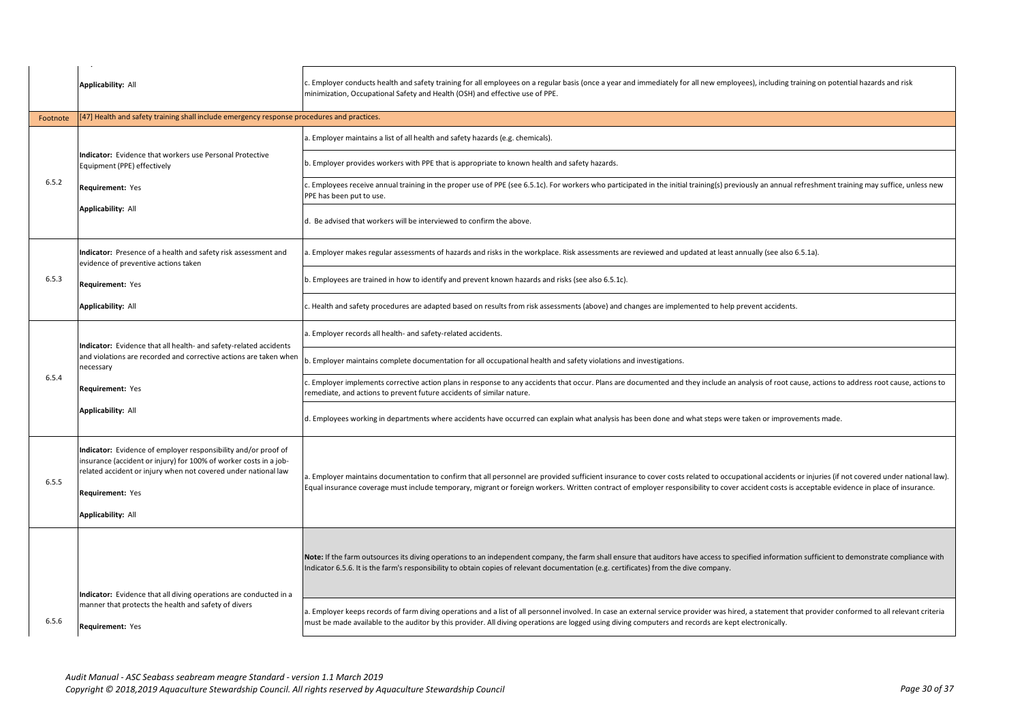|          | Applicability: All                                                                                                                                                                                                                              | c. Employer conducts health and safety training for all employees on a regular basis (once a year and immediately for all new employees), including training on potential hazards and risk<br>minimization, Occupational Safety and Health (OSH) and effective use of PPE.                                                                                                                              |
|----------|-------------------------------------------------------------------------------------------------------------------------------------------------------------------------------------------------------------------------------------------------|---------------------------------------------------------------------------------------------------------------------------------------------------------------------------------------------------------------------------------------------------------------------------------------------------------------------------------------------------------------------------------------------------------|
| Footnote | [47] Health and safety training shall include emergency response procedures and practices.                                                                                                                                                      |                                                                                                                                                                                                                                                                                                                                                                                                         |
|          |                                                                                                                                                                                                                                                 | a. Employer maintains a list of all health and safety hazards (e.g. chemicals).                                                                                                                                                                                                                                                                                                                         |
|          | <b>Indicator:</b> Evidence that workers use Personal Protective<br>Equipment (PPE) effectively                                                                                                                                                  | b. Employer provides workers with PPE that is appropriate to known health and safety hazards.                                                                                                                                                                                                                                                                                                           |
| 6.5.2    | Requirement: Yes                                                                                                                                                                                                                                | c. Employees receive annual training in the proper use of PPE (see 6.5.1c). For workers who participated in the initial training(s) previously an annual refreshment training may suffice, unless new<br>PPE has been put to use.                                                                                                                                                                       |
|          | Applicability: All                                                                                                                                                                                                                              | d. Be advised that workers will be interviewed to confirm the above.                                                                                                                                                                                                                                                                                                                                    |
|          | Indicator: Presence of a health and safety risk assessment and<br>evidence of preventive actions taken                                                                                                                                          | a. Employer makes regular assessments of hazards and risks in the workplace. Risk assessments are reviewed and updated at least annually (see also 6.5.1a).                                                                                                                                                                                                                                             |
| 6.5.3    | Requirement: Yes                                                                                                                                                                                                                                | b. Employees are trained in how to identify and prevent known hazards and risks (see also 6.5.1c).                                                                                                                                                                                                                                                                                                      |
|          | <b>Applicability: All</b>                                                                                                                                                                                                                       | c. Health and safety procedures are adapted based on results from risk assessments (above) and changes are implemented to help prevent accidents.                                                                                                                                                                                                                                                       |
|          | Indicator: Evidence that all health- and safety-related accidents                                                                                                                                                                               | a. Employer records all health- and safety-related accidents.                                                                                                                                                                                                                                                                                                                                           |
|          | and violations are recorded and corrective actions are taken when<br>necessary                                                                                                                                                                  | b. Employer maintains complete documentation for all occupational health and safety violations and investigations.                                                                                                                                                                                                                                                                                      |
| 6.5.4    | Requirement: Yes                                                                                                                                                                                                                                | c. Employer implements corrective action plans in response to any accidents that occur. Plans are documented and they include an analysis of root cause, actions to address root cause, actions to<br>remediate, and actions to prevent future accidents of similar nature.                                                                                                                             |
|          | Applicability: All                                                                                                                                                                                                                              | d. Employees working in departments where accidents have occurred can explain what analysis has been done and what steps were taken or improvements made.                                                                                                                                                                                                                                               |
| 6.5.5    | Indicator: Evidence of employer responsibility and/or proof of<br>insurance (accident or injury) for 100% of worker costs in a job-<br>related accident or injury when not covered under national law<br>Requirement: Yes<br>Applicability: All | a. Employer maintains documentation to confirm that all personnel are provided sufficient insurance to cover costs related to occupational accidents or injuries (if not covered under national law).<br>Equal insurance coverage must include temporary, migrant or foreign workers. Written contract of employer responsibility to cover accident costs is acceptable evidence in place of insurance. |
|          | Indicator: Evidence that all diving operations are conducted in a                                                                                                                                                                               | Note: If the farm outsources its diving operations to an independent company, the farm shall ensure that auditors have access to specified information sufficient to demonstrate compliance with<br>Indicator 6.5.6. It is the farm's responsibility to obtain copies of relevant documentation (e.g. certificates) from the dive company.                                                              |
| 6.5.6    | manner that protects the health and safety of divers<br>Requirement: Yes                                                                                                                                                                        | a. Employer keeps records of farm diving operations and a list of all personnel involved. In case an external service provider was hired, a statement that provider conformed to all relevant criteria<br>must be made available to the auditor by this provider. All diving operations are logged using diving computers and records are kept electronically.                                          |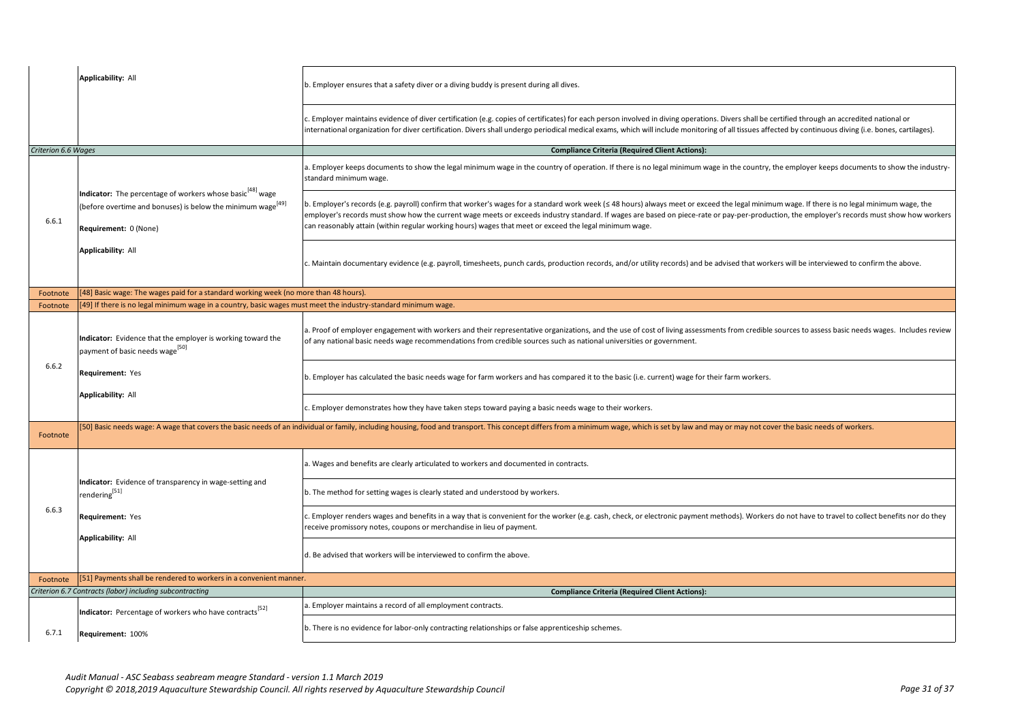|                     | <b>Applicability: All</b>                                                                                                                                                        | b. Employer ensures that a safety diver or a diving buddy is present during all dives.                                                                                                                                                                                                                                                                                                                                                                                                              |
|---------------------|----------------------------------------------------------------------------------------------------------------------------------------------------------------------------------|-----------------------------------------------------------------------------------------------------------------------------------------------------------------------------------------------------------------------------------------------------------------------------------------------------------------------------------------------------------------------------------------------------------------------------------------------------------------------------------------------------|
|                     |                                                                                                                                                                                  | c. Employer maintains evidence of diver certification (e.g. copies of certificates) for each person involved in diving operations. Divers shall be certified through an accredited national or<br>international organization for diver certification. Divers shall undergo periodical medical exams, which will include monitoring of all tissues affected by continuous diving (i.e. bones, cartilages).                                                                                           |
| Criterion 6.6 Wages |                                                                                                                                                                                  | <b>Compliance Criteria (Required Client Actions):</b>                                                                                                                                                                                                                                                                                                                                                                                                                                               |
|                     |                                                                                                                                                                                  | a. Employer keeps documents to show the legal minimum wage in the country of operation. If there is no legal minimum wage in the country, the employer keeps documents to show the industry-<br>standard minimum wage.                                                                                                                                                                                                                                                                              |
| 6.6.1               | <b>Indicator:</b> The percentage of workers whose basic <sup>[48]</sup> wage<br>(before overtime and bonuses) is below the minimum wage <sup>[49]</sup><br>Requirement: 0 (None) | b. Employer's records (e.g. payroll) confirm that worker's wages for a standard work week (≤ 48 hours) always meet or exceed the legal minimum wage. If there is no legal minimum wage, the<br>employer's records must show how the current wage meets or exceeds industry standard. If wages are based on piece-rate or pay-per-production, the employer's records must show how workers<br>can reasonably attain (within regular working hours) wages that meet or exceed the legal minimum wage. |
|                     | Applicability: All                                                                                                                                                               | c. Maintain documentary evidence (e.g. payroll, timesheets, punch cards, production records, and/or utility records) and be advised that workers will be interviewed to confirm the above.                                                                                                                                                                                                                                                                                                          |
| Footnote            | [48] Basic wage: The wages paid for a standard working week (no more than 48 hours).                                                                                             |                                                                                                                                                                                                                                                                                                                                                                                                                                                                                                     |
| Footnote            | 49] If there is no legal minimum wage in a country, basic wages must meet the industry-standard minimum wage.                                                                    |                                                                                                                                                                                                                                                                                                                                                                                                                                                                                                     |
|                     | Indicator: Evidence that the employer is working toward the<br>payment of basic needs wage <sup>[50]</sup>                                                                       | a. Proof of employer engagement with workers and their representative organizations, and the use of cost of living assessments from credible sources to assess basic needs wages. Includes review<br>of any national basic needs wage recommendations from credible sources such as national universities or government.                                                                                                                                                                            |
| 6.6.2               | Requirement: Yes                                                                                                                                                                 | b. Employer has calculated the basic needs wage for farm workers and has compared it to the basic (i.e. current) wage for their farm workers.                                                                                                                                                                                                                                                                                                                                                       |
|                     | Applicability: All                                                                                                                                                               | c. Employer demonstrates how they have taken steps toward paying a basic needs wage to their workers.                                                                                                                                                                                                                                                                                                                                                                                               |
| Footnote            |                                                                                                                                                                                  | [50] Basic needs wage: A wage that covers the basic needs of an individual or family, including housing, food and transport. This concept differs from a minimum wage, which is set by law and may or may not cover the basic                                                                                                                                                                                                                                                                       |
|                     |                                                                                                                                                                                  | a. Wages and benefits are clearly articulated to workers and documented in contracts.                                                                                                                                                                                                                                                                                                                                                                                                               |
|                     | Indicator: Evidence of transparency in wage-setting and<br>rendering <sup>[51]</sup>                                                                                             | b. The method for setting wages is clearly stated and understood by workers.                                                                                                                                                                                                                                                                                                                                                                                                                        |
| 6.6.3               | Requirement: Yes                                                                                                                                                                 | c. Employer renders wages and benefits in a way that is convenient for the worker (e.g. cash, check, or electronic payment methods). Workers do not have to travel to collect benefits nor do they<br>receive promissory notes, coupons or merchandise in lieu of payment.                                                                                                                                                                                                                          |
|                     | <b>Applicability: All</b>                                                                                                                                                        | d. Be advised that workers will be interviewed to confirm the above.                                                                                                                                                                                                                                                                                                                                                                                                                                |
| Footnote            | [51] Payments shall be rendered to workers in a convenient manner.                                                                                                               |                                                                                                                                                                                                                                                                                                                                                                                                                                                                                                     |
|                     | Criterion 6.7 Contracts (labor) including subcontracting                                                                                                                         | <b>Compliance Criteria (Required Client Actions):</b>                                                                                                                                                                                                                                                                                                                                                                                                                                               |
|                     | Indicator: Percentage of workers who have contracts <sup>[52]</sup>                                                                                                              | a. Employer maintains a record of all employment contracts.                                                                                                                                                                                                                                                                                                                                                                                                                                         |
| 6.7.1               | Requirement: 100%                                                                                                                                                                | b. There is no evidence for labor-only contracting relationships or false apprenticeship schemes.                                                                                                                                                                                                                                                                                                                                                                                                   |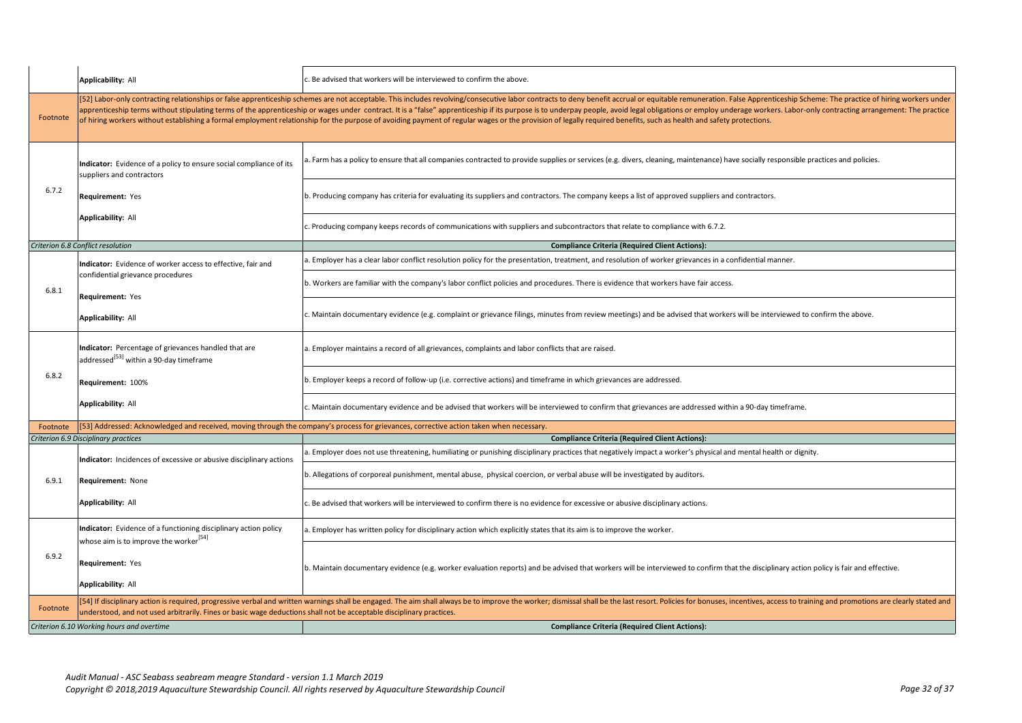|          | Applicability: All                                                                                                    | . Be advised that workers will be interviewed to confirm the above.                                                                                                                                                                                                                                                                                                                                                                                                                                                                                                                                                                                                                    |
|----------|-----------------------------------------------------------------------------------------------------------------------|----------------------------------------------------------------------------------------------------------------------------------------------------------------------------------------------------------------------------------------------------------------------------------------------------------------------------------------------------------------------------------------------------------------------------------------------------------------------------------------------------------------------------------------------------------------------------------------------------------------------------------------------------------------------------------------|
| Footnote |                                                                                                                       | [52] Labor-only contracting relationships or false apprenticeship schemes are not acceptable. This includes revolving/consecutive labor contracts to deny benefit accrual or equitable remuneration. False Apprenticeship Sche<br>apprenticeship terms without stipulating terms of the apprenticeship or wages under contract. It is a "false" apprenticeship if its purpose is to underpay people, avoid legal obligations or employ underage workers. Labor-o<br>of hiring workers without establishing a formal employment relationship for the purpose of avoiding payment of regular wages or the provision of legally required benefits, such as health and safety protections. |
|          | Indicator: Evidence of a policy to ensure social compliance of its<br>suppliers and contractors                       | . Farm has a policy to ensure that all companies contracted to provide supplies or services (e.g. divers, cleaning, maintenance) have socially responsible practices and policies.                                                                                                                                                                                                                                                                                                                                                                                                                                                                                                     |
| 6.7.2    | Requirement: Yes                                                                                                      | b. Producing company has criteria for evaluating its suppliers and contractors. The company keeps a list of approved suppliers and contractors.                                                                                                                                                                                                                                                                                                                                                                                                                                                                                                                                        |
|          | Applicability: All                                                                                                    | c. Producing company keeps records of communications with suppliers and subcontractors that relate to compliance with 6.7.2.                                                                                                                                                                                                                                                                                                                                                                                                                                                                                                                                                           |
|          | Criterion 6.8 Conflict resolution                                                                                     | <b>Compliance Criteria (Required Client Actions):</b>                                                                                                                                                                                                                                                                                                                                                                                                                                                                                                                                                                                                                                  |
|          | Indicator: Evidence of worker access to effective, fair and                                                           | a. Employer has a clear labor conflict resolution policy for the presentation, treatment, and resolution of worker grievances in a confidential manner.                                                                                                                                                                                                                                                                                                                                                                                                                                                                                                                                |
| 6.8.1    | confidential grievance procedures<br>Requirement: Yes                                                                 | b. Workers are familiar with the company's labor conflict policies and procedures. There is evidence that workers have fair access.                                                                                                                                                                                                                                                                                                                                                                                                                                                                                                                                                    |
|          | Applicability: All                                                                                                    | c. Maintain documentary evidence (e.g. complaint or grievance filings, minutes from review meetings) and be advised that workers will be interviewed to confirm the above.                                                                                                                                                                                                                                                                                                                                                                                                                                                                                                             |
|          | Indicator: Percentage of grievances handled that are<br>addressed <sup>[53]</sup> within a 90-day timeframe           | . Employer maintains a record of all grievances, complaints and labor conflicts that are raised.                                                                                                                                                                                                                                                                                                                                                                                                                                                                                                                                                                                       |
| 6.8.2    | Requirement: 100%                                                                                                     | b. Employer keeps a record of follow-up (i.e. corrective actions) and timeframe in which grievances are addressed.                                                                                                                                                                                                                                                                                                                                                                                                                                                                                                                                                                     |
|          | Applicability: All                                                                                                    | c. Maintain documentary evidence and be advised that workers will be interviewed to confirm that grievances are addressed within a 90-day timeframe.                                                                                                                                                                                                                                                                                                                                                                                                                                                                                                                                   |
| Footnote |                                                                                                                       | [53] Addressed: Acknowledged and received, moving through the company's process for grievances, corrective action taken when necessary.                                                                                                                                                                                                                                                                                                                                                                                                                                                                                                                                                |
|          | Criterion 6.9 Disciplinary practices                                                                                  | <b>Compliance Criteria (Required Client Actions):</b>                                                                                                                                                                                                                                                                                                                                                                                                                                                                                                                                                                                                                                  |
|          | Indicator: Incidences of excessive or abusive disciplinary actions                                                    | Employer does not use threatening, humiliating or punishing disciplinary practices that negatively impact a worker's physical and mental health or dignity.                                                                                                                                                                                                                                                                                                                                                                                                                                                                                                                            |
| 6.9.1    | Requirement: None                                                                                                     | b. Allegations of corporeal punishment, mental abuse, physical coercion, or verbal abuse will be investigated by auditors.                                                                                                                                                                                                                                                                                                                                                                                                                                                                                                                                                             |
|          | Applicability: All                                                                                                    | Be advised that workers will be interviewed to confirm there is no evidence for excessive or abusive disciplinary actions.                                                                                                                                                                                                                                                                                                                                                                                                                                                                                                                                                             |
|          | Indicator: Evidence of a functioning disciplinary action policy<br>whose aim is to improve the worker <sup>[54]</sup> | a. Employer has written policy for disciplinary action which explicitly states that its aim is to improve the worker.                                                                                                                                                                                                                                                                                                                                                                                                                                                                                                                                                                  |
| 6.9.2    | Requirement: Yes<br>Applicability: All                                                                                | b. Maintain documentary evidence (e.g. worker evaluation reports) and be advised that workers will be interviewed to confirm that the disciplinary action policy is fair and effective.                                                                                                                                                                                                                                                                                                                                                                                                                                                                                                |
| Footnote | understood, and not used arbitrarily. Fines or basic wage deductions shall not be acceptable disciplinary practices.  | [54] If disciplinary action is required, progressive verbal and written warnings shall be engaged. The aim shall always be to improve the worker; dismissal shall be the last resort. Policies for bonuses, incentives, access                                                                                                                                                                                                                                                                                                                                                                                                                                                         |
|          | Criterion 6.10 Working hours and overtime                                                                             | <b>Compliance Criteria (Required Client Actions):</b>                                                                                                                                                                                                                                                                                                                                                                                                                                                                                                                                                                                                                                  |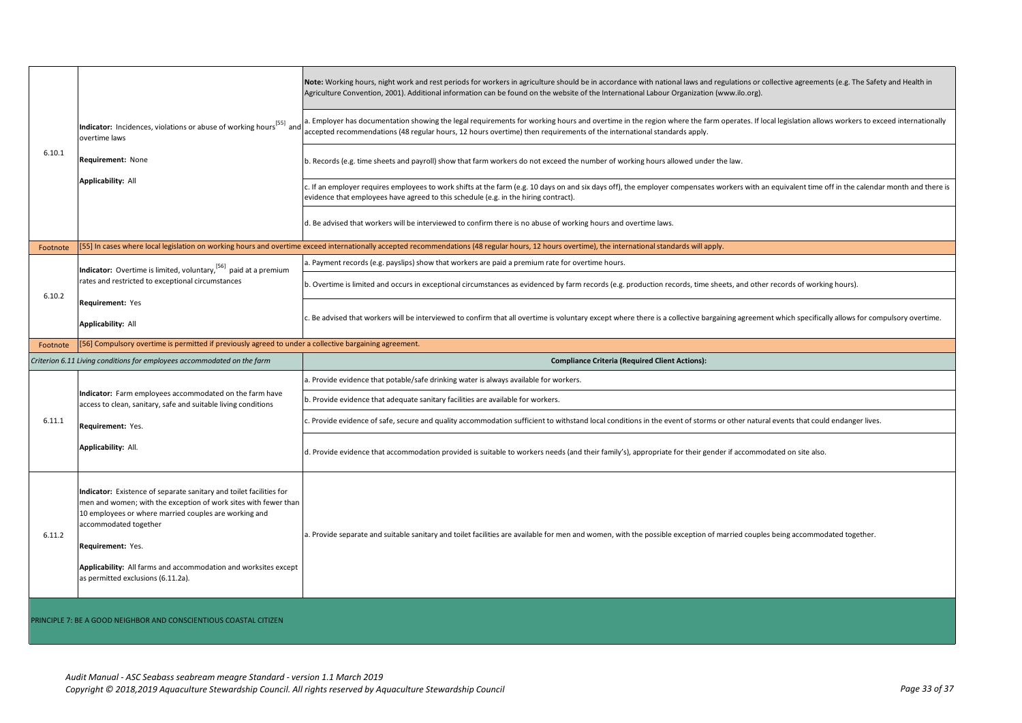|          |                                                                                                                                                                                                                                                                                                                                                        | Note: Working hours, night work and rest periods for workers in agriculture should be in accordance with national laws and regulations or collective agreements (e.g. The Safety and Health in<br>Agriculture Convention, 2001). Additional information can be found on the website of the International Labour Organization (www.ilo.org). |
|----------|--------------------------------------------------------------------------------------------------------------------------------------------------------------------------------------------------------------------------------------------------------------------------------------------------------------------------------------------------------|---------------------------------------------------------------------------------------------------------------------------------------------------------------------------------------------------------------------------------------------------------------------------------------------------------------------------------------------|
| 6.10.1   | Indicator: Incidences, violations or abuse of working hours <sup>[55]</sup> and<br>overtime laws                                                                                                                                                                                                                                                       | . Employer has documentation showing the legal requirements for working hours and overtime in the region where the farm operates. If local legislation allows workers to exceed internationally<br>accepted recommendations (48 regular hours, 12 hours overtime) then requirements of the international standards apply.                   |
|          | Requirement: None                                                                                                                                                                                                                                                                                                                                      | b. Records (e.g. time sheets and payroll) show that farm workers do not exceed the number of working hours allowed under the law.                                                                                                                                                                                                           |
|          | Applicability: All                                                                                                                                                                                                                                                                                                                                     | c. If an employer requires employees to work shifts at the farm (e.g. 10 days on and six days off), the employer compensates workers with an equivalent time off in the calendar month and there is<br>evidence that employees have agreed to this schedule (e.g. in the hiring contract).                                                  |
|          |                                                                                                                                                                                                                                                                                                                                                        | d. Be advised that workers will be interviewed to confirm there is no abuse of working hours and overtime laws.                                                                                                                                                                                                                             |
| Footnote |                                                                                                                                                                                                                                                                                                                                                        | [55] In cases where local legislation on working hours and overtime exceed internationally accepted recommendations (48 regular hours, 12 hours overtime), the international standards will apply.                                                                                                                                          |
|          | Indicator: Overtime is limited, voluntary, <sup>[56]</sup> paid at a premium                                                                                                                                                                                                                                                                           | a. Payment records (e.g. payslips) show that workers are paid a premium rate for overtime hours.                                                                                                                                                                                                                                            |
| 6.10.2   | rates and restricted to exceptional circumstances                                                                                                                                                                                                                                                                                                      | b. Overtime is limited and occurs in exceptional circumstances as evidenced by farm records (e.g. production records, time sheets, and other records of working hours).                                                                                                                                                                     |
|          | Requirement: Yes                                                                                                                                                                                                                                                                                                                                       |                                                                                                                                                                                                                                                                                                                                             |
|          | Applicability: All                                                                                                                                                                                                                                                                                                                                     | c. Be advised that workers will be interviewed to confirm that all overtime is voluntary except where there is a collective bargaining agreement which specifically allows for compulsory overtime.                                                                                                                                         |
| Footnote | [56] Compulsory overtime is permitted if previously agreed to under a collective bargaining agreement.                                                                                                                                                                                                                                                 |                                                                                                                                                                                                                                                                                                                                             |
|          |                                                                                                                                                                                                                                                                                                                                                        |                                                                                                                                                                                                                                                                                                                                             |
|          | Criterion 6.11 Living conditions for employees accommodated on the farm                                                                                                                                                                                                                                                                                | <b>Compliance Criteria (Required Client Actions):</b>                                                                                                                                                                                                                                                                                       |
|          |                                                                                                                                                                                                                                                                                                                                                        | a. Provide evidence that potable/safe drinking water is always available for workers.                                                                                                                                                                                                                                                       |
|          | Indicator: Farm employees accommodated on the farm have<br>access to clean, sanitary, safe and suitable living conditions                                                                                                                                                                                                                              | b. Provide evidence that adequate sanitary facilities are available for workers.                                                                                                                                                                                                                                                            |
| 6.11.1   | Requirement: Yes.                                                                                                                                                                                                                                                                                                                                      | . Provide evidence of safe, secure and quality accommodation sufficient to withstand local conditions in the event of storms or other natural events that could endanger lives.                                                                                                                                                             |
|          | Applicability: All.                                                                                                                                                                                                                                                                                                                                    | d. Provide evidence that accommodation provided is suitable to workers needs (and their family's), appropriate for their gender if accommodated on site also.                                                                                                                                                                               |
| 6.11.2   | Indicator: Existence of separate sanitary and toilet facilities for<br>men and women; with the exception of work sites with fewer than<br>10 employees or where married couples are working and<br>accommodated together<br>Requirement: Yes.<br>Applicability: All farms and accommodation and worksites except<br>as permitted exclusions (6.11.2a). | a. Provide separate and suitable sanitary and toilet facilities are available for men and women, with the possible exception of married couples being accommodated together.                                                                                                                                                                |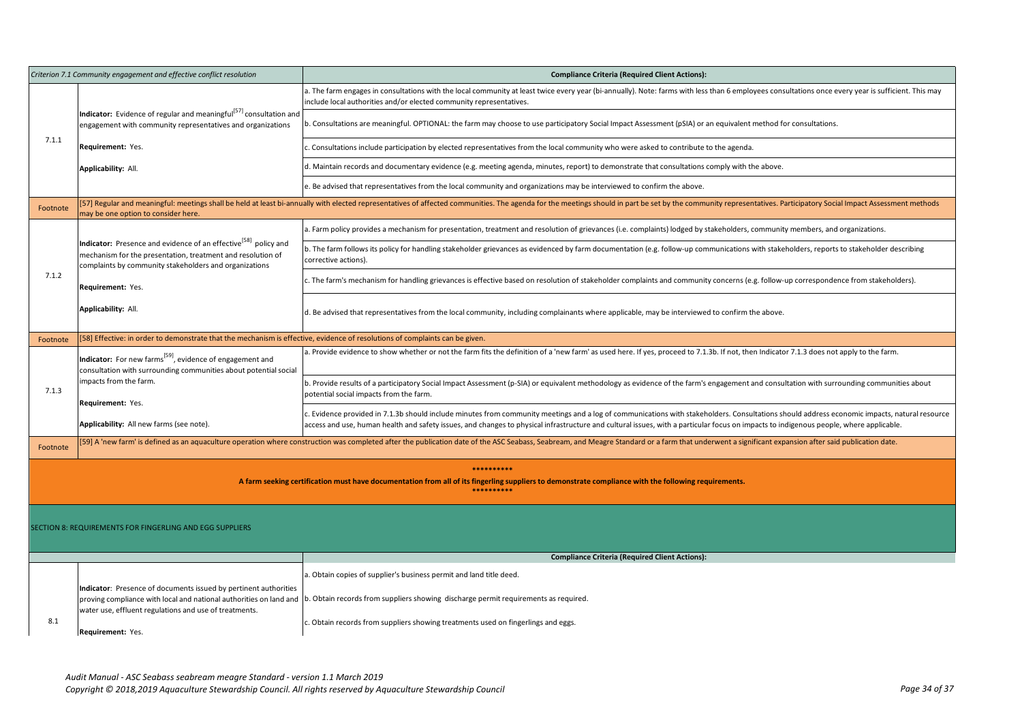| Criterion 7.1 Community engagement and effective conflict resolution |                                                                                                                                                                                                             | <b>Compliance Criteria (Required Client Actions):</b>                                                                                                                                                                                                                                                                                                                                  |  |
|----------------------------------------------------------------------|-------------------------------------------------------------------------------------------------------------------------------------------------------------------------------------------------------------|----------------------------------------------------------------------------------------------------------------------------------------------------------------------------------------------------------------------------------------------------------------------------------------------------------------------------------------------------------------------------------------|--|
|                                                                      |                                                                                                                                                                                                             | a. The farm engages in consultations with the local community at least twice every year (bi-annually). Note: farms with less than 6 employees consultations once every year is sufficient. This may<br>include local authorities and/or elected community representatives.                                                                                                             |  |
|                                                                      | <b>Indicator:</b> Evidence of regular and meaningful <sup>[57]</sup> consultation and<br>engagement with community representatives and organizations                                                        | b. Consultations are meaningful. OPTIONAL: the farm may choose to use participatory Social Impact Assessment (pSIA) or an equivalent method for consultations.                                                                                                                                                                                                                         |  |
| 7.1.1                                                                | Requirement: Yes.                                                                                                                                                                                           | c. Consultations include participation by elected representatives from the local community who were asked to contribute to the agenda.                                                                                                                                                                                                                                                 |  |
|                                                                      | Applicability: All.                                                                                                                                                                                         | d. Maintain records and documentary evidence (e.g. meeting agenda, minutes, report) to demonstrate that consultations comply with the above.                                                                                                                                                                                                                                           |  |
|                                                                      |                                                                                                                                                                                                             | e. Be advised that representatives from the local community and organizations may be interviewed to confirm the above.                                                                                                                                                                                                                                                                 |  |
| Footnote                                                             | may be one option to consider here.                                                                                                                                                                         | [57] Regular and meaningful: meetings shall be held at least bi-annually with elected representatives of affected communities. The agenda for the meetings should in part be set by the community representatives. Participato                                                                                                                                                         |  |
|                                                                      |                                                                                                                                                                                                             | a. Farm policy provides a mechanism for presentation, treatment and resolution of grievances (i.e. complaints) lodged by stakeholders, community members, and organizations.                                                                                                                                                                                                           |  |
|                                                                      | <b>Indicator:</b> Presence and evidence of an effective <sup>[58]</sup> policy and<br>mechanism for the presentation, treatment and resolution of<br>complaints by community stakeholders and organizations | b. The farm follows its policy for handling stakeholder grievances as evidenced by farm documentation (e.g. follow-up communications with stakeholders, reports to stakeholder describing<br>corrective actions).                                                                                                                                                                      |  |
| 7.1.2                                                                | Requirement: Yes.                                                                                                                                                                                           | c. The farm's mechanism for handling grievances is effective based on resolution of stakeholder complaints and community concerns (e.g. follow-up correspondence from stakeholders).                                                                                                                                                                                                   |  |
|                                                                      | Applicability: All.                                                                                                                                                                                         | d. Be advised that representatives from the local community, including complainants where applicable, may be interviewed to confirm the above.                                                                                                                                                                                                                                         |  |
| Footnote                                                             | 58] Effective: in order to demonstrate that the mechanism is effective, evidence of resolutions of complaints can be given.                                                                                 |                                                                                                                                                                                                                                                                                                                                                                                        |  |
|                                                                      | Indicator: For new farms <sup>[59]</sup> , evidence of engagement and<br>consultation with surrounding communities about potential social                                                                   | a. Provide evidence to show whether or not the farm fits the definition of a 'new farm' as used here. If yes, proceed to 7.1.3b. If not, then Indicator 7.1.3 does not apply to the farm.                                                                                                                                                                                              |  |
| 7.1.3                                                                | impacts from the farm.<br>Requirement: Yes.                                                                                                                                                                 | b. Provide results of a participatory Social Impact Assessment (p-SIA) or equivalent methodology as evidence of the farm's engagement and consultation with surrounding communities about<br>potential social impacts from the farm.                                                                                                                                                   |  |
|                                                                      | Applicability: All new farms (see note).                                                                                                                                                                    | c. Evidence provided in 7.1.3b should include minutes from community meetings and a log of communications with stakeholders. Consultations should address economic impacts, natural resource<br>access and use, human health and safety issues, and changes to physical infrastructure and cultural issues, with a particular focus on impacts to indigenous people, where applicable. |  |
| Footnote                                                             |                                                                                                                                                                                                             | [59] A 'new farm' is defined as an aquaculture operation where construction was completed after the publication date of the ASC Seabass, Seabream, and Meagre Standard or a farm that underwent a significant expansion after                                                                                                                                                          |  |
|                                                                      |                                                                                                                                                                                                             | ***********                                                                                                                                                                                                                                                                                                                                                                            |  |
|                                                                      | A farm seeking certification must have documentation from all of its fingerling suppliers to demonstrate compliance with the following requirements.<br>**********                                          |                                                                                                                                                                                                                                                                                                                                                                                        |  |
|                                                                      |                                                                                                                                                                                                             |                                                                                                                                                                                                                                                                                                                                                                                        |  |
|                                                                      | SECTION 8: REQUIREMENTS FOR FINGERLING AND EGG SUPPLIERS                                                                                                                                                    |                                                                                                                                                                                                                                                                                                                                                                                        |  |
|                                                                      |                                                                                                                                                                                                             | <b>Compliance Criteria (Required Client Actions):</b>                                                                                                                                                                                                                                                                                                                                  |  |
|                                                                      |                                                                                                                                                                                                             | a. Obtain copies of supplier's business permit and land title deed.                                                                                                                                                                                                                                                                                                                    |  |
|                                                                      | Indicator: Presence of documents issued by pertinent authorities<br>proving compliance with local and national authorities on land and                                                                      | b. Obtain records from suppliers showing discharge permit requirements as required.                                                                                                                                                                                                                                                                                                    |  |
| 8.1                                                                  | water use, effluent regulations and use of treatments.<br>Requirement: Yes.                                                                                                                                 | c. Obtain records from suppliers showing treatments used on fingerlings and eggs.                                                                                                                                                                                                                                                                                                      |  |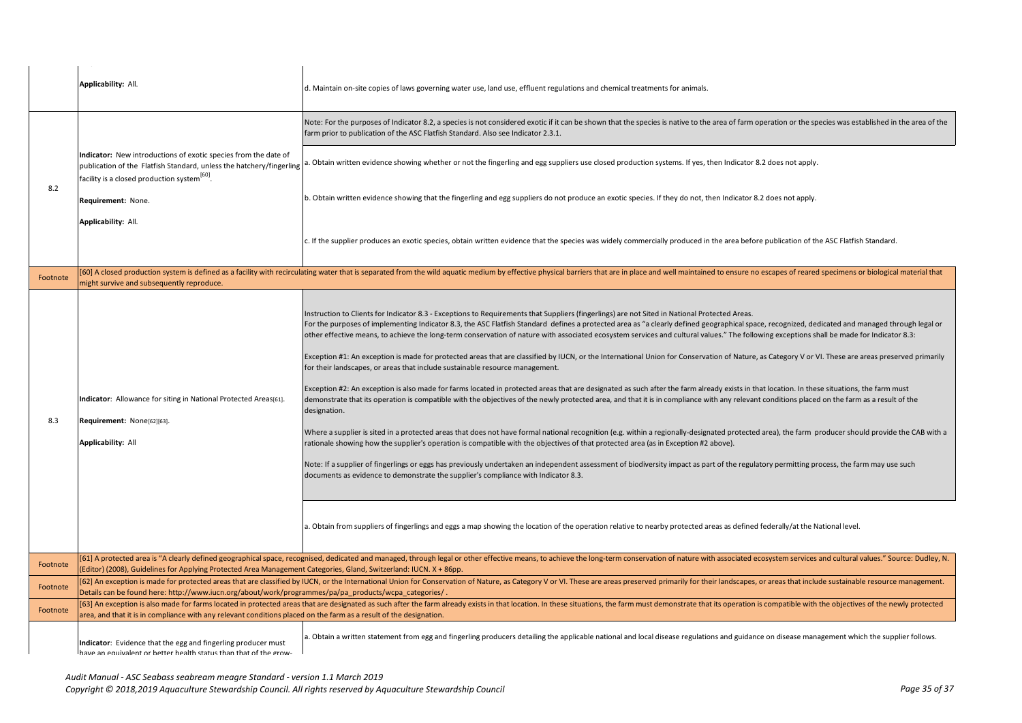|          | Applicability: All.                                                                                                                                                                                    | d. Maintain on-site copies of laws governing water use, land use, effluent regulations and chemical treatments for animals.                                                                                                                                                                                                                                                                                                                                                                                                                                                                                                                                                                                                                                                                                                                                                                                                                                                                                                                                                                                                                                                                                                                                                                                                                                                                                                                                                                                                                                                                                                                                                                                                                                                                                                                                                           |
|----------|--------------------------------------------------------------------------------------------------------------------------------------------------------------------------------------------------------|---------------------------------------------------------------------------------------------------------------------------------------------------------------------------------------------------------------------------------------------------------------------------------------------------------------------------------------------------------------------------------------------------------------------------------------------------------------------------------------------------------------------------------------------------------------------------------------------------------------------------------------------------------------------------------------------------------------------------------------------------------------------------------------------------------------------------------------------------------------------------------------------------------------------------------------------------------------------------------------------------------------------------------------------------------------------------------------------------------------------------------------------------------------------------------------------------------------------------------------------------------------------------------------------------------------------------------------------------------------------------------------------------------------------------------------------------------------------------------------------------------------------------------------------------------------------------------------------------------------------------------------------------------------------------------------------------------------------------------------------------------------------------------------------------------------------------------------------------------------------------------------|
|          | Indicator: New introductions of exotic species from the date of<br>publication of the Flatfish Standard, unless the hatchery/fingerling a.<br>facility is a closed production system <sup>[60]</sup> . | Note: For the purposes of Indicator 8.2, a species is not considered exotic if it can be shown that the species is native to the area of farm operation or the species was established in the area of the<br>farm prior to publication of the ASC Flatfish Standard. Also see Indicator 2.3.1.                                                                                                                                                                                                                                                                                                                                                                                                                                                                                                                                                                                                                                                                                                                                                                                                                                                                                                                                                                                                                                                                                                                                                                                                                                                                                                                                                                                                                                                                                                                                                                                        |
|          |                                                                                                                                                                                                        | Obtain written evidence showing whether or not the fingerling and egg suppliers use closed production systems. If yes, then Indicator 8.2 does not apply.                                                                                                                                                                                                                                                                                                                                                                                                                                                                                                                                                                                                                                                                                                                                                                                                                                                                                                                                                                                                                                                                                                                                                                                                                                                                                                                                                                                                                                                                                                                                                                                                                                                                                                                             |
| 8.2      | Requirement: None.                                                                                                                                                                                     | b. Obtain written evidence showing that the fingerling and egg suppliers do not produce an exotic species. If they do not, then Indicator 8.2 does not apply.                                                                                                                                                                                                                                                                                                                                                                                                                                                                                                                                                                                                                                                                                                                                                                                                                                                                                                                                                                                                                                                                                                                                                                                                                                                                                                                                                                                                                                                                                                                                                                                                                                                                                                                         |
|          | Applicability: All.                                                                                                                                                                                    | c. If the supplier produces an exotic species, obtain written evidence that the species was widely commercially produced in the area before publication of the ASC Flatfish Standard.                                                                                                                                                                                                                                                                                                                                                                                                                                                                                                                                                                                                                                                                                                                                                                                                                                                                                                                                                                                                                                                                                                                                                                                                                                                                                                                                                                                                                                                                                                                                                                                                                                                                                                 |
|          |                                                                                                                                                                                                        | [60] A closed production system is defined as a facility with recirculating water that is separated from the wild aquatic medium by effective physical barriers that are in place and well maintained to ensure no escapes of                                                                                                                                                                                                                                                                                                                                                                                                                                                                                                                                                                                                                                                                                                                                                                                                                                                                                                                                                                                                                                                                                                                                                                                                                                                                                                                                                                                                                                                                                                                                                                                                                                                         |
| Footnote | might survive and subsequently reproduce.                                                                                                                                                              |                                                                                                                                                                                                                                                                                                                                                                                                                                                                                                                                                                                                                                                                                                                                                                                                                                                                                                                                                                                                                                                                                                                                                                                                                                                                                                                                                                                                                                                                                                                                                                                                                                                                                                                                                                                                                                                                                       |
| 8.3      | Indicator: Allowance for siting in National Protected Areas[61].<br>Requirement: None[62][63].<br>Applicability: All                                                                                   | Instruction to Clients for Indicator 8.3 - Exceptions to Requirements that Suppliers (fingerlings) are not Sited in National Protected Areas.<br>For the purposes of implementing Indicator 8.3, the ASC Flatfish Standard defines a protected area as "a clearly defined geographical space, recognized, dedicated and managed through legal or<br>other effective means, to achieve the long-term conservation of nature with associated ecosystem services and cultural values." The following exceptions shall be made for Indicator 8.3:<br>Exception #1: An exception is made for protected areas that are classified by IUCN, or the International Union for Conservation of Nature, as Category V or VI. These are areas preserved primarily<br>for their landscapes, or areas that include sustainable resource management.<br>Exception #2: An exception is also made for farms located in protected areas that are designated as such after the farm already exists in that location. In these situations, the farm must<br>demonstrate that its operation is compatible with the objectives of the newly protected area, and that it is in compliance with any relevant conditions placed on the farm as a result of the<br>designation.<br>Where a supplier is sited in a protected areas that does not have formal national recognition (e.g. within a regionally-designated protected area), the farm producer should provide the CAB with a<br>rationale showing how the supplier's operation is compatible with the objectives of that protected area (as in Exception #2 above).<br>Note: If a supplier of fingerlings or eggs has previously undertaken an independent assessment of biodiversity impact as part of the regulatory permitting process, the farm may use such<br>documents as evidence to demonstrate the supplier's compliance with Indicator 8.3. |
|          |                                                                                                                                                                                                        | a. Obtain from suppliers of fingerlings and eggs a map showing the location of the operation relative to nearby protected areas as defined federally/at the National level.                                                                                                                                                                                                                                                                                                                                                                                                                                                                                                                                                                                                                                                                                                                                                                                                                                                                                                                                                                                                                                                                                                                                                                                                                                                                                                                                                                                                                                                                                                                                                                                                                                                                                                           |
| Footnote | (Editor) (2008), Guidelines for Applying Protected Area Management Categories, Gland, Switzerland: IUCN. X + 86pp.                                                                                     | [61] A protected area is "A clearly defined geographical space, recognised, dedicated and managed, through legal or other effective means, to achieve the long-term conservation of nature with associated ecosystem services                                                                                                                                                                                                                                                                                                                                                                                                                                                                                                                                                                                                                                                                                                                                                                                                                                                                                                                                                                                                                                                                                                                                                                                                                                                                                                                                                                                                                                                                                                                                                                                                                                                         |
| Footnote | Details can be found here: http://www.iucn.org/about/work/programmes/pa/pa_products/wcpa_categories/.                                                                                                  | [62] An exception is made for protected areas that are classified by IUCN, or the International Union for Conservation of Nature, as Category V or VI. These are areas preserved primarily for their landscapes, or areas that                                                                                                                                                                                                                                                                                                                                                                                                                                                                                                                                                                                                                                                                                                                                                                                                                                                                                                                                                                                                                                                                                                                                                                                                                                                                                                                                                                                                                                                                                                                                                                                                                                                        |
| Footnote | area, and that it is in compliance with any relevant conditions placed on the farm as a result of the designation.                                                                                     | [63] An exception is also made for farms located in protected areas that are designated as such after the farm already exists in that location. In these situations, the farm must demonstrate that its operation is compatibl                                                                                                                                                                                                                                                                                                                                                                                                                                                                                                                                                                                                                                                                                                                                                                                                                                                                                                                                                                                                                                                                                                                                                                                                                                                                                                                                                                                                                                                                                                                                                                                                                                                        |
|          | Indicator: Evidence that the egg and fingerling producer must<br>have an equivalent or hetter health status than that of the grow-                                                                     | a. Obtain a written statement from egg and fingerling producers detailing the applicable national and local disease regulations and guidance on disease management which the supplier follows.                                                                                                                                                                                                                                                                                                                                                                                                                                                                                                                                                                                                                                                                                                                                                                                                                                                                                                                                                                                                                                                                                                                                                                                                                                                                                                                                                                                                                                                                                                                                                                                                                                                                                        |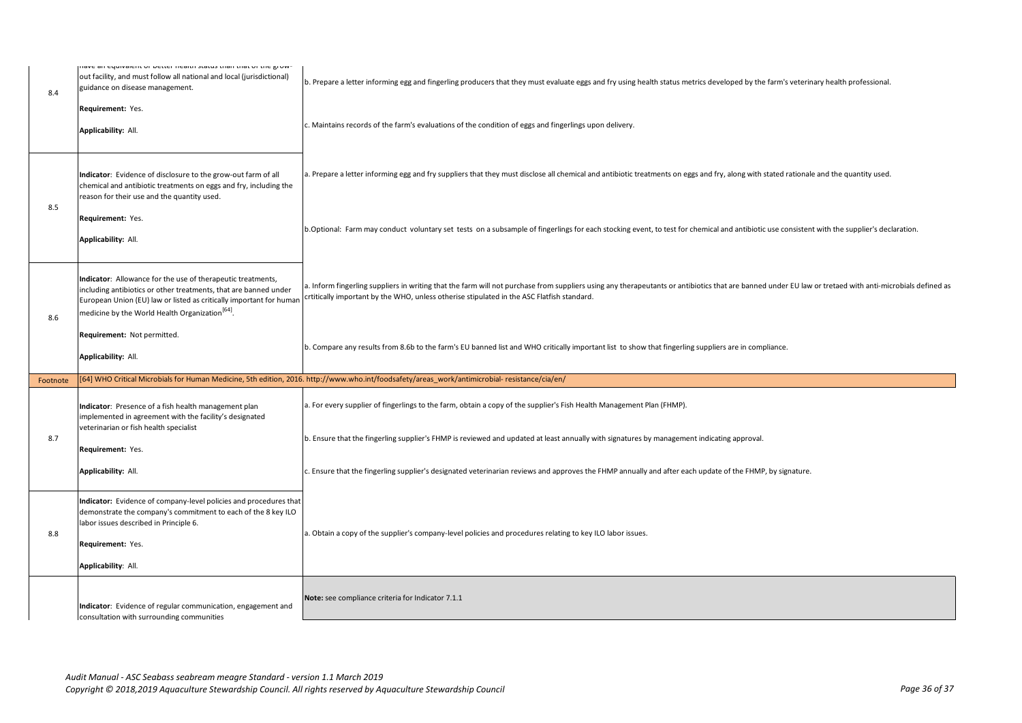| 8.4      | nave an equivalent or better nearth status than that or the grow-<br>out facility, and must follow all national and local (jurisdictional)<br>guidance on disease management.<br>Requirement: Yes.<br>Applicability: All.                                             | b. Prepare a letter informing egg and fingerling producers that they must evaluate eggs and fry using health status metrics developed by the farm's veterinary health professional.<br>c. Maintains records of the farm's evaluations of the condition of eggs and fingerlings upon delivery.         |
|----------|-----------------------------------------------------------------------------------------------------------------------------------------------------------------------------------------------------------------------------------------------------------------------|-------------------------------------------------------------------------------------------------------------------------------------------------------------------------------------------------------------------------------------------------------------------------------------------------------|
|          | Indicator: Evidence of disclosure to the grow-out farm of all<br>chemical and antibiotic treatments on eggs and fry, including the<br>reason for their use and the quantity used.                                                                                     | a. Prepare a letter informing egg and fry suppliers that they must disclose all chemical and antibiotic treatments on eggs and fry, along with stated rationale and the quantity used.                                                                                                                |
| 8.5      | Requirement: Yes.<br>Applicability: All.                                                                                                                                                                                                                              | b.Optional: Farm may conduct voluntary set tests on a subsample of fingerlings for each stocking event, to test for chemical and antibiotic use consistent with the supplier's declaration.                                                                                                           |
| 8.6      | Indicator: Allowance for the use of therapeutic treatments,<br>including antibiotics or other treatments, that are banned under<br>European Union (EU) law or listed as critically important for human<br>medicine by the World Health Organization <sup>[64]</sup> . | a. Inform fingerling suppliers in writing that the farm will not purchase from suppliers using any therapeutants or antibiotics that are banned under EU law or tretaed with anti-microbials defined as<br>crtitically important by the WHO, unless otherise stipulated in the ASC Flatfish standard. |
|          | Requirement: Not permitted.<br>Applicability: All.                                                                                                                                                                                                                    | b. Compare any results from 8.6b to the farm's EU banned list and WHO critically important list to show that fingerling suppliers are in compliance.                                                                                                                                                  |
| Footnote |                                                                                                                                                                                                                                                                       | [64] WHO Critical Microbials for Human Medicine, 5th edition, 2016. http://www.who.int/foodsafety/areas work/antimicrobial-resistance/cia/en/                                                                                                                                                         |
|          | Indicator: Presence of a fish health management plan<br>implemented in agreement with the facility's designated                                                                                                                                                       | a. For every supplier of fingerlings to the farm, obtain a copy of the supplier's Fish Health Management Plan (FHMP).                                                                                                                                                                                 |
| 8.7      | veterinarian or fish health specialist<br>Requirement: Yes.                                                                                                                                                                                                           | b. Ensure that the fingerling supplier's FHMP is reviewed and updated at least annually with signatures by management indicating approval.                                                                                                                                                            |
|          | Applicability: All.                                                                                                                                                                                                                                                   | c. Ensure that the fingerling supplier's designated veterinarian reviews and approves the FHMP annually and after each update of the FHMP, by signature.                                                                                                                                              |
| 8.8      | Indicator: Evidence of company-level policies and procedures that<br>demonstrate the company's commitment to each of the 8 key ILO<br>labor issues described in Principle 6.<br>Requirement: Yes.<br>Applicability: All.                                              | a. Obtain a copy of the supplier's company-level policies and procedures relating to key ILO labor issues.                                                                                                                                                                                            |
|          | Indicator: Evidence of regular communication, engagement and<br>consultation with surrounding communities                                                                                                                                                             | Note: see compliance criteria for Indicator 7.1.1                                                                                                                                                                                                                                                     |